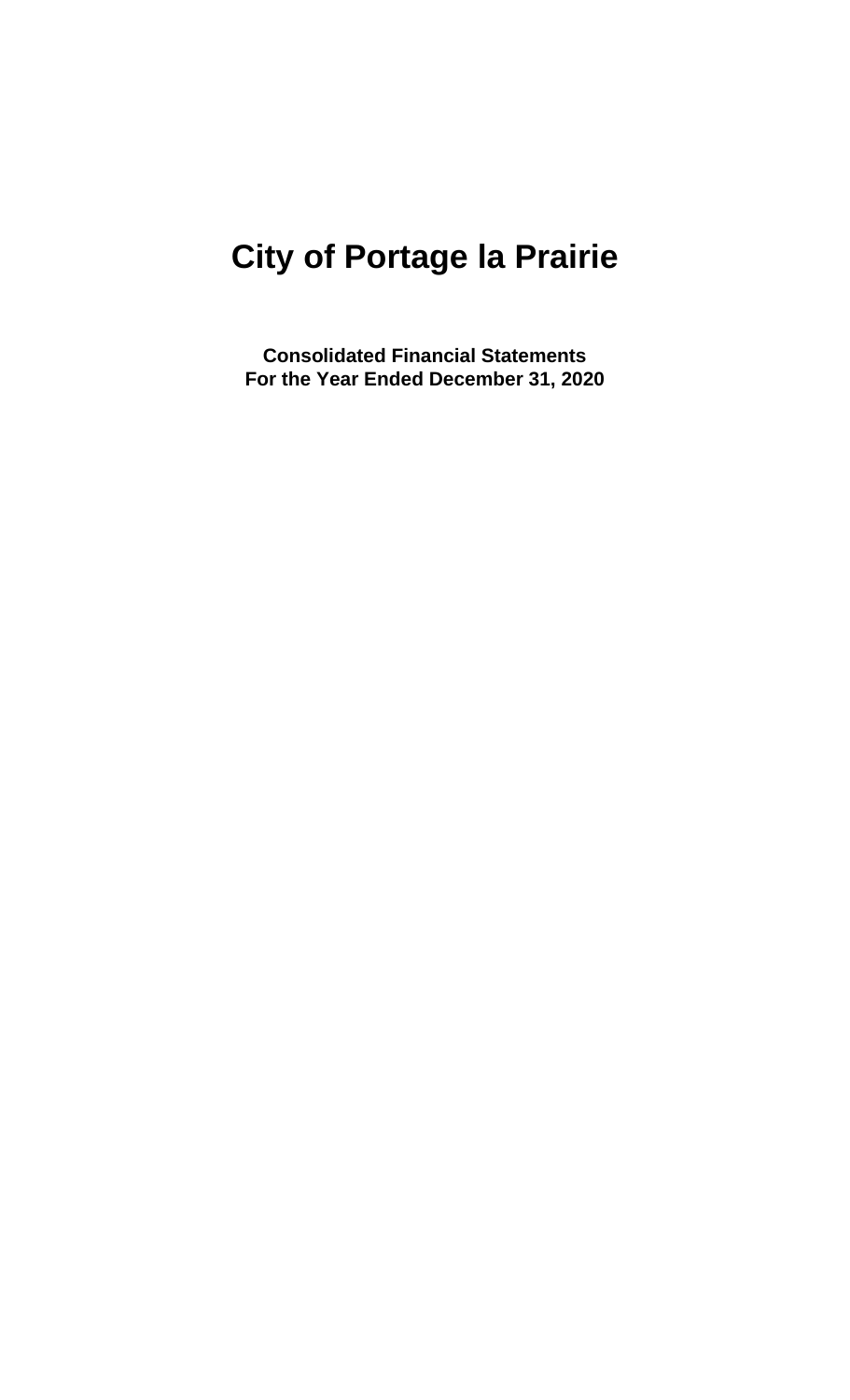# **City of Portage la Prairie**

**Consolidated Financial Statements For the Year Ended December 31, 2020**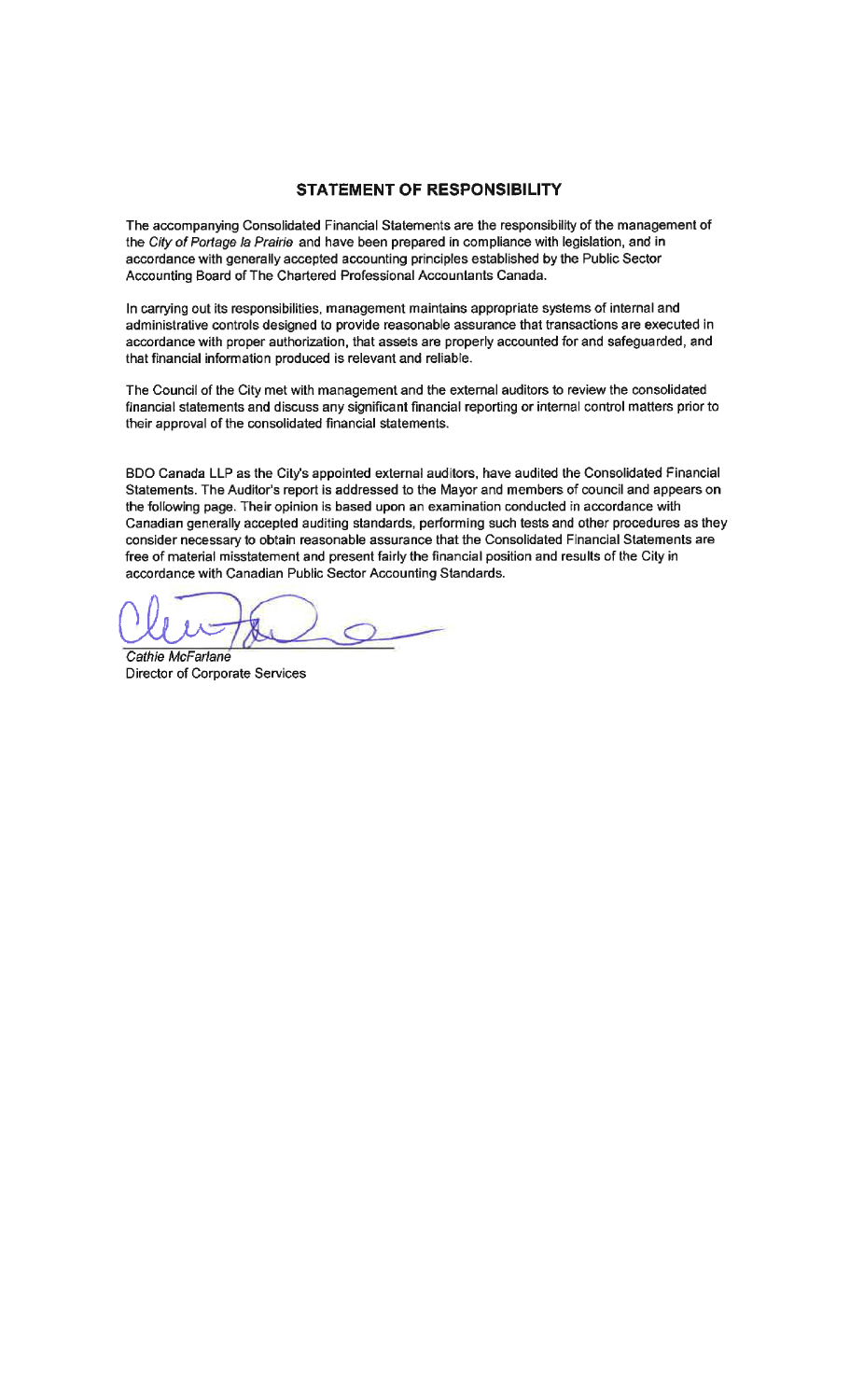### **STATEMENT OF RESPONSIBILITY**

The accompanying Consolidated Financial Statements are the responsibility of the management of the City of Portage la Prairie and have been prepared in compliance with legislation, and in accordance with generally accepted accounting principles established by the Public Sector Accounting Board of The Chartered Professional Accountants Canada.

In carrying out its responsibilities, management maintains appropriate systems of internal and administrative controls designed to provide reasonable assurance that transactions are executed in accordance with proper authorization, that assets are properly accounted for and safeguarded, and that financial information produced is relevant and reliable.

The Council of the City met with management and the external auditors to review the consolidated financial statements and discuss any significant financial reporting or internal control matters prior to their approval of the consolidated financial statements.

BDO Canada LLP as the City's appointed external auditors, have audited the Consolidated Financial Statements. The Auditor's report is addressed to the Mayor and members of council and appears on the following page. Their opinion is based upon an examination conducted in accordance with Canadian generally accepted auditing standards, performing such tests and other procedures as they consider necessary to obtain reasonable assurance that the Consolidated Financial Statements are free of material misstatement and present fairly the financial position and results of the City in accordance with Canadian Public Sector Accounting Standards.

Cathie McFarlane Director of Corporate Services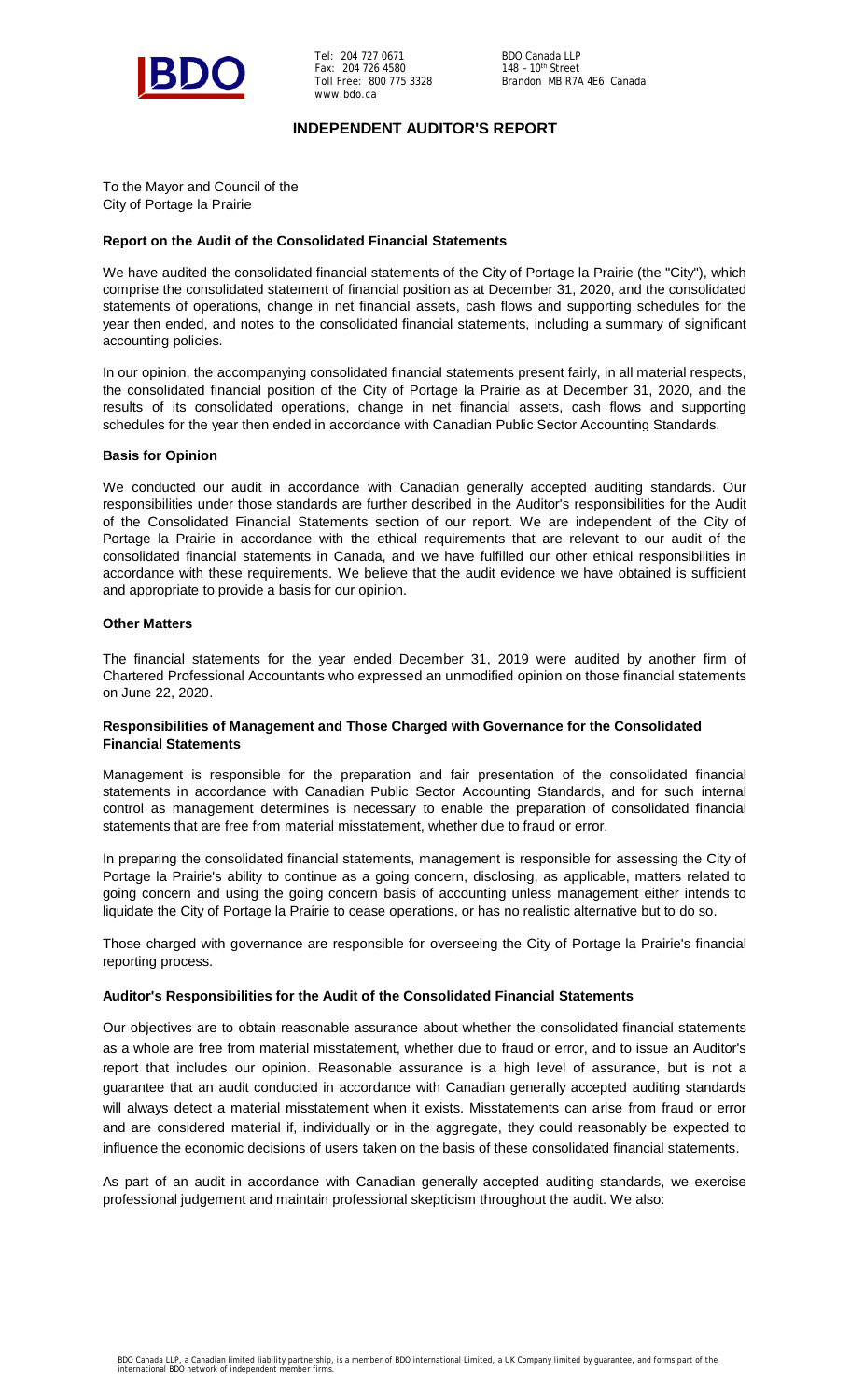

Tel: 204 727 0671 BDO Canada LLP<br>Fax: 204 726 4580 148 - 10<sup>th</sup> Street Fax: 204 726 4580 148 - 10<sup>th</sup> Street www.bdo.ca

### **INDEPENDENT AUDITOR'S REPORT**

To the Mayor and Council of the City of Portage la Prairie

### **Report on the Audit of the Consolidated Financial Statements**

We have audited the consolidated financial statements of the City of Portage la Prairie (the "City"), which comprise the consolidated statement of financial position as at December 31, 2020, and the consolidated statements of operations, change in net financial assets, cash flows and supporting schedules for the year then ended, and notes to the consolidated financial statements, including a summary of significant accounting policies.

In our opinion, the accompanying consolidated financial statements present fairly, in all material respects, the consolidated financial position of the City of Portage la Prairie as at December 31, 2020, and the results of its consolidated operations, change in net financial assets, cash flows and supporting schedules for the year then ended in accordance with Canadian Public Sector Accounting Standards.

### **Basis for Opinion**

We conducted our audit in accordance with Canadian generally accepted auditing standards. Our responsibilities under those standards are further described in the Auditor's responsibilities for the Audit of the Consolidated Financial Statements section of our report. We are independent of the City of Portage la Prairie in accordance with the ethical requirements that are relevant to our audit of the consolidated financial statements in Canada, and we have fulfilled our other ethical responsibilities in accordance with these requirements. We believe that the audit evidence we have obtained is sufficient and appropriate to provide a basis for our opinion.

### **Other Matters**

The financial statements for the year ended December 31, 2019 were audited by another firm of Chartered Professional Accountants who expressed an unmodified opinion on those financial statements on June 22, 2020.

### **Responsibilities of Management and Those Charged with Governance for the Consolidated Financial Statements**

Management is responsible for the preparation and fair presentation of the consolidated financial statements in accordance with Canadian Public Sector Accounting Standards, and for such internal control as management determines is necessary to enable the preparation of consolidated financial statements that are free from material misstatement, whether due to fraud or error.

In preparing the consolidated financial statements, management is responsible for assessing the City of Portage la Prairie's ability to continue as a going concern, disclosing, as applicable, matters related to going concern and using the going concern basis of accounting unless management either intends to liquidate the City of Portage la Prairie to cease operations, or has no realistic alternative but to do so.

Those charged with governance are responsible for overseeing the City of Portage la Prairie's financial reporting process.

#### **Auditor's Responsibilities for the Audit of the Consolidated Financial Statements**

Our objectives are to obtain reasonable assurance about whether the consolidated financial statements as a whole are free from material misstatement, whether due to fraud or error, and to issue an Auditor's report that includes our opinion. Reasonable assurance is a high level of assurance, but is not a guarantee that an audit conducted in accordance with Canadian generally accepted auditing standards will always detect a material misstatement when it exists. Misstatements can arise from fraud or error and are considered material if, individually or in the aggregate, they could reasonably be expected to influence the economic decisions of users taken on the basis of these consolidated financial statements.

As part of an audit in accordance with Canadian generally accepted auditing standards, we exercise professional judgement and maintain professional skepticism throughout the audit. We also: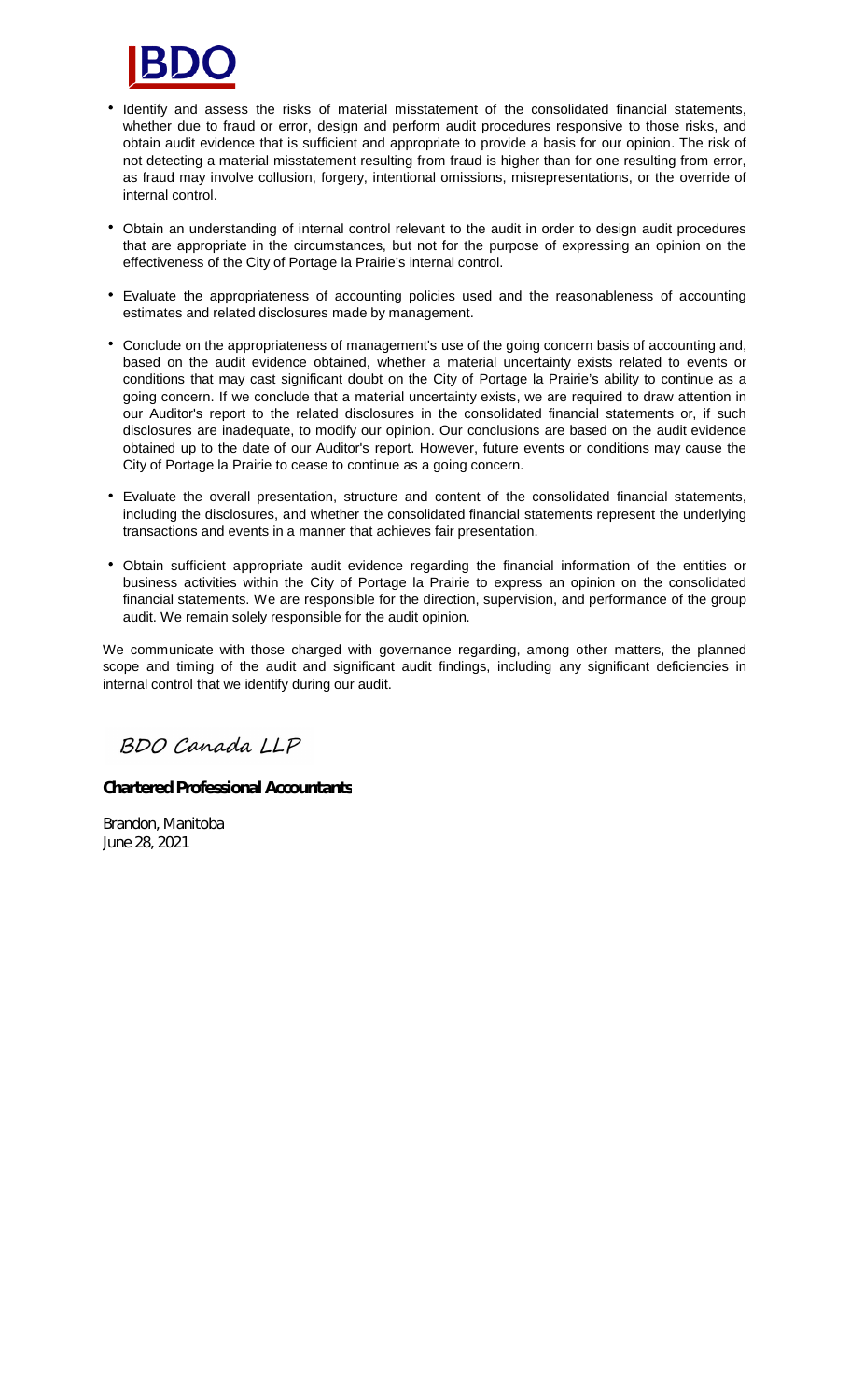

- Identify and assess the risks of material misstatement of the consolidated financial statements, whether due to fraud or error, design and perform audit procedures responsive to those risks, and obtain audit evidence that is sufficient and appropriate to provide a basis for our opinion. The risk of not detecting a material misstatement resulting from fraud is higher than for one resulting from error, as fraud may involve collusion, forgery, intentional omissions, misrepresentations, or the override of internal control.
- Obtain an understanding of internal control relevant to the audit in order to design audit procedures that are appropriate in the circumstances, but not for the purpose of expressing an opinion on the effectiveness of the City of Portage la Prairie's internal control.
- Evaluate the appropriateness of accounting policies used and the reasonableness of accounting estimates and related disclosures made by management.
- Conclude on the appropriateness of management's use of the going concern basis of accounting and, based on the audit evidence obtained, whether a material uncertainty exists related to events or conditions that may cast significant doubt on the City of Portage la Prairie's ability to continue as a going concern. If we conclude that a material uncertainty exists, we are required to draw attention in our Auditor's report to the related disclosures in the consolidated financial statements or, if such disclosures are inadequate, to modify our opinion. Our conclusions are based on the audit evidence obtained up to the date of our Auditor's report. However, future events or conditions may cause the City of Portage la Prairie to cease to continue as a going concern.
- Evaluate the overall presentation, structure and content of the consolidated financial statements, including the disclosures, and whether the consolidated financial statements represent the underlying transactions and events in a manner that achieves fair presentation.
- Obtain sufficient appropriate audit evidence regarding the financial information of the entities or business activities within the City of Portage la Prairie to express an opinion on the consolidated financial statements. We are responsible for the direction, supervision, and performance of the group audit. We remain solely responsible for the audit opinion.

We communicate with those charged with governance regarding, among other matters, the planned scope and timing of the audit and significant audit findings, including any significant deficiencies in internal control that we identify during our audit.

BDO Canada LLP

**Chartered Professional Accountants**

Brandon, Manitoba June 28, 2021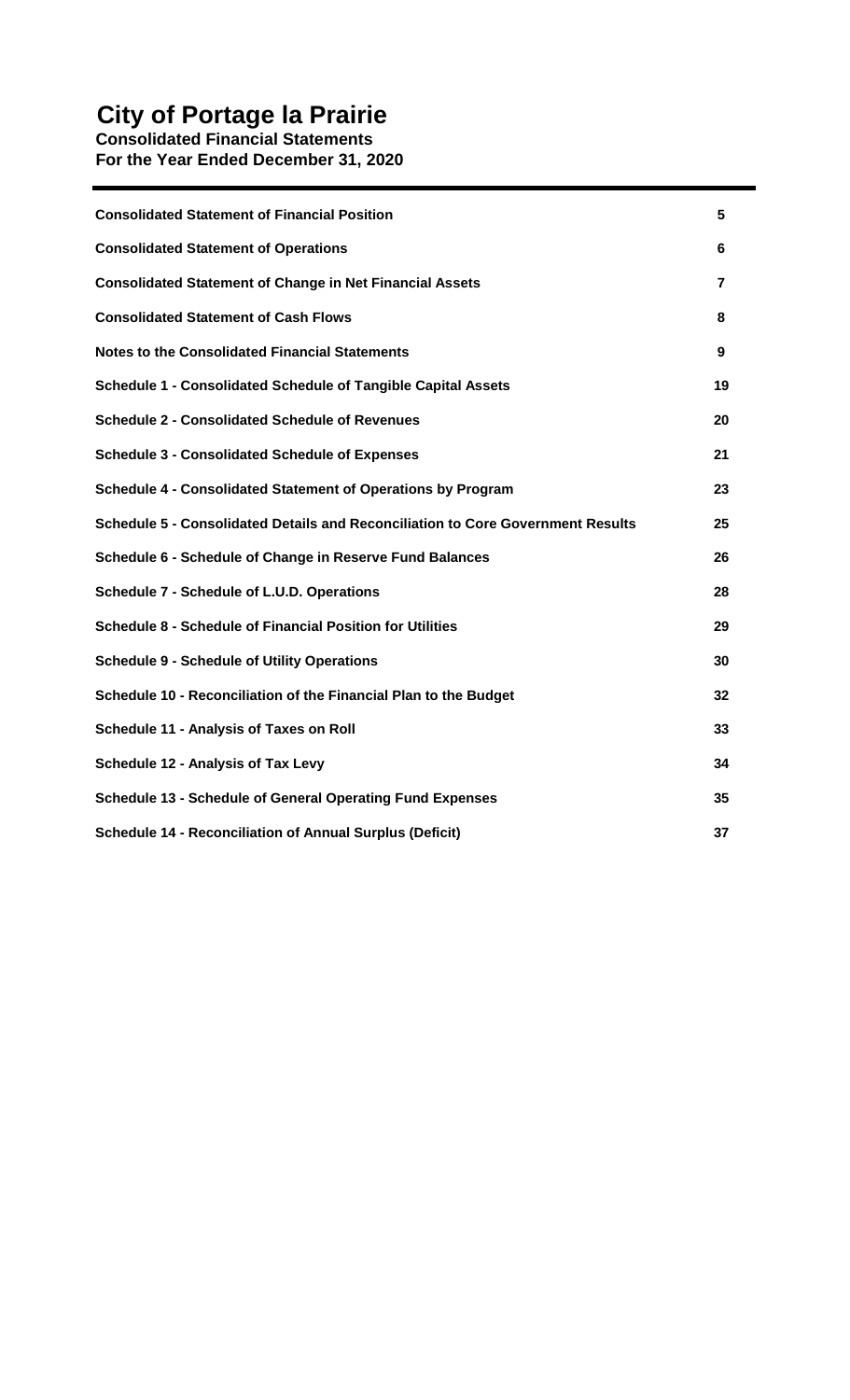## **City of Portage la Prairie**

**Consolidated Financial Statements For the Year Ended December 31, 2020**

| <b>Consolidated Statement of Financial Position</b>                             | 5  |
|---------------------------------------------------------------------------------|----|
| <b>Consolidated Statement of Operations</b>                                     | 6  |
| <b>Consolidated Statement of Change in Net Financial Assets</b>                 | 7  |
| <b>Consolidated Statement of Cash Flows</b>                                     | 8  |
| <b>Notes to the Consolidated Financial Statements</b>                           | 9  |
| Schedule 1 - Consolidated Schedule of Tangible Capital Assets                   | 19 |
| <b>Schedule 2 - Consolidated Schedule of Revenues</b>                           | 20 |
| <b>Schedule 3 - Consolidated Schedule of Expenses</b>                           | 21 |
| Schedule 4 - Consolidated Statement of Operations by Program                    | 23 |
| Schedule 5 - Consolidated Details and Reconciliation to Core Government Results | 25 |
| Schedule 6 - Schedule of Change in Reserve Fund Balances                        | 26 |
| Schedule 7 - Schedule of L.U.D. Operations                                      | 28 |
| <b>Schedule 8 - Schedule of Financial Position for Utilities</b>                | 29 |
| <b>Schedule 9 - Schedule of Utility Operations</b>                              | 30 |
| Schedule 10 - Reconciliation of the Financial Plan to the Budget                | 32 |
| <b>Schedule 11 - Analysis of Taxes on Roll</b>                                  | 33 |
| <b>Schedule 12 - Analysis of Tax Levy</b>                                       | 34 |
| <b>Schedule 13 - Schedule of General Operating Fund Expenses</b>                | 35 |
| <b>Schedule 14 - Reconciliation of Annual Surplus (Deficit)</b>                 | 37 |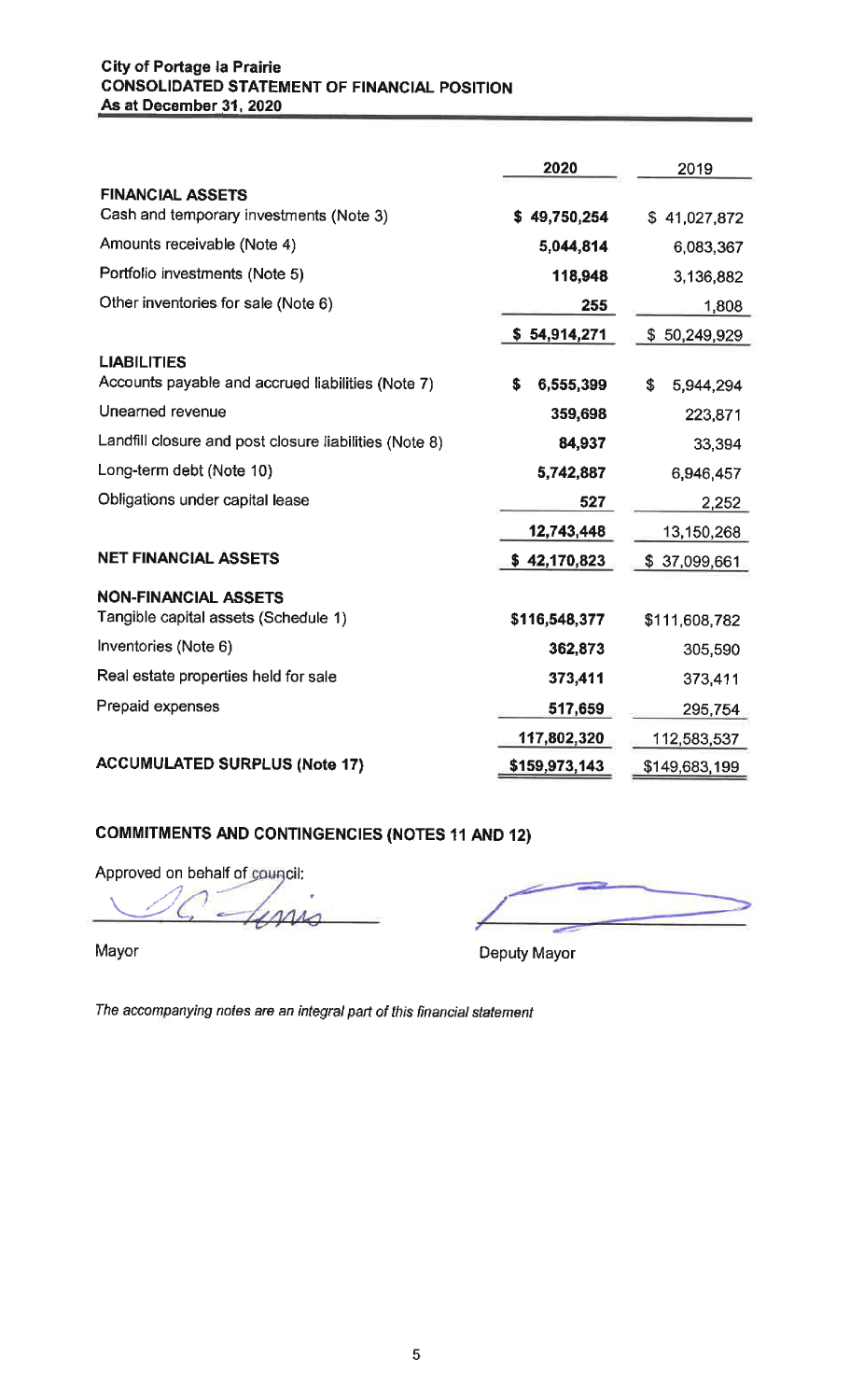### City of Portage la Prairie CONSOLIDATED STATEMENT OF FINANCIAL POSITION As at December 31, 2020

|                                                                         | 2020           | 2019            |
|-------------------------------------------------------------------------|----------------|-----------------|
| <b>FINANCIAL ASSETS</b><br>Cash and temporary investments (Note 3)      | \$49,750,254   | \$41,027,872    |
| Amounts receivable (Note 4)                                             | 5,044,814      | 6,083,367       |
| Portfolio investments (Note 5)                                          | 118,948        | 3,136,882       |
| Other inventories for sale (Note 6)                                     | 255            | 1,808           |
|                                                                         | \$54,914,271   | \$50,249,929    |
| <b>LIABILITIES</b><br>Accounts payable and accrued liabilities (Note 7) | S<br>6,555,399 | \$<br>5,944,294 |
| Unearned revenue                                                        | 359,698        | 223,871         |
| Landfill closure and post closure liabilities (Note 8)                  | 84,937         | 33,394          |
| Long-term debt (Note 10)                                                | 5,742,887      | 6,946,457       |
| Obligations under capital lease                                         | 527            | 2,252           |
|                                                                         | 12,743,448     | 13,150,268      |
| <b>NET FINANCIAL ASSETS</b>                                             | \$42,170,823   | \$37,099,661    |
| <b>NON-FINANCIAL ASSETS</b>                                             |                |                 |
| Tangible capital assets (Schedule 1)                                    | \$116,548,377  | \$111,608,782   |
| Inventories (Note 6)                                                    | 362,873        | 305,590         |
| Real estate properties held for sale                                    | 373,411        | 373,411         |
| Prepaid expenses                                                        | 517,659        | 295,754         |
|                                                                         | 117,802,320    | 112,583,537     |
| <b>ACCUMULATED SURPLUS (Note 17)</b>                                    | \$159,973,143  | \$149,683,199   |

## **COMMITMENTS AND CONTINGENCIES (NOTES 11 AND 12)**

Approved on behalf of council:

Mayor

Deputy Mayor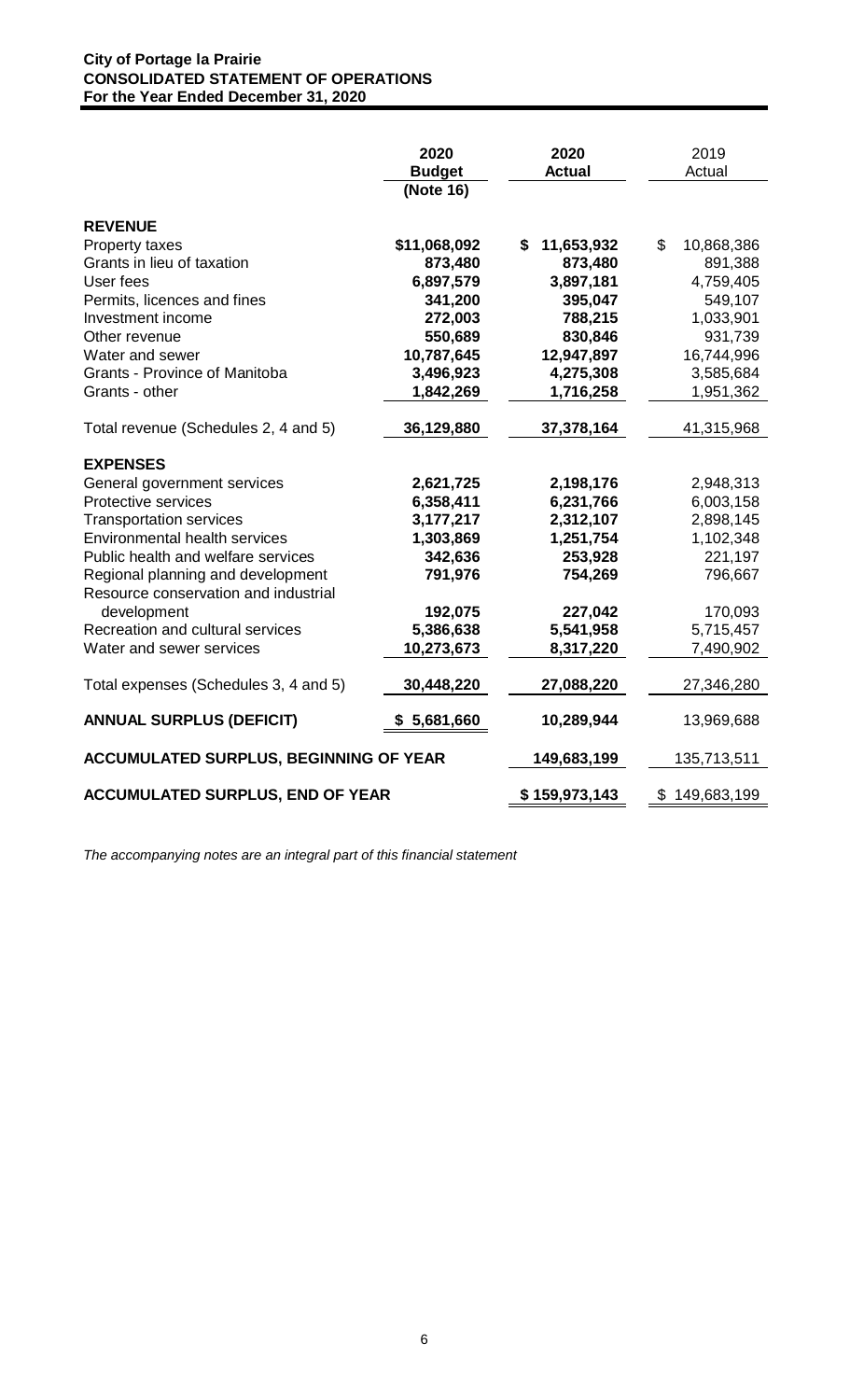### **City of Portage la Prairie CONSOLIDATED STATEMENT OF OPERATIONS For the Year Ended December 31, 2020**

|                                               | 2020<br><b>Budget</b><br>(Note 16) | 2020<br><b>Actual</b> | 2019<br>Actual   |
|-----------------------------------------------|------------------------------------|-----------------------|------------------|
| <b>REVENUE</b>                                |                                    |                       |                  |
| Property taxes                                | \$11,068,092                       | 11,653,932<br>\$      | \$<br>10,868,386 |
| Grants in lieu of taxation                    | 873,480                            | 873,480               | 891,388          |
| User fees                                     | 6,897,579                          | 3,897,181             | 4,759,405        |
| Permits, licences and fines                   | 341,200                            | 395,047               | 549,107          |
| Investment income                             | 272,003                            | 788,215               | 1,033,901        |
| Other revenue                                 | 550,689                            | 830,846               | 931,739          |
| Water and sewer                               | 10,787,645                         | 12,947,897            | 16,744,996       |
| <b>Grants - Province of Manitoba</b>          | 3,496,923                          | 4,275,308             | 3,585,684        |
| Grants - other                                | 1,842,269                          | 1,716,258             | 1,951,362        |
| Total revenue (Schedules 2, 4 and 5)          | 36,129,880                         | 37,378,164            | 41,315,968       |
| <b>EXPENSES</b>                               |                                    |                       |                  |
| General government services                   | 2,621,725                          | 2,198,176             | 2,948,313        |
| Protective services                           | 6,358,411                          | 6,231,766             | 6,003,158        |
| <b>Transportation services</b>                | 3,177,217                          | 2,312,107             | 2,898,145        |
| Environmental health services                 | 1,303,869                          | 1,251,754             | 1,102,348        |
| Public health and welfare services            | 342,636                            | 253,928               | 221,197          |
| Regional planning and development             | 791,976                            | 754,269               | 796,667          |
| Resource conservation and industrial          |                                    |                       |                  |
| development                                   | 192,075                            | 227,042               | 170,093          |
| Recreation and cultural services              | 5,386,638                          | 5,541,958             | 5,715,457        |
| Water and sewer services                      | 10,273,673                         | 8,317,220             | 7,490,902        |
| Total expenses (Schedules 3, 4 and 5)         | 30,448,220                         | 27,088,220            | 27,346,280       |
| <b>ANNUAL SURPLUS (DEFICIT)</b>               | \$5,681,660                        | 10,289,944            | 13,969,688       |
| <b>ACCUMULATED SURPLUS, BEGINNING OF YEAR</b> |                                    | 149,683,199           | 135,713,511      |
| <b>ACCUMULATED SURPLUS, END OF YEAR</b>       |                                    | \$159,973,143         | \$149,683,199    |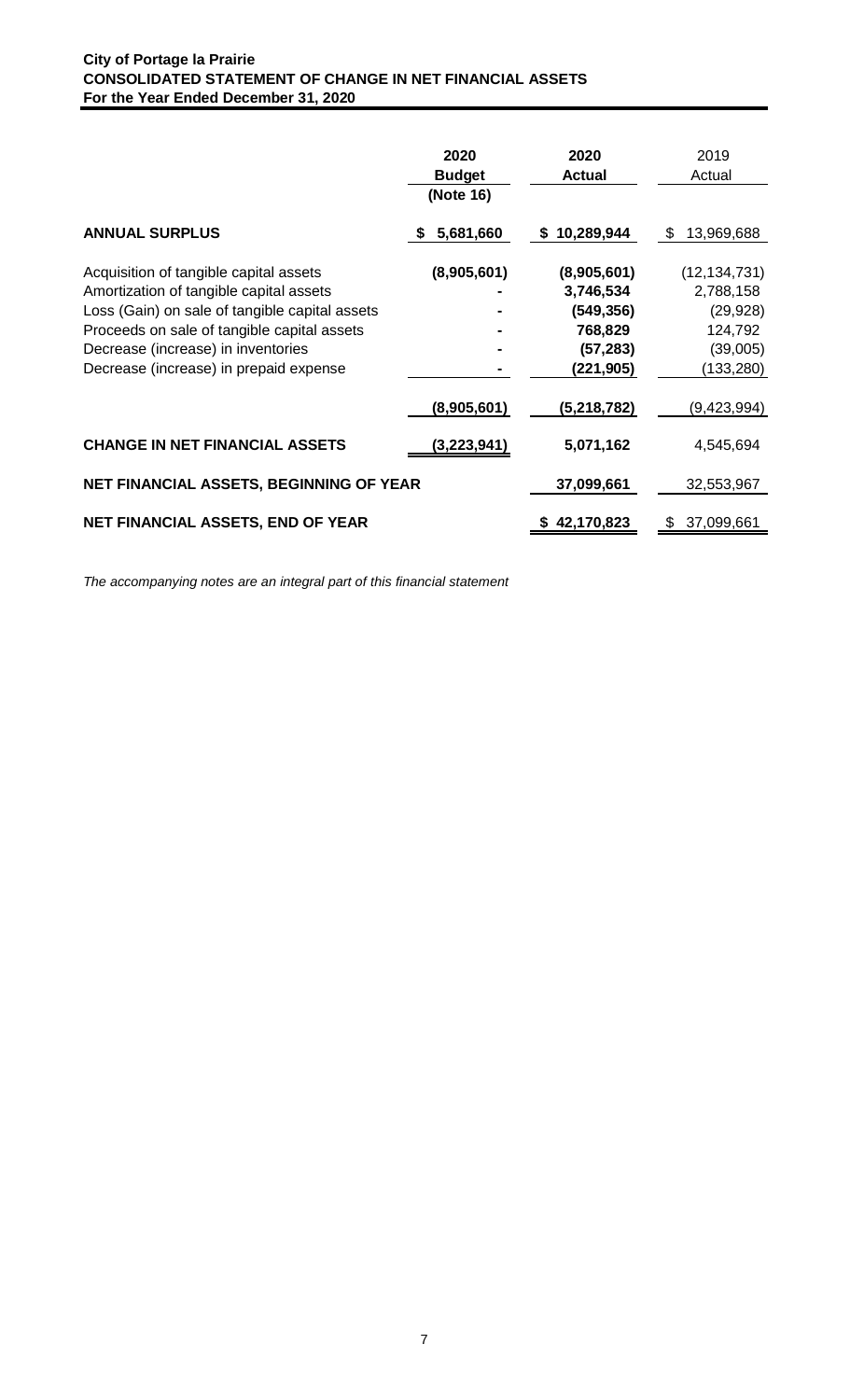### **City of Portage la Prairie CONSOLIDATED STATEMENT OF CHANGE IN NET FINANCIAL ASSETS For the Year Ended December 31, 2020**

|                                                                                                                                                                                                                                                                    | 2020<br><b>Budget</b><br>(Note 16) | 2020<br><b>Actual</b>                                                       | 2019<br>Actual                                                                |
|--------------------------------------------------------------------------------------------------------------------------------------------------------------------------------------------------------------------------------------------------------------------|------------------------------------|-----------------------------------------------------------------------------|-------------------------------------------------------------------------------|
| <b>ANNUAL SURPLUS</b>                                                                                                                                                                                                                                              | 5,681,660<br>S                     | \$10,289,944                                                                | 13,969,688<br>\$                                                              |
| Acquisition of tangible capital assets<br>Amortization of tangible capital assets<br>Loss (Gain) on sale of tangible capital assets<br>Proceeds on sale of tangible capital assets<br>Decrease (increase) in inventories<br>Decrease (increase) in prepaid expense | (8,905,601)                        | (8,905,601)<br>3,746,534<br>(549, 356)<br>768,829<br>(57, 283)<br>(221,905) | (12, 134, 731)<br>2,788,158<br>(29, 928)<br>124,792<br>(39,005)<br>(133, 280) |
|                                                                                                                                                                                                                                                                    | (8,905,601)                        | (5,218,782)                                                                 | (9,423,994)                                                                   |
| <b>CHANGE IN NET FINANCIAL ASSETS</b>                                                                                                                                                                                                                              | (3,223,941)                        | 5,071,162                                                                   | 4,545,694                                                                     |
| <b>NET FINANCIAL ASSETS, BEGINNING OF YEAR</b>                                                                                                                                                                                                                     |                                    | 37,099,661                                                                  | 32,553,967                                                                    |
| <b>NET FINANCIAL ASSETS, END OF YEAR</b>                                                                                                                                                                                                                           |                                    | 42,170,823                                                                  | 37,099,661                                                                    |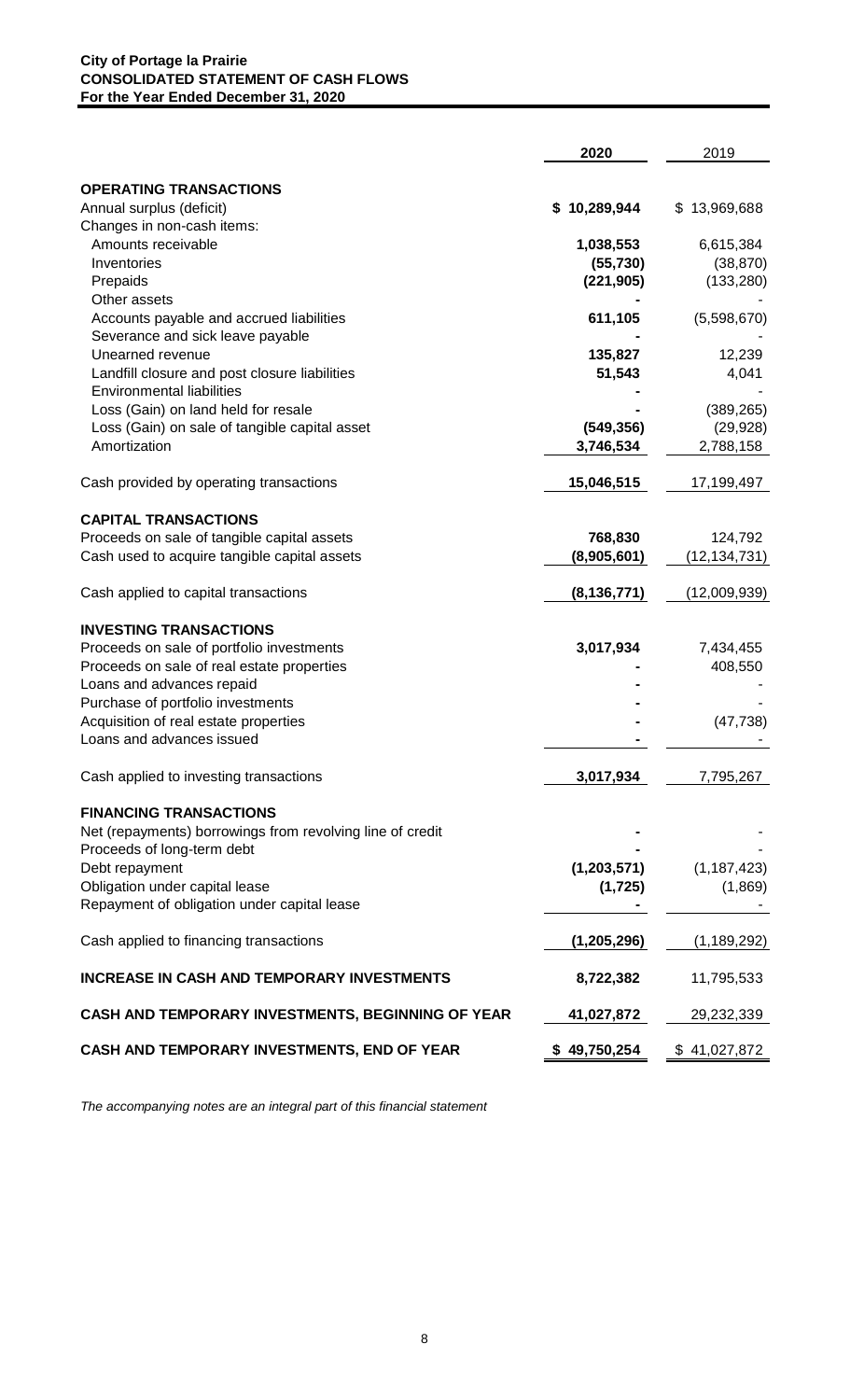### **City of Portage la Prairie CONSOLIDATED STATEMENT OF CASH FLOWS For the Year Ended December 31, 2020**

| <b>OPERATING TRANSACTIONS</b><br>\$10,289,944<br>Annual surplus (deficit)<br>\$<br>Changes in non-cash items:<br>Amounts receivable<br>1,038,553<br>Inventories<br>(55, 730)<br>(221, 905)<br>Prepaids<br>Other assets<br>611,105<br>Accounts payable and accrued liabilities<br>Severance and sick leave payable<br>Unearned revenue<br>135,827<br>Landfill closure and post closure liabilities<br>51,543<br><b>Environmental liabilities</b> |                |
|-------------------------------------------------------------------------------------------------------------------------------------------------------------------------------------------------------------------------------------------------------------------------------------------------------------------------------------------------------------------------------------------------------------------------------------------------|----------------|
|                                                                                                                                                                                                                                                                                                                                                                                                                                                 |                |
|                                                                                                                                                                                                                                                                                                                                                                                                                                                 | 13,969,688     |
|                                                                                                                                                                                                                                                                                                                                                                                                                                                 |                |
|                                                                                                                                                                                                                                                                                                                                                                                                                                                 | 6,615,384      |
|                                                                                                                                                                                                                                                                                                                                                                                                                                                 | (38, 870)      |
|                                                                                                                                                                                                                                                                                                                                                                                                                                                 | (133, 280)     |
|                                                                                                                                                                                                                                                                                                                                                                                                                                                 |                |
|                                                                                                                                                                                                                                                                                                                                                                                                                                                 | (5,598,670)    |
|                                                                                                                                                                                                                                                                                                                                                                                                                                                 |                |
|                                                                                                                                                                                                                                                                                                                                                                                                                                                 | 12,239         |
|                                                                                                                                                                                                                                                                                                                                                                                                                                                 | 4,041          |
|                                                                                                                                                                                                                                                                                                                                                                                                                                                 |                |
| Loss (Gain) on land held for resale                                                                                                                                                                                                                                                                                                                                                                                                             | (389, 265)     |
| Loss (Gain) on sale of tangible capital asset<br>(549, 356)                                                                                                                                                                                                                                                                                                                                                                                     | (29, 928)      |
| Amortization<br>3,746,534                                                                                                                                                                                                                                                                                                                                                                                                                       | 2,788,158      |
| Cash provided by operating transactions<br>15,046,515                                                                                                                                                                                                                                                                                                                                                                                           | 17,199,497     |
|                                                                                                                                                                                                                                                                                                                                                                                                                                                 |                |
| <b>CAPITAL TRANSACTIONS</b>                                                                                                                                                                                                                                                                                                                                                                                                                     |                |
| Proceeds on sale of tangible capital assets<br>768,830                                                                                                                                                                                                                                                                                                                                                                                          | 124,792        |
| Cash used to acquire tangible capital assets<br>(8,905,601)                                                                                                                                                                                                                                                                                                                                                                                     | (12, 134, 731) |
| Cash applied to capital transactions<br>(8, 136, 771)                                                                                                                                                                                                                                                                                                                                                                                           | (12,009,939)   |
| <b>INVESTING TRANSACTIONS</b>                                                                                                                                                                                                                                                                                                                                                                                                                   |                |
| Proceeds on sale of portfolio investments<br>3,017,934                                                                                                                                                                                                                                                                                                                                                                                          | 7,434,455      |
| Proceeds on sale of real estate properties                                                                                                                                                                                                                                                                                                                                                                                                      | 408,550        |
| Loans and advances repaid                                                                                                                                                                                                                                                                                                                                                                                                                       |                |
| Purchase of portfolio investments                                                                                                                                                                                                                                                                                                                                                                                                               |                |
| Acquisition of real estate properties                                                                                                                                                                                                                                                                                                                                                                                                           | (47, 738)      |
| Loans and advances issued                                                                                                                                                                                                                                                                                                                                                                                                                       |                |
| Cash applied to investing transactions<br>3,017,934                                                                                                                                                                                                                                                                                                                                                                                             | 7,795,267      |
| <b>FINANCING TRANSACTIONS</b>                                                                                                                                                                                                                                                                                                                                                                                                                   |                |
| Net (repayments) borrowings from revolving line of credit                                                                                                                                                                                                                                                                                                                                                                                       |                |
| Proceeds of long-term debt                                                                                                                                                                                                                                                                                                                                                                                                                      |                |
| Debt repayment<br>(1, 203, 571)                                                                                                                                                                                                                                                                                                                                                                                                                 | (1, 187, 423)  |
| Obligation under capital lease<br>(1, 725)                                                                                                                                                                                                                                                                                                                                                                                                      | (1,869)        |
| Repayment of obligation under capital lease                                                                                                                                                                                                                                                                                                                                                                                                     |                |
| Cash applied to financing transactions<br>(1, 205, 296)                                                                                                                                                                                                                                                                                                                                                                                         | (1, 189, 292)  |
| <b>INCREASE IN CASH AND TEMPORARY INVESTMENTS</b><br>8,722,382                                                                                                                                                                                                                                                                                                                                                                                  | 11,795,533     |
| CASH AND TEMPORARY INVESTMENTS, BEGINNING OF YEAR<br>41,027,872                                                                                                                                                                                                                                                                                                                                                                                 | 29,232,339     |
| CASH AND TEMPORARY INVESTMENTS, END OF YEAR<br>\$49,750,254                                                                                                                                                                                                                                                                                                                                                                                     | \$41,027,872   |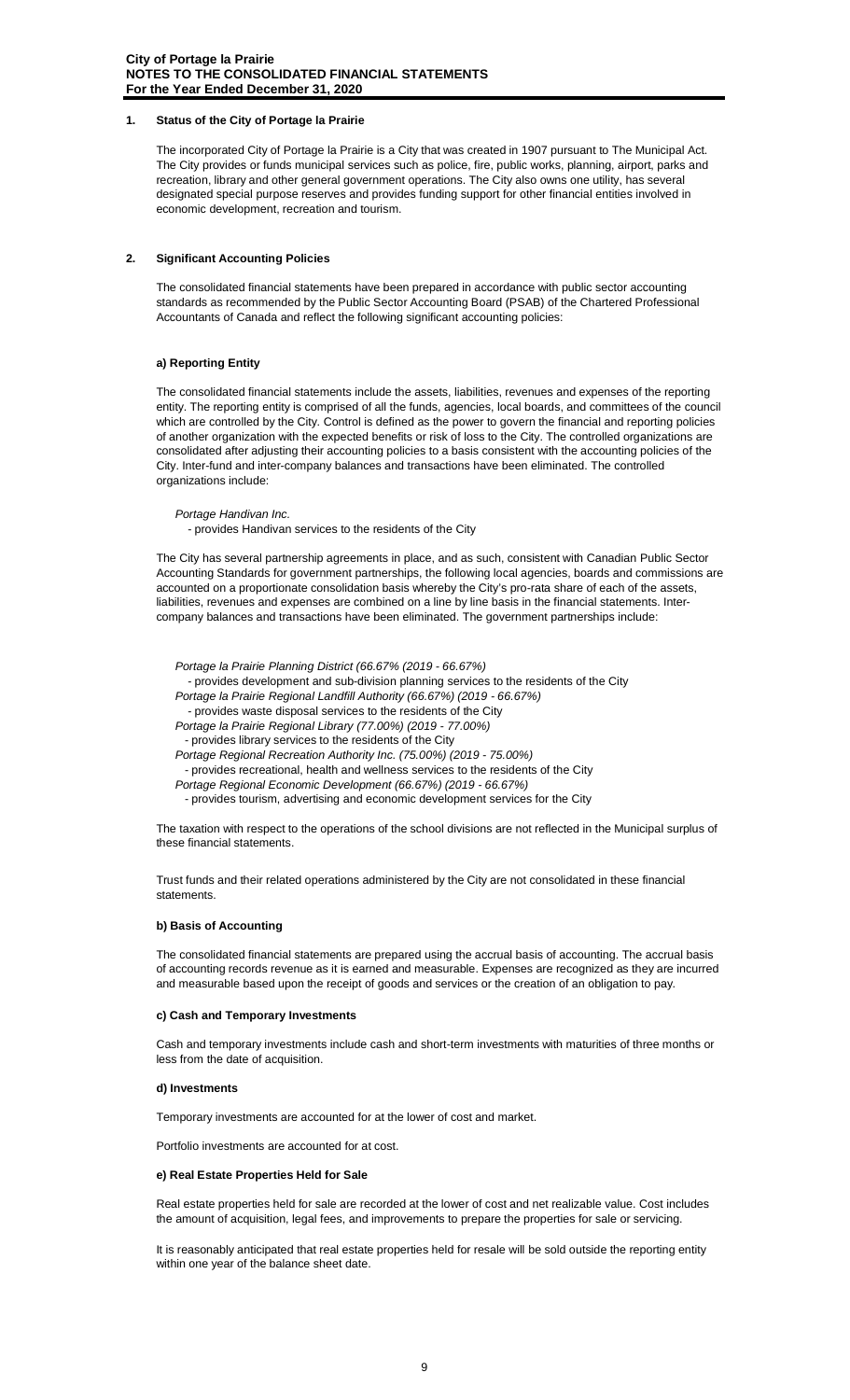#### **1. Status of the City of Portage la Prairie**

The incorporated City of Portage la Prairie is a City that was created in 1907 pursuant to The Municipal Act. The City provides or funds municipal services such as police, fire, public works, planning, airport, parks and recreation, library and other general government operations. The City also owns one utility, has several designated special purpose reserves and provides funding support for other financial entities involved in economic development, recreation and tourism.

#### **2. Significant Accounting Policies**

The consolidated financial statements have been prepared in accordance with public sector accounting standards as recommended by the Public Sector Accounting Board (PSAB) of the Chartered Professional Accountants of Canada and reflect the following significant accounting policies:

#### **a) Reporting Entity**

The consolidated financial statements include the assets, liabilities, revenues and expenses of the reporting entity. The reporting entity is comprised of all the funds, agencies, local boards, and committees of the council which are controlled by the City. Control is defined as the power to govern the financial and reporting policies of another organization with the expected benefits or risk of loss to the City. The controlled organizations are consolidated after adjusting their accounting policies to a basis consistent with the accounting policies of the City. Inter-fund and inter-company balances and transactions have been eliminated. The controlled organizations include:

#### *Portage Handivan Inc.*

- provides Handivan services to the residents of the City

The City has several partnership agreements in place, and as such, consistent with Canadian Public Sector Accounting Standards for government partnerships, the following local agencies, boards and commissions are accounted on a proportionate consolidation basis whereby the City's pro-rata share of each of the assets, liabilities, revenues and expenses are combined on a line by line basis in the financial statements. Intercompany balances and transactions have been eliminated. The government partnerships include:

*Portage la Prairie Planning District (66.67% (2019 - 66.67%)* - provides development and sub-division planning services to the residents of the City

- *Portage la Prairie Regional Landfill Authority (66.67%) (2019 66.67%)*
- provides waste disposal services to the residents of the City
- *Portage la Prairie Regional Library (77.00%) (2019 77.00%)*
- provides library services to the residents of the City
- *Portage Regional Recreation Authority Inc. (75.00%) (2019 75.00%)*
- provides recreational, health and wellness services to the residents of the City
- *Portage Regional Economic Development (66.67%) (2019 66.67%)*
	- provides tourism, advertising and economic development services for the City

The taxation with respect to the operations of the school divisions are not reflected in the Municipal surplus of these financial statements.

Trust funds and their related operations administered by the City are not consolidated in these financial statements.

#### **b) Basis of Accounting**

The consolidated financial statements are prepared using the accrual basis of accounting. The accrual basis of accounting records revenue as it is earned and measurable. Expenses are recognized as they are incurred and measurable based upon the receipt of goods and services or the creation of an obligation to pay.

#### **c) Cash and Temporary Investments**

Cash and temporary investments include cash and short-term investments with maturities of three months or less from the date of acquisition.

#### **d) Investments**

Temporary investments are accounted for at the lower of cost and market.

Portfolio investments are accounted for at cost.

#### **e) Real Estate Properties Held for Sale**

Real estate properties held for sale are recorded at the lower of cost and net realizable value. Cost includes the amount of acquisition, legal fees, and improvements to prepare the properties for sale or servicing.

It is reasonably anticipated that real estate properties held for resale will be sold outside the reporting entity within one year of the balance sheet date.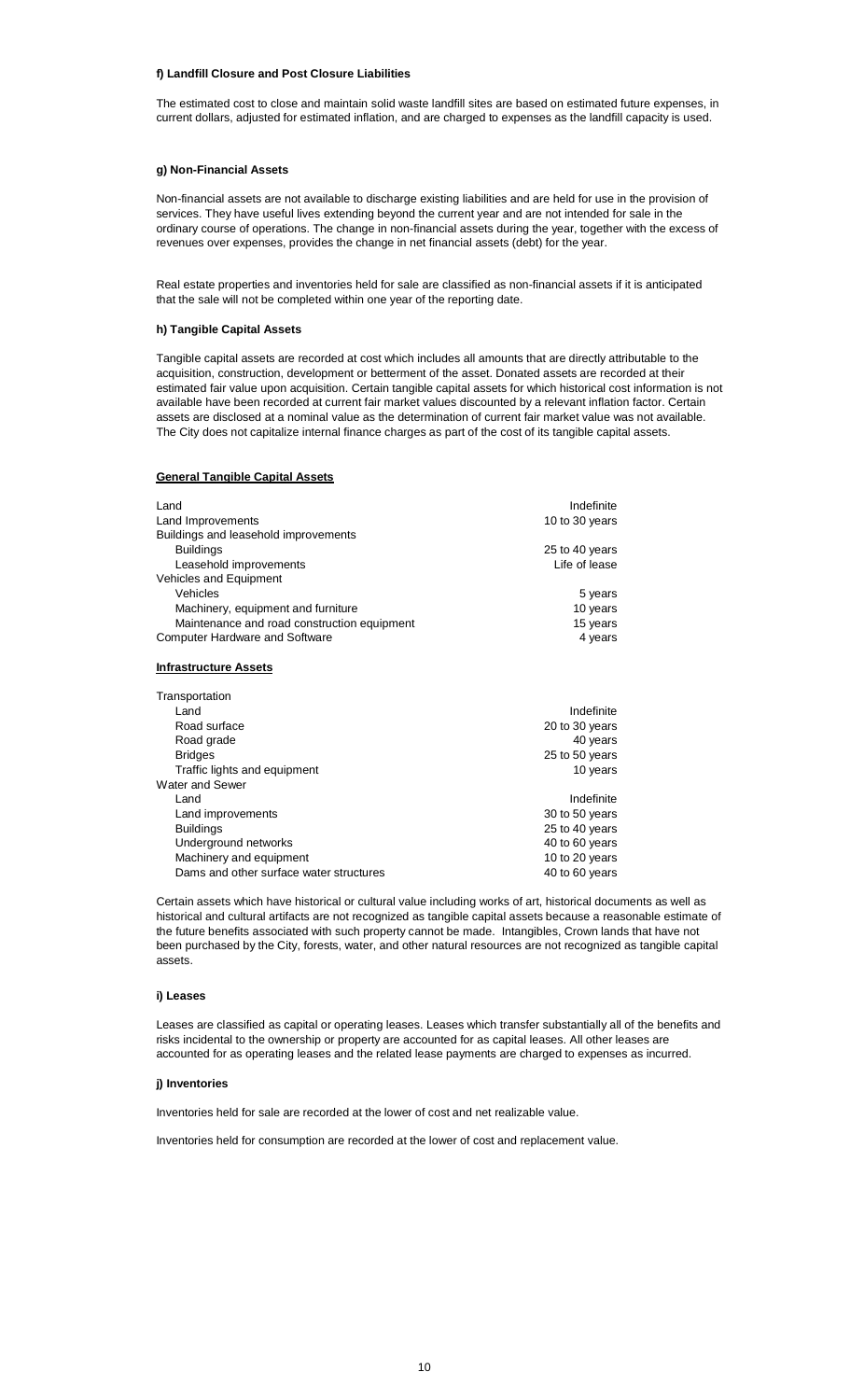#### **f) Landfill Closure and Post Closure Liabilities**

The estimated cost to close and maintain solid waste landfill sites are based on estimated future expenses, in current dollars, adjusted for estimated inflation, and are charged to expenses as the landfill capacity is used.

#### **g) Non-Financial Assets**

Non-financial assets are not available to discharge existing liabilities and are held for use in the provision of services. They have useful lives extending beyond the current year and are not intended for sale in the ordinary course of operations. The change in non-financial assets during the year, together with the excess of revenues over expenses, provides the change in net financial assets (debt) for the year.

Real estate properties and inventories held for sale are classified as non-financial assets if it is anticipated that the sale will not be completed within one year of the reporting date.

#### **h) Tangible Capital Assets**

Tangible capital assets are recorded at cost which includes all amounts that are directly attributable to the acquisition, construction, development or betterment of the asset. Donated assets are recorded at their estimated fair value upon acquisition. Certain tangible capital assets for which historical cost information is not available have been recorded at current fair market values discounted by a relevant inflation factor. Certain assets are disclosed at a nominal value as the determination of current fair market value was not available. The City does not capitalize internal finance charges as part of the cost of its tangible capital assets.

#### **General Tangible Capital Assets**

| Land                                        | Indefinite     |
|---------------------------------------------|----------------|
| Land Improvements                           | 10 to 30 years |
| Buildings and leasehold improvements        |                |
| <b>Buildings</b>                            | 25 to 40 years |
| Leasehold improvements                      | Life of lease  |
| Vehicles and Equipment                      |                |
| Vehicles                                    | 5 years        |
| Machinery, equipment and furniture          | 10 years       |
| Maintenance and road construction equipment | 15 years       |
| <b>Computer Hardware and Software</b>       | 4 years        |

#### **Infrastructure Assets**

| Transportation                          |                |
|-----------------------------------------|----------------|
| Land                                    | Indefinite     |
| Road surface                            | 20 to 30 years |
| Road grade                              | 40 years       |
| <b>Bridges</b>                          | 25 to 50 years |
| Traffic lights and equipment            | 10 years       |
| Water and Sewer                         |                |
| Land                                    | Indefinite     |
| Land improvements                       | 30 to 50 years |
| <b>Buildings</b>                        | 25 to 40 years |
| Underground networks                    | 40 to 60 years |
| Machinery and equipment                 | 10 to 20 years |
| Dams and other surface water structures | 40 to 60 years |
|                                         |                |

Certain assets which have historical or cultural value including works of art, historical documents as well as historical and cultural artifacts are not recognized as tangible capital assets because a reasonable estimate of the future benefits associated with such property cannot be made. Intangibles, Crown lands that have not been purchased by the City, forests, water, and other natural resources are not recognized as tangible capital assets.

#### **i) Leases**

Leases are classified as capital or operating leases. Leases which transfer substantially all of the benefits and risks incidental to the ownership or property are accounted for as capital leases. All other leases are accounted for as operating leases and the related lease payments are charged to expenses as incurred.

#### **j) Inventories**

Inventories held for sale are recorded at the lower of cost and net realizable value.

Inventories held for consumption are recorded at the lower of cost and replacement value.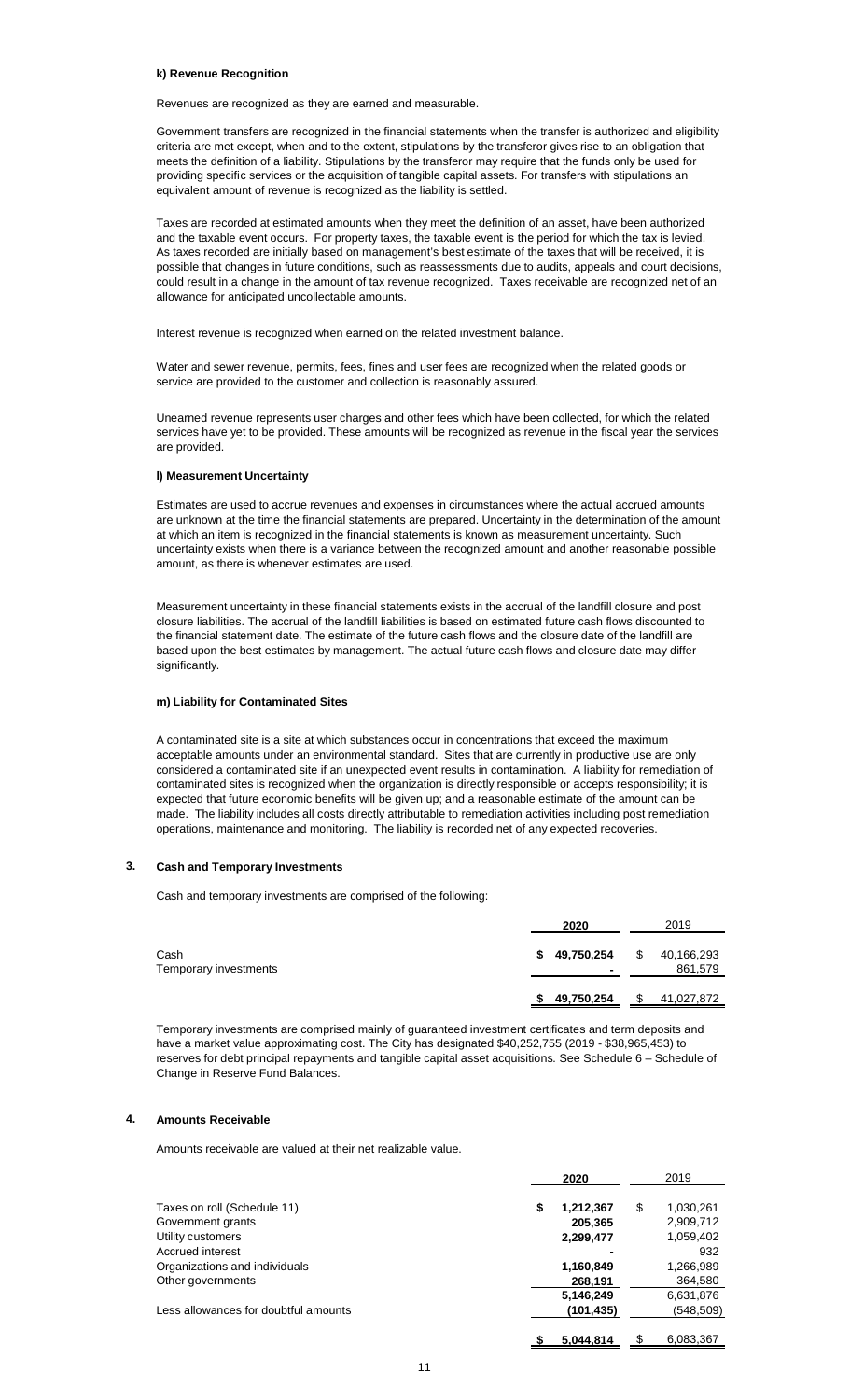#### **k) Revenue Recognition**

Revenues are recognized as they are earned and measurable.

Government transfers are recognized in the financial statements when the transfer is authorized and eligibility criteria are met except, when and to the extent, stipulations by the transferor gives rise to an obligation that meets the definition of a liability. Stipulations by the transferor may require that the funds only be used for providing specific services or the acquisition of tangible capital assets. For transfers with stipulations an equivalent amount of revenue is recognized as the liability is settled.

Taxes are recorded at estimated amounts when they meet the definition of an asset, have been authorized and the taxable event occurs. For property taxes, the taxable event is the period for which the tax is levied. As taxes recorded are initially based on management's best estimate of the taxes that will be received, it is possible that changes in future conditions, such as reassessments due to audits, appeals and court decisions, could result in a change in the amount of tax revenue recognized. Taxes receivable are recognized net of an allowance for anticipated uncollectable amounts.

Interest revenue is recognized when earned on the related investment balance.

Water and sewer revenue, permits, fees, fines and user fees are recognized when the related goods or service are provided to the customer and collection is reasonably assured.

Unearned revenue represents user charges and other fees which have been collected, for which the related services have yet to be provided. These amounts will be recognized as revenue in the fiscal year the services are provided.

#### **l) Measurement Uncertainty**

Estimates are used to accrue revenues and expenses in circumstances where the actual accrued amounts are unknown at the time the financial statements are prepared. Uncertainty in the determination of the amount at which an item is recognized in the financial statements is known as measurement uncertainty. Such uncertainty exists when there is a variance between the recognized amount and another reasonable possible amount, as there is whenever estimates are used.

Measurement uncertainty in these financial statements exists in the accrual of the landfill closure and post closure liabilities. The accrual of the landfill liabilities is based on estimated future cash flows discounted to the financial statement date. The estimate of the future cash flows and the closure date of the landfill are based upon the best estimates by management. The actual future cash flows and closure date may differ significantly.

#### **m) Liability for Contaminated Sites**

A contaminated site is a site at which substances occur in concentrations that exceed the maximum acceptable amounts under an environmental standard. Sites that are currently in productive use are only considered a contaminated site if an unexpected event results in contamination. A liability for remediation of contaminated sites is recognized when the organization is directly responsible or accepts responsibility; it is expected that future economic benefits will be given up; and a reasonable estimate of the amount can be made. The liability includes all costs directly attributable to remediation activities including post remediation operations, maintenance and monitoring. The liability is recorded net of any expected recoveries.

#### **3. Cash and Temporary Investments**

Cash and temporary investments are comprised of the following:

|                               | 2020             | 2019                        |
|-------------------------------|------------------|-----------------------------|
| Cash<br>Temporary investments | 49,750,254<br>S. | \$<br>40,166,293<br>861,579 |
|                               | 49,750,254       | 41,027,872                  |

Temporary investments are comprised mainly of guaranteed investment certificates and term deposits and have a market value approximating cost. The City has designated \$40,252,755 (2019 - \$38,965,453) to reserves for debt principal repayments and tangible capital asset acquisitions. See Schedule 6 – Schedule of Change in Reserve Fund Balances.

#### **4. Amounts Receivable**

Amounts receivable are valued at their net realizable value.

|                                      |   | 2020      | 2019            |
|--------------------------------------|---|-----------|-----------------|
| Taxes on roll (Schedule 11)          | S | 1,212,367 | \$<br>1,030,261 |
| Government grants                    |   | 205,365   | 2,909,712       |
| Utility customers                    |   | 2,299,477 | 1,059,402       |
| Accrued interest                     |   |           | 932             |
| Organizations and individuals        |   | 1,160,849 | 1,266,989       |
| Other governments                    |   | 268,191   | 364,580         |
|                                      |   | 5,146,249 | 6,631,876       |
| Less allowances for doubtful amounts |   | (101,435) | (548,509)       |
|                                      |   | 5,044,814 | 6,083,367       |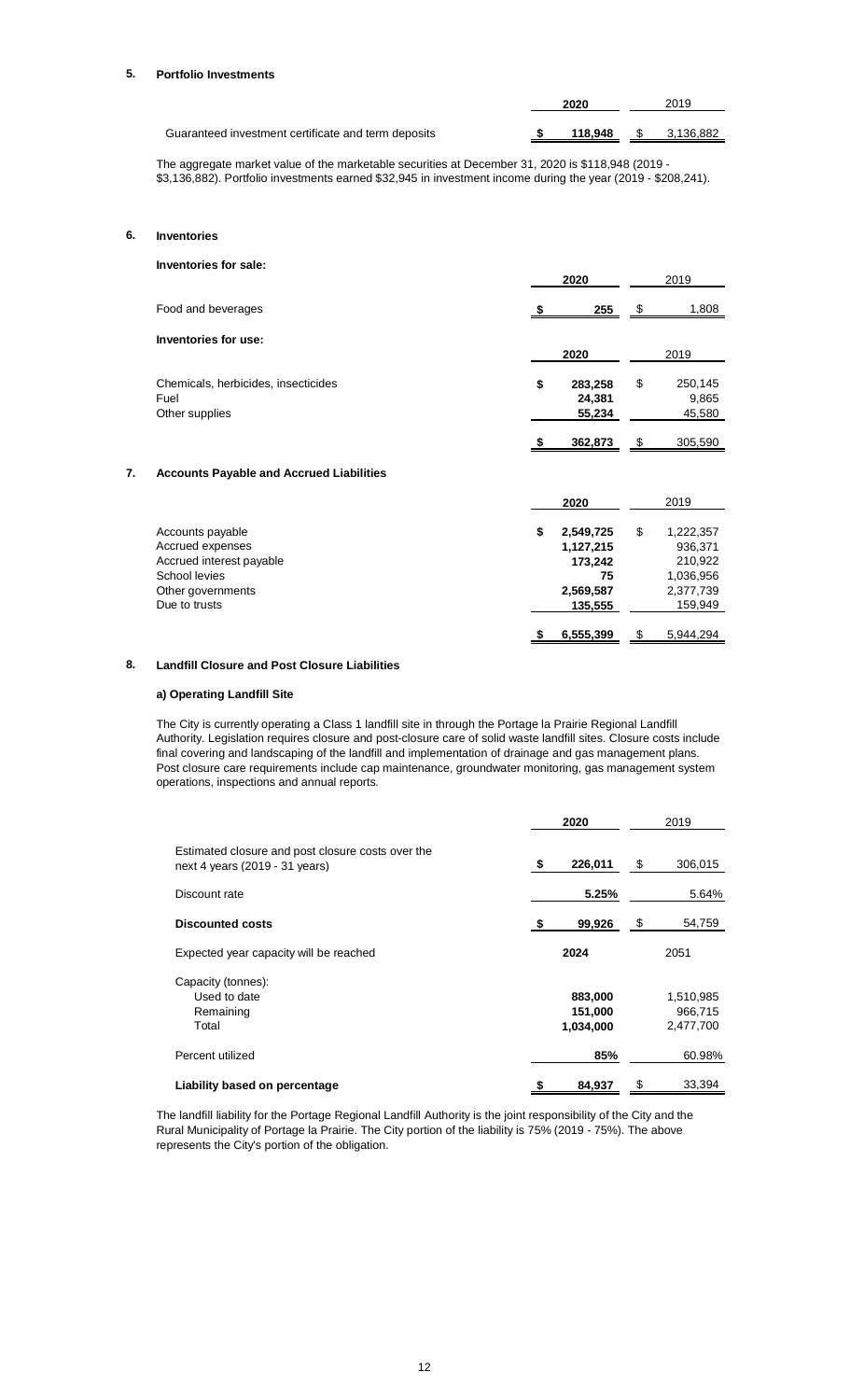#### **5. Portfolio Investments**

|                                                     | 2020 |         | 2019 |           |
|-----------------------------------------------------|------|---------|------|-----------|
| Guaranteed investment certificate and term deposits |      | 118.948 | - S  | 3.136.882 |

The aggregate market value of the marketable securities at December 31, 2020 is \$118,948 (2019 - \$3,136,882). Portfolio investments earned \$32,945 in investment income during the year (2019 - \$208,241).

#### **6. Inventories**

|    | Inventories for sale:                                                                                                   | 2020                                                                  |               | 2019                                                                 |
|----|-------------------------------------------------------------------------------------------------------------------------|-----------------------------------------------------------------------|---------------|----------------------------------------------------------------------|
|    | Food and beverages                                                                                                      | <b>255</b>                                                            | - \$          | 1,808                                                                |
|    | Inventories for use:                                                                                                    |                                                                       |               |                                                                      |
|    | Chemicals, herbicides, insecticides<br>Fuel<br>Other supplies                                                           | \$<br>2020<br>283,258<br>24,381<br>55,234                             | \$            | 2019<br>250,145<br>9,865<br>45,580                                   |
|    |                                                                                                                         | 362,873                                                               | $\frac{3}{2}$ | 305,590                                                              |
| 7. | <b>Accounts Payable and Accrued Liabilities</b>                                                                         |                                                                       |               |                                                                      |
|    |                                                                                                                         | 2020                                                                  |               | 2019                                                                 |
|    | Accounts payable<br>Accrued expenses<br>Accrued interest payable<br>School levies<br>Other governments<br>Due to trusts | \$<br>2,549,725<br>1,127,215<br>173,242<br>75<br>2,569,587<br>135,555 | \$            | 1,222,357<br>936,371<br>210,922<br>1,036,956<br>2,377,739<br>159,949 |
|    |                                                                                                                         | \$<br>6,555,399                                                       | \$            | 5,944,294                                                            |

#### **8. Landfill Closure and Post Closure Liabilities**

#### **a) Operating Landfill Site**

The City is currently operating a Class 1 landfill site in through the Portage la Prairie Regional Landfill Authority. Legislation requires closure and post-closure care of solid waste landfill sites. Closure costs include final covering and landscaping of the landfill and implementation of drainage and gas management plans. Post closure care requirements include cap maintenance, groundwater monitoring, gas management system operations, inspections and annual reports.

|                                                                                                      | 2020 |                                 | 2019 |                                   |
|------------------------------------------------------------------------------------------------------|------|---------------------------------|------|-----------------------------------|
| Estimated closure and post closure costs over the<br>next 4 years (2019 - 31 years)<br>Discount rate | \$   | 226,011<br>5.25%                | \$   | 306,015<br>5.64%                  |
| <b>Discounted costs</b>                                                                              | \$   | 99,926                          | \$   | 54,759                            |
| Expected year capacity will be reached                                                               |      | 2024                            |      | 2051                              |
| Capacity (tonnes):<br>Used to date<br>Remaining<br>Total                                             |      | 883,000<br>151,000<br>1,034,000 |      | 1,510,985<br>966,715<br>2,477,700 |
| Percent utilized                                                                                     |      | 85%                             |      | 60.98%                            |
| Liability based on percentage                                                                        |      | 84,937                          |      | 33,394                            |

The landfill liability for the Portage Regional Landfill Authority is the joint responsibility of the City and the Rural Municipality of Portage la Prairie. The City portion of the liability is 75% (2019 - 75%). The above represents the City's portion of the obligation.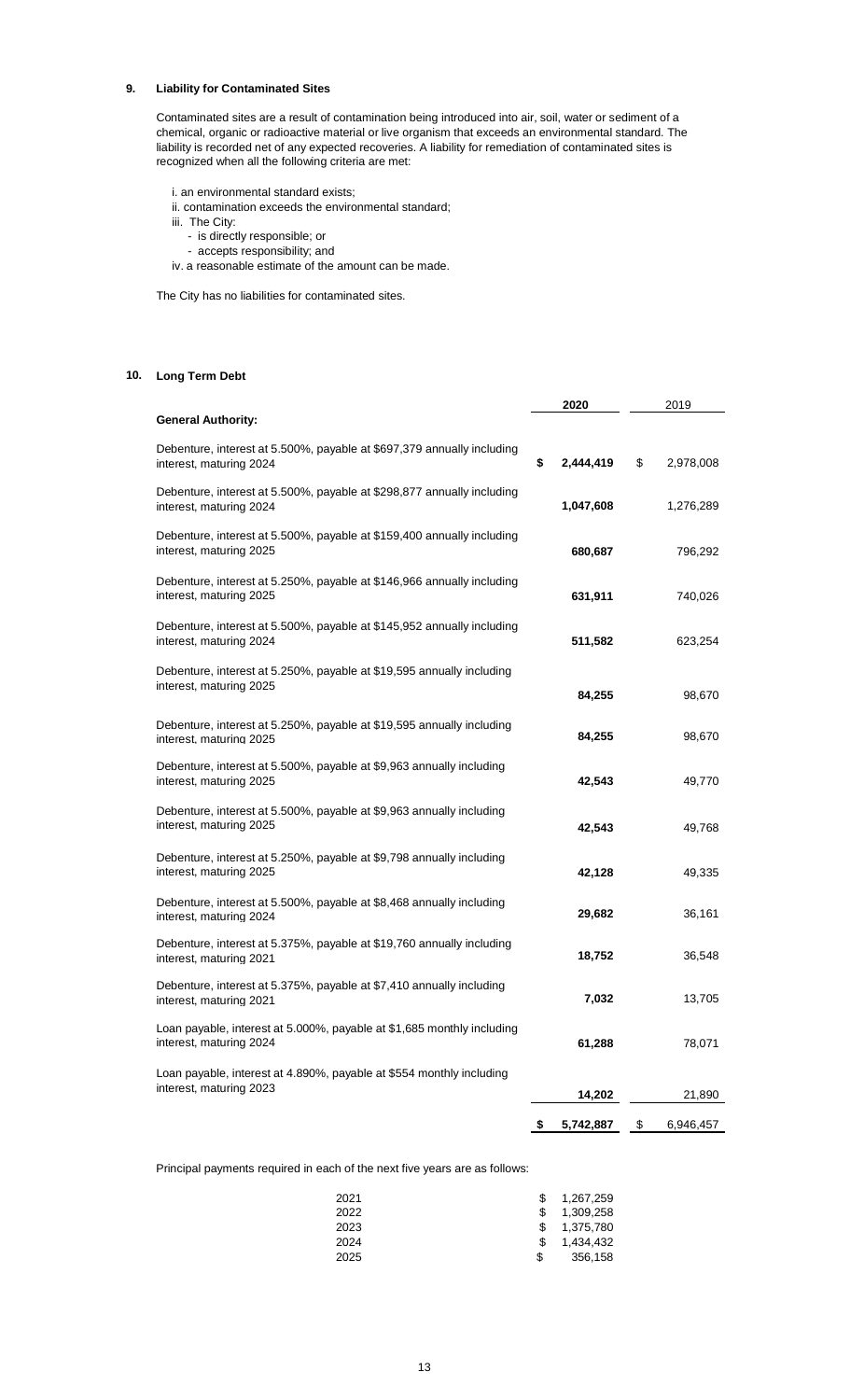#### **9. Liability for Contaminated Sites**

Contaminated sites are a result of contamination being introduced into air, soil, water or sediment of a chemical, organic or radioactive material or live organism that exceeds an environmental standard. The liability is recorded net of any expected recoveries. A liability for remediation of contaminated sites is recognized when all the following criteria are met:

i. an environmental standard exists;

- ii. contamination exceeds the environmental standard;
- iii. The City:
	- is directly responsible; or
	- accepts responsibility; and
- iv. a reasonable estimate of the amount can be made.

The City has no liabilities for contaminated sites.

### **10. Long Term Debt**

|                                                                                                   | 2020 |           |    |           |  |
|---------------------------------------------------------------------------------------------------|------|-----------|----|-----------|--|
| <b>General Authority:</b>                                                                         |      |           |    |           |  |
| Debenture, interest at 5.500%, payable at \$697,379 annually including<br>interest, maturing 2024 | \$   | 2,444,419 | \$ | 2,978,008 |  |
| Debenture, interest at 5.500%, payable at \$298,877 annually including<br>interest, maturing 2024 |      | 1,047,608 |    | 1,276,289 |  |
| Debenture, interest at 5.500%, payable at \$159,400 annually including<br>interest, maturing 2025 |      | 680,687   |    | 796,292   |  |
| Debenture, interest at 5.250%, payable at \$146,966 annually including<br>interest, maturing 2025 |      | 631,911   |    | 740,026   |  |
| Debenture, interest at 5.500%, payable at \$145,952 annually including<br>interest, maturing 2024 |      | 511,582   |    | 623,254   |  |
| Debenture, interest at 5.250%, payable at \$19,595 annually including                             |      |           |    |           |  |
| interest, maturing 2025                                                                           |      | 84,255    |    | 98,670    |  |
| Debenture, interest at 5.250%, payable at \$19,595 annually including<br>interest. maturing 2025  |      | 84,255    |    | 98,670    |  |
| Debenture, interest at 5.500%, payable at \$9,963 annually including<br>interest, maturing 2025   |      | 42,543    |    | 49,770    |  |
| Debenture, interest at 5.500%, payable at \$9,963 annually including<br>interest, maturing 2025   |      | 42,543    |    | 49,768    |  |
| Debenture, interest at 5.250%, payable at \$9,798 annually including<br>interest, maturing 2025   |      | 42,128    |    | 49,335    |  |
| Debenture, interest at 5.500%, payable at \$8,468 annually including<br>interest, maturing 2024   |      | 29,682    |    | 36,161    |  |
| Debenture, interest at 5.375%, payable at \$19,760 annually including<br>interest, maturing 2021  |      | 18,752    |    | 36,548    |  |
| Debenture, interest at 5.375%, payable at \$7,410 annually including<br>interest, maturing 2021   |      | 7,032     |    | 13,705    |  |
| Loan payable, interest at 5.000%, payable at \$1,685 monthly including<br>interest, maturing 2024 |      | 61,288    |    | 78,071    |  |
| Loan payable, interest at 4.890%, payable at \$554 monthly including                              |      |           |    |           |  |
| interest, maturing 2023                                                                           |      | 14,202    |    | 21,890    |  |
|                                                                                                   | \$   | 5,742,887 | \$ | 6,946,457 |  |

Principal payments required in each of the next five years are as follows:

| 2021 |    | 1.267.259 |
|------|----|-----------|
| 2022 |    | 1,309,258 |
| 2023 |    | 1.375.780 |
| 2024 |    | 1.434.432 |
| 2025 | S. | 356,158   |
|      |    |           |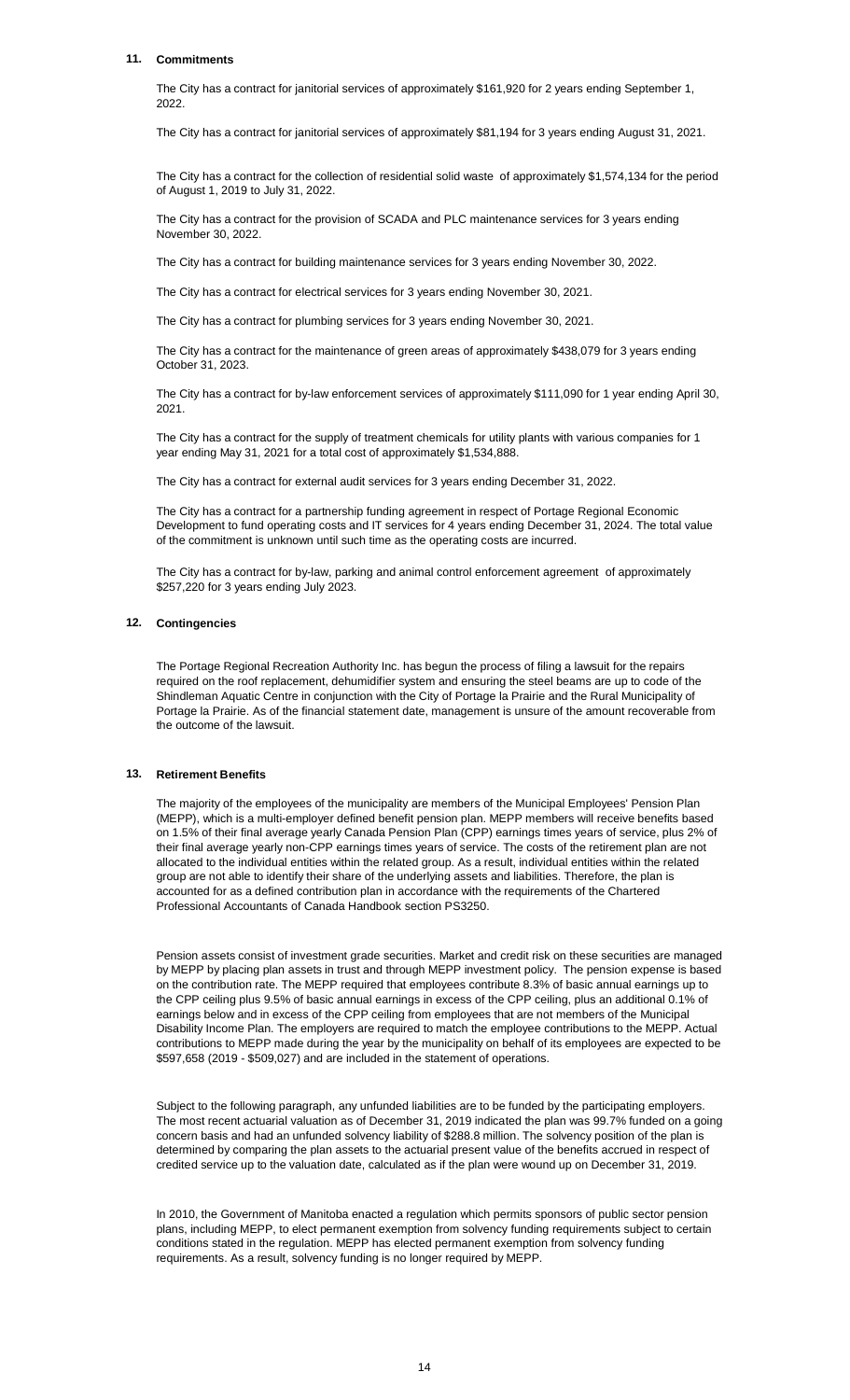#### **11. Commitments**

The City has a contract for janitorial services of approximately \$161,920 for 2 years ending September 1, 2022.

The City has a contract for janitorial services of approximately \$81,194 for 3 years ending August 31, 2021.

The City has a contract for the collection of residential solid waste of approximately \$1,574,134 for the period of August 1, 2019 to July 31, 2022.

The City has a contract for the provision of SCADA and PLC maintenance services for 3 years ending November 30, 2022.

The City has a contract for building maintenance services for 3 years ending November 30, 2022.

The City has a contract for electrical services for 3 years ending November 30, 2021.

The City has a contract for plumbing services for 3 years ending November 30, 2021.

The City has a contract for the maintenance of green areas of approximately \$438,079 for 3 years ending October 31, 2023.

The City has a contract for by-law enforcement services of approximately \$111,090 for 1 year ending April 30, 2021.

The City has a contract for the supply of treatment chemicals for utility plants with various companies for 1 year ending May 31, 2021 for a total cost of approximately \$1,534,888.

The City has a contract for external audit services for 3 years ending December 31, 2022.

The City has a contract for a partnership funding agreement in respect of Portage Regional Economic Development to fund operating costs and IT services for 4 years ending December 31, 2024. The total value of the commitment is unknown until such time as the operating costs are incurred.

The City has a contract for by-law, parking and animal control enforcement agreement of approximately \$257,220 for 3 years ending July 2023.

#### **12. Contingencies**

The Portage Regional Recreation Authority Inc. has begun the process of filing a lawsuit for the repairs required on the roof replacement, dehumidifier system and ensuring the steel beams are up to code of the Shindleman Aquatic Centre in conjunction with the City of Portage la Prairie and the Rural Municipality of Portage la Prairie. As of the financial statement date, management is unsure of the amount recoverable from the outcome of the lawsuit.

#### **13. Retirement Benefits**

The majority of the employees of the municipality are members of the Municipal Employees' Pension Plan (MEPP), which is a multi-employer defined benefit pension plan. MEPP members will receive benefits based on 1.5% of their final average yearly Canada Pension Plan (CPP) earnings times years of service, plus 2% of their final average yearly non-CPP earnings times years of service. The costs of the retirement plan are not allocated to the individual entities within the related group. As a result, individual entities within the related group are not able to identify their share of the underlying assets and liabilities. Therefore, the plan is accounted for as a defined contribution plan in accordance with the requirements of the Chartered Professional Accountants of Canada Handbook section PS3250.

Pension assets consist of investment grade securities. Market and credit risk on these securities are managed by MEPP by placing plan assets in trust and through MEPP investment policy. The pension expense is based on the contribution rate. The MEPP required that employees contribute 8.3% of basic annual earnings up to the CPP ceiling plus 9.5% of basic annual earnings in excess of the CPP ceiling, plus an additional 0.1% of earnings below and in excess of the CPP ceiling from employees that are not members of the Municipal Disability Income Plan. The employers are required to match the employee contributions to the MEPP. Actual contributions to MEPP made during the year by the municipality on behalf of its employees are expected to be \$597,658 (2019 - \$509,027) and are included in the statement of operations.

Subject to the following paragraph, any unfunded liabilities are to be funded by the participating employers. The most recent actuarial valuation as of December 31, 2019 indicated the plan was 99.7% funded on a going concern basis and had an unfunded solvency liability of \$288.8 million. The solvency position of the plan is determined by comparing the plan assets to the actuarial present value of the benefits accrued in respect of credited service up to the valuation date, calculated as if the plan were wound up on December 31, 2019.

In 2010, the Government of Manitoba enacted a regulation which permits sponsors of public sector pension plans, including MEPP, to elect permanent exemption from solvency funding requirements subject to certain conditions stated in the regulation. MEPP has elected permanent exemption from solvency funding requirements. As a result, solvency funding is no longer required by MEPP.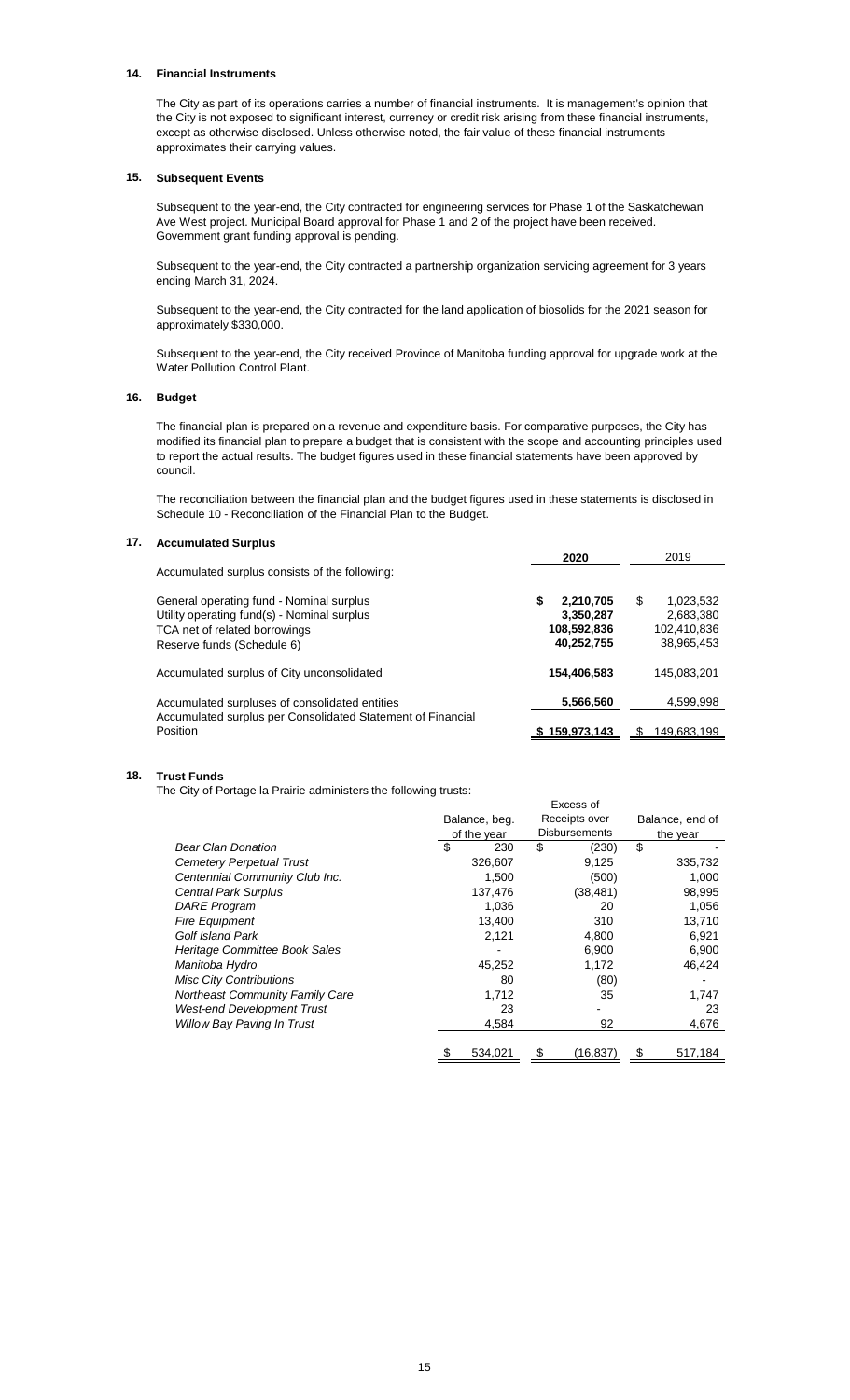#### **14. Financial Instruments**

The City as part of its operations carries a number of financial instruments. It is management's opinion that the City is not exposed to significant interest, currency or credit risk arising from these financial instruments, except as otherwise disclosed. Unless otherwise noted, the fair value of these financial instruments approximates their carrying values.

#### **15. Subsequent Events**

Subsequent to the year-end, the City contracted for engineering services for Phase 1 of the Saskatchewan Ave West project. Municipal Board approval for Phase 1 and 2 of the project have been received. Government grant funding approval is pending.

Subsequent to the year-end, the City contracted a partnership organization servicing agreement for 3 years ending March 31, 2024.

Subsequent to the year-end, the City contracted for the land application of biosolids for the 2021 season for approximately \$330,000.

Subsequent to the year-end, the City received Province of Manitoba funding approval for upgrade work at the Water Pollution Control Plant.

#### **16. Budget**

The financial plan is prepared on a revenue and expenditure basis. For comparative purposes, the City has modified its financial plan to prepare a budget that is consistent with the scope and accounting principles used to report the actual results. The budget figures used in these financial statements have been approved by council.

The reconciliation between the financial plan and the budget figures used in these statements is disclosed in Schedule 10 - Reconciliation of the Financial Plan to the Budget.

#### **17. Accumulated Surplus**

|                                                                         | 2020           | 2019            |
|-------------------------------------------------------------------------|----------------|-----------------|
| Accumulated surplus consists of the following:                          |                |                 |
| General operating fund - Nominal surplus                                | 2,210,705<br>S | \$<br>1,023,532 |
| Utility operating fund(s) - Nominal surplus                             | 3,350,287      | 2,683,380       |
| TCA net of related borrowings                                           | 108,592,836    | 102,410,836     |
| Reserve funds (Schedule 6)                                              | 40,252,755     | 38,965,453      |
| Accumulated surplus of City unconsolidated                              | 154,406,583    | 145.083.201     |
| Accumulated surpluses of consolidated entities                          | 5,566,560      | 4,599,998       |
| Accumulated surplus per Consolidated Statement of Financial<br>Position | 159.973.143    | 149.683.199     |

#### **18. Trust Funds**

The City of Portage la Prairie administers the following trusts:

|                                        | LYCOS UI |               |    |                      |    |                 |  |  |
|----------------------------------------|----------|---------------|----|----------------------|----|-----------------|--|--|
|                                        |          | Balance, beg. |    | Receipts over        |    | Balance, end of |  |  |
|                                        |          | of the year   |    | <b>Disbursements</b> |    | the year        |  |  |
| <b>Bear Clan Donation</b>              | \$       | 230           | \$ | (230)                | \$ |                 |  |  |
| Cemetery Perpetual Trust               |          | 326,607       |    | 9,125                |    | 335,732         |  |  |
| Centennial Community Club Inc.         |          | 1,500         |    | (500)                |    | 1,000           |  |  |
| <b>Central Park Surplus</b>            |          | 137,476       |    | (38, 481)            |    | 98,995          |  |  |
| <b>DARE</b> Program                    |          | 1,036         |    | 20                   |    | 1,056           |  |  |
| <b>Fire Equipment</b>                  |          | 13,400        |    | 310                  |    | 13,710          |  |  |
| Golf Island Park                       |          | 2,121         |    | 4,800                |    | 6,921           |  |  |
| Heritage Committee Book Sales          |          |               |    | 6,900                |    | 6,900           |  |  |
| Manitoba Hydro                         |          | 45,252        |    | 1,172                |    | 46,424          |  |  |
| <b>Misc City Contributions</b>         |          | 80            |    | (80)                 |    |                 |  |  |
| <b>Northeast Community Family Care</b> |          | 1,712         |    | 35                   |    | 1,747           |  |  |
| <b>West-end Development Trust</b>      |          | 23            |    |                      |    | 23              |  |  |
| Willow Bay Paving In Trust             |          | 4,584         |    | 92                   |    | 4,676           |  |  |
|                                        |          |               |    |                      |    |                 |  |  |
|                                        |          | 534,021       |    | (16, 837)            |    | 517,184         |  |  |
|                                        |          |               |    |                      |    |                 |  |  |

Excess of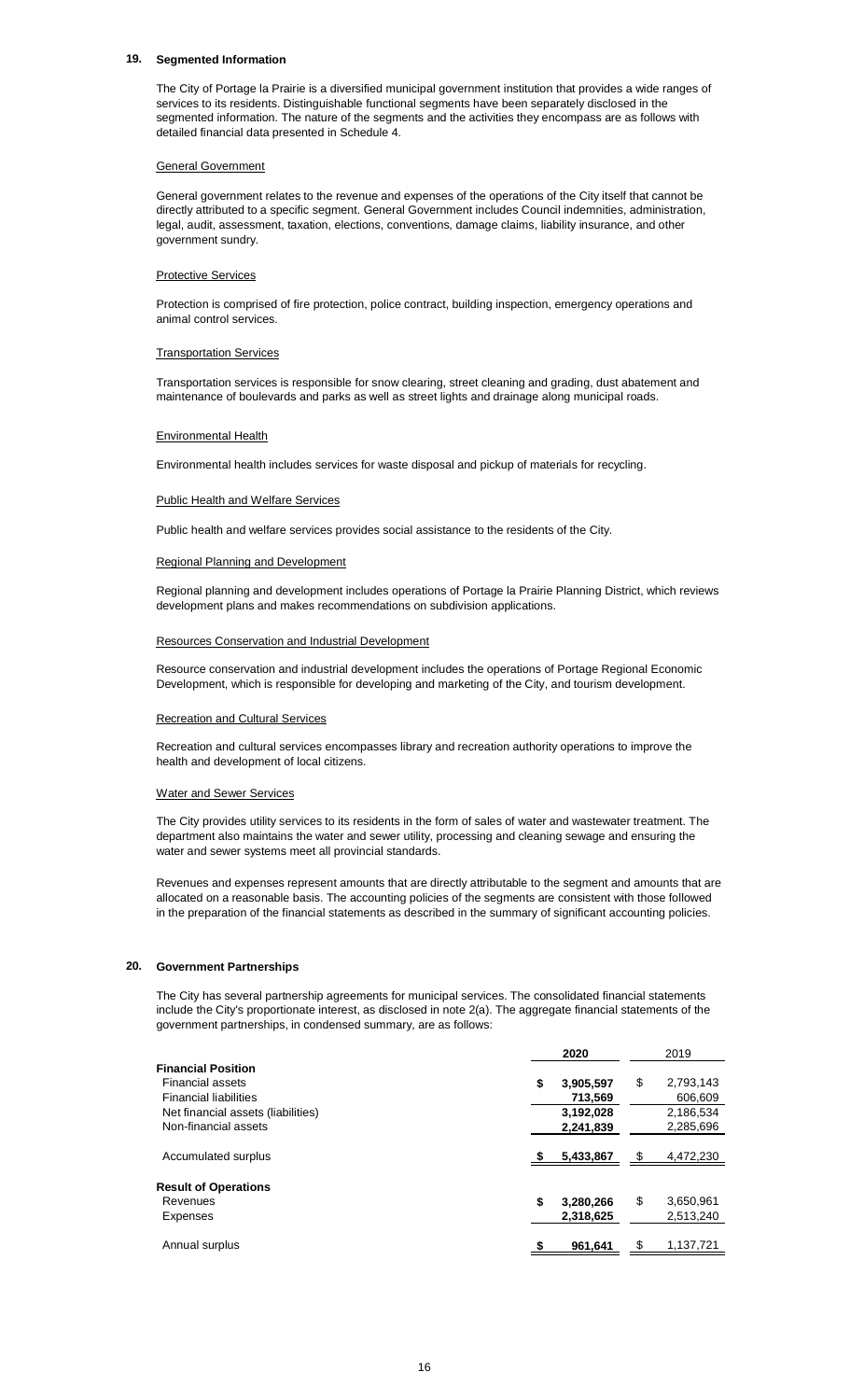#### **19. Segmented Information**

The City of Portage la Prairie is a diversified municipal government institution that provides a wide ranges of services to its residents. Distinguishable functional segments have been separately disclosed in the segmented information. The nature of the segments and the activities they encompass are as follows with detailed financial data presented in Schedule 4.

#### General Government

General government relates to the revenue and expenses of the operations of the City itself that cannot be directly attributed to a specific segment. General Government includes Council indemnities, administration, legal, audit, assessment, taxation, elections, conventions, damage claims, liability insurance, and other government sundry.

#### Protective Services

Protection is comprised of fire protection, police contract, building inspection, emergency operations and animal control services.

#### Transportation Services

Transportation services is responsible for snow clearing, street cleaning and grading, dust abatement and maintenance of boulevards and parks as well as street lights and drainage along municipal roads.

#### Environmental Health

Environmental health includes services for waste disposal and pickup of materials for recycling.

#### Public Health and Welfare Services

Public health and welfare services provides social assistance to the residents of the City.

#### Regional Planning and Development

Regional planning and development includes operations of Portage la Prairie Planning District, which reviews development plans and makes recommendations on subdivision applications.

#### Resources Conservation and Industrial Development

Resource conservation and industrial development includes the operations of Portage Regional Economic Development, which is responsible for developing and marketing of the City, and tourism development.

#### Recreation and Cultural Services

Recreation and cultural services encompasses library and recreation authority operations to improve the health and development of local citizens.

#### Water and Sewer Services

The City provides utility services to its residents in the form of sales of water and wastewater treatment. The department also maintains the water and sewer utility, processing and cleaning sewage and ensuring the water and sewer systems meet all provincial standards.

Revenues and expenses represent amounts that are directly attributable to the segment and amounts that are allocated on a reasonable basis. The accounting policies of the segments are consistent with those followed in the preparation of the financial statements as described in the summary of significant accounting policies.

#### **20. Government Partnerships**

The City has several partnership agreements for municipal services. The consolidated financial statements include the City's proportionate interest, as disclosed in note 2(a). The aggregate financial statements of the government partnerships, in condensed summary, are as follows:

|                                    |    | 2020      |    |           |  |  |
|------------------------------------|----|-----------|----|-----------|--|--|
| <b>Financial Position</b>          |    |           |    |           |  |  |
| Financial assets                   | \$ | 3,905,597 | \$ | 2,793,143 |  |  |
| <b>Financial liabilities</b>       |    | 713.569   |    | 606,609   |  |  |
| Net financial assets (liabilities) |    | 3,192,028 |    | 2,186,534 |  |  |
| Non-financial assets               |    | 2,241,839 |    | 2,285,696 |  |  |
| Accumulated surplus                | S  | 5,433,867 | \$ | 4,472,230 |  |  |
| <b>Result of Operations</b>        |    |           |    |           |  |  |
| Revenues                           | \$ | 3,280,266 | \$ | 3,650,961 |  |  |
| Expenses                           |    | 2,318,625 |    | 2,513,240 |  |  |
| Annual surplus                     |    | 961.641   | \$ | 1,137,721 |  |  |
|                                    |    |           |    |           |  |  |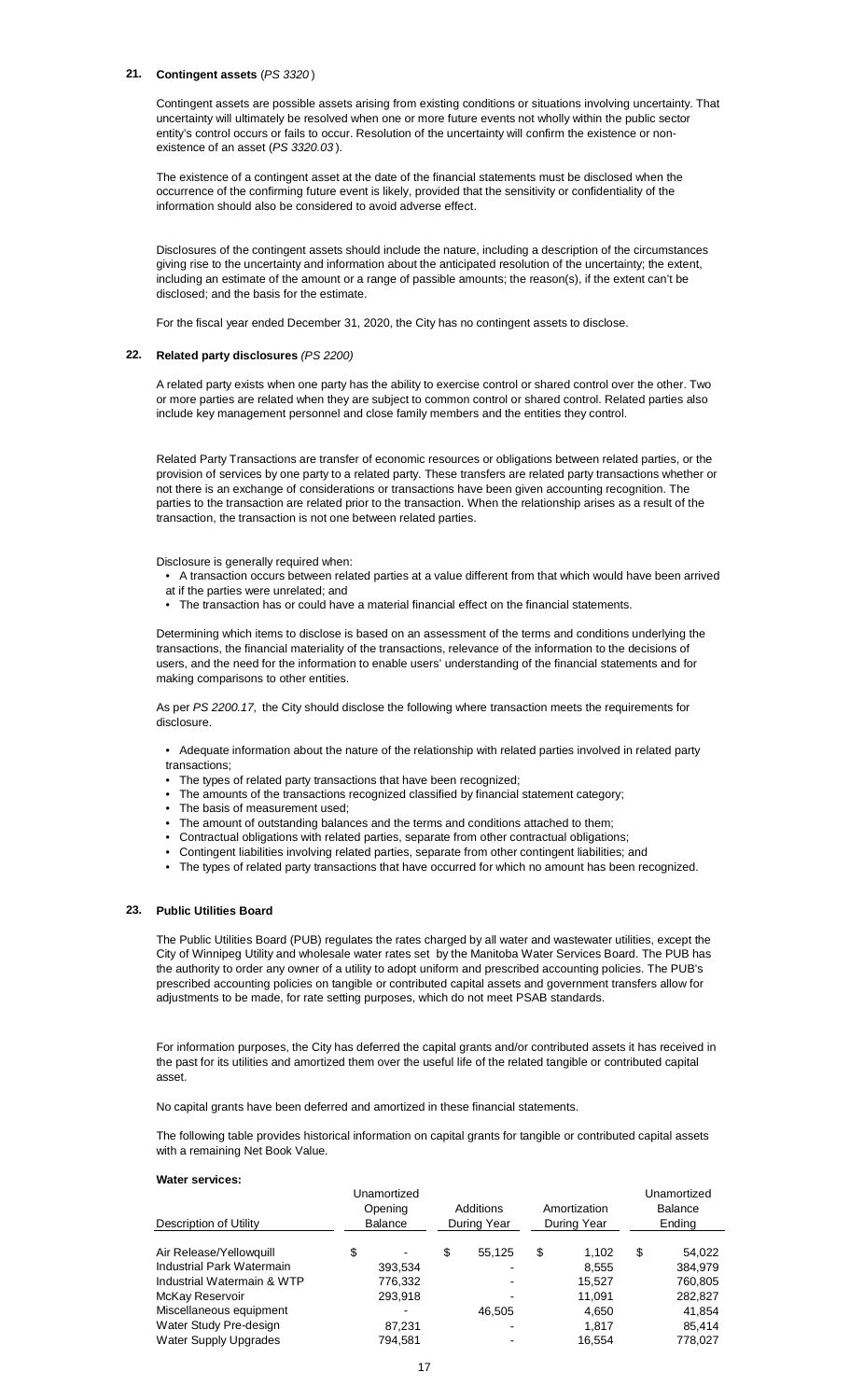#### **21. Contingent assets** (*PS 3320* )

Contingent assets are possible assets arising from existing conditions or situations involving uncertainty. That uncertainty will ultimately be resolved when one or more future events not wholly within the public sector entity's control occurs or fails to occur. Resolution of the uncertainty will confirm the existence or nonexistence of an asset (*PS 3320.03* ).

The existence of a contingent asset at the date of the financial statements must be disclosed when the occurrence of the confirming future event is likely, provided that the sensitivity or confidentiality of the information should also be considered to avoid adverse effect.

Disclosures of the contingent assets should include the nature, including a description of the circumstances giving rise to the uncertainty and information about the anticipated resolution of the uncertainty; the extent, including an estimate of the amount or a range of passible amounts; the reason(s), if the extent can't be disclosed; and the basis for the estimate.

For the fiscal year ended December 31, 2020, the City has no contingent assets to disclose.

#### **22. Related party disclosures** *(PS 2200)*

A related party exists when one party has the ability to exercise control or shared control over the other. Two or more parties are related when they are subject to common control or shared control. Related parties also include key management personnel and close family members and the entities they control.

Related Party Transactions are transfer of economic resources or obligations between related parties, or the provision of services by one party to a related party. These transfers are related party transactions whether or not there is an exchange of considerations or transactions have been given accounting recognition. The parties to the transaction are related prior to the transaction. When the relationship arises as a result of the transaction, the transaction is not one between related parties.

Disclosure is generally required when:

- A transaction occurs between related parties at a value different from that which would have been arrived at if the parties were unrelated; and
- The transaction has or could have a material financial effect on the financial statements.

Determining which items to disclose is based on an assessment of the terms and conditions underlying the transactions, the financial materiality of the transactions, relevance of the information to the decisions of users, and the need for the information to enable users' understanding of the financial statements and for making comparisons to other entities.

As per *PS 2200.17,* the City should disclose the following where transaction meets the requirements for disclosure.

- Adequate information about the nature of the relationship with related parties involved in related party transactions;
- The types of related party transactions that have been recognized;
- The amounts of the transactions recognized classified by financial statement category;
- The basis of measurement used:
- The amount of outstanding balances and the terms and conditions attached to them;
- Contractual obligations with related parties, separate from other contractual obligations;
- Contingent liabilities involving related parties, separate from other contingent liabilities; and
- The types of related party transactions that have occurred for which no amount has been recognized.

#### **23. Public Utilities Board**

The Public Utilities Board (PUB) regulates the rates charged by all water and wastewater utilities, except the City of Winnipeg Utility and wholesale water rates set by the Manitoba Water Services Board. The PUB has the authority to order any owner of a utility to adopt uniform and prescribed accounting policies. The PUB's prescribed accounting policies on tangible or contributed capital assets and government transfers allow for adjustments to be made, for rate setting purposes, which do not meet PSAB standards.

For information purposes, the City has deferred the capital grants and/or contributed assets it has received in the past for its utilities and amortized them over the useful life of the related tangible or contributed capital asset.

No capital grants have been deferred and amortized in these financial statements.

The following table provides historical information on capital grants for tangible or contributed capital assets with a remaining Net Book Value.

#### **Water services:**

| Description of Utility                                                                                                                                                                     | Unamortized<br>Opening<br>Balance                        | Additions<br>During Year | Amortization<br>During Year                                          | Unamortized<br><b>Balance</b><br>Ending |                                                                        |  |
|--------------------------------------------------------------------------------------------------------------------------------------------------------------------------------------------|----------------------------------------------------------|--------------------------|----------------------------------------------------------------------|-----------------------------------------|------------------------------------------------------------------------|--|
| Air Release/Yellowquill<br>Industrial Park Watermain<br>Industrial Watermain & WTP<br>McKay Reservoir<br>Miscellaneous equipment<br>Water Study Pre-design<br><b>Water Supply Upgrades</b> | \$<br>393,534<br>776,332<br>293,918<br>87.231<br>794,581 | \$<br>55.125<br>46.505   | \$<br>1.102<br>8,555<br>15.527<br>11.091<br>4,650<br>1.817<br>16,554 | \$                                      | 54.022<br>384.979<br>760,805<br>282,827<br>41,854<br>85.414<br>778,027 |  |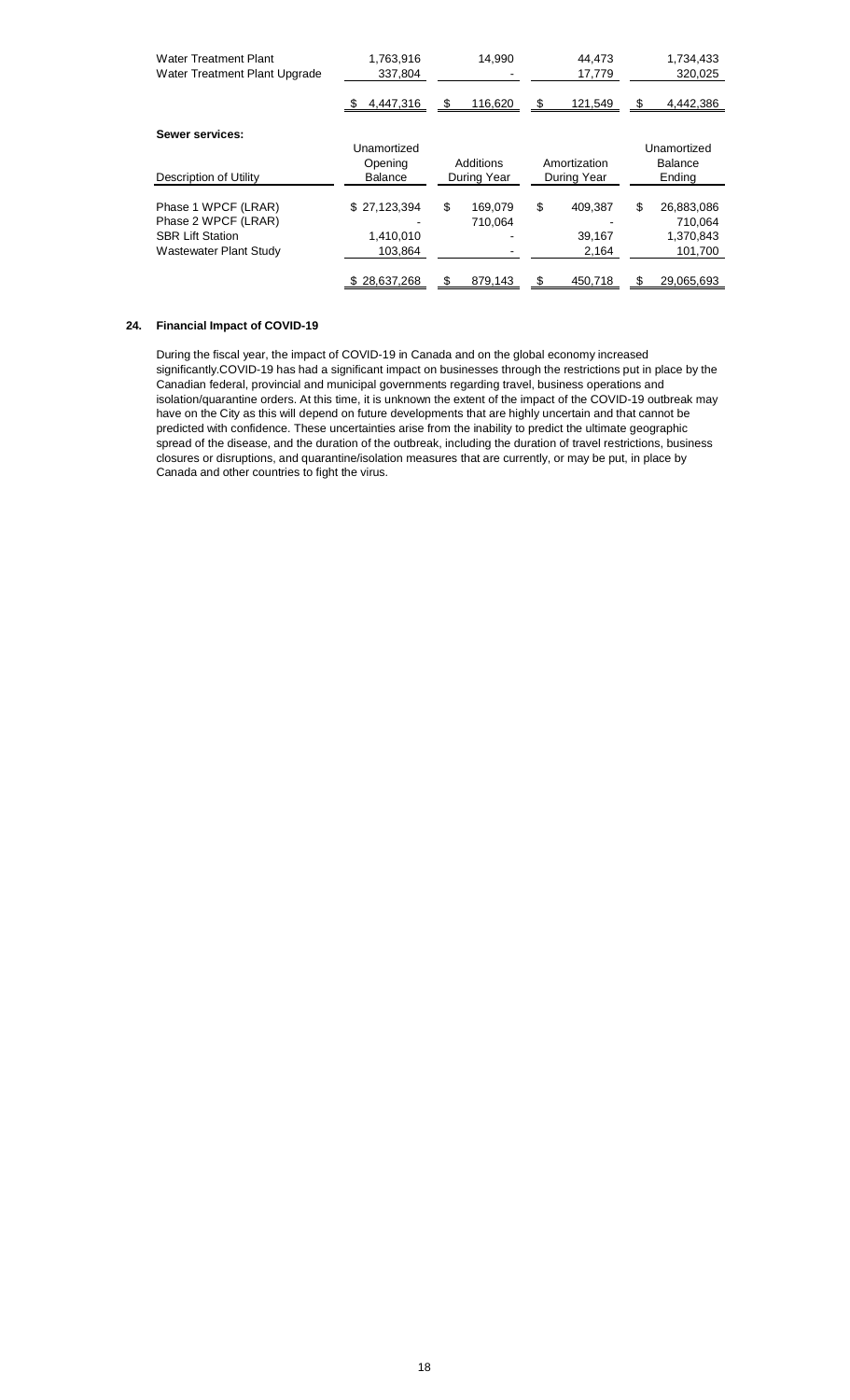| <b>Water Treatment Plant</b><br>Water Treatment Plant Upgrade | 1,763,916<br>337.804      |                                                         | 14.990  |    | 44.473<br>17,779 |                          | 1,734,433<br>320,025 |  |  |
|---------------------------------------------------------------|---------------------------|---------------------------------------------------------|---------|----|------------------|--------------------------|----------------------|--|--|
|                                                               | 4,447,316                 | S                                                       | 116,620 | S  | 121,549          |                          | 4,442,386            |  |  |
| <b>Sewer services:</b>                                        |                           |                                                         |         |    |                  |                          |                      |  |  |
|                                                               | Unamortized               |                                                         |         |    |                  |                          | Unamortized          |  |  |
| Description of Utility                                        | Opening<br><b>Balance</b> | Additions<br>Amortization<br>During Year<br>During Year |         |    |                  | <b>Balance</b><br>Ending |                      |  |  |
|                                                               |                           |                                                         |         |    |                  |                          |                      |  |  |
| Phase 1 WPCF (LRAR)                                           | \$27,123,394              | \$                                                      | 169,079 | \$ | 409.387          | \$                       | 26,883,086           |  |  |
| Phase 2 WPCF (LRAR)                                           |                           |                                                         | 710.064 |    |                  |                          | 710.064              |  |  |
| <b>SBR Lift Station</b>                                       | 1,410,010                 |                                                         |         |    | 39,167           |                          | 1,370,843            |  |  |
| Wastewater Plant Study                                        | 103.864                   |                                                         |         |    | 2,164            |                          | 101.700              |  |  |
|                                                               |                           |                                                         |         |    |                  |                          |                      |  |  |
|                                                               | 28,637,268                | S                                                       | 879,143 |    | 450,718          |                          | 29,065,693           |  |  |

#### **24. Financial Impact of COVID-19**

During the fiscal year, the impact of COVID-19 in Canada and on the global economy increased significantly.COVID-19 has had a significant impact on businesses through the restrictions put in place by the Canadian federal, provincial and municipal governments regarding travel, business operations and isolation/quarantine orders. At this time, it is unknown the extent of the impact of the COVID-19 outbreak may have on the City as this will depend on future developments that are highly uncertain and that cannot be predicted with confidence. These uncertainties arise from the inability to predict the ultimate geographic spread of the disease, and the duration of the outbreak, including the duration of travel restrictions, business closures or disruptions, and quarantine/isolation measures that are currently, or may be put, in place by Canada and other countries to fight the virus.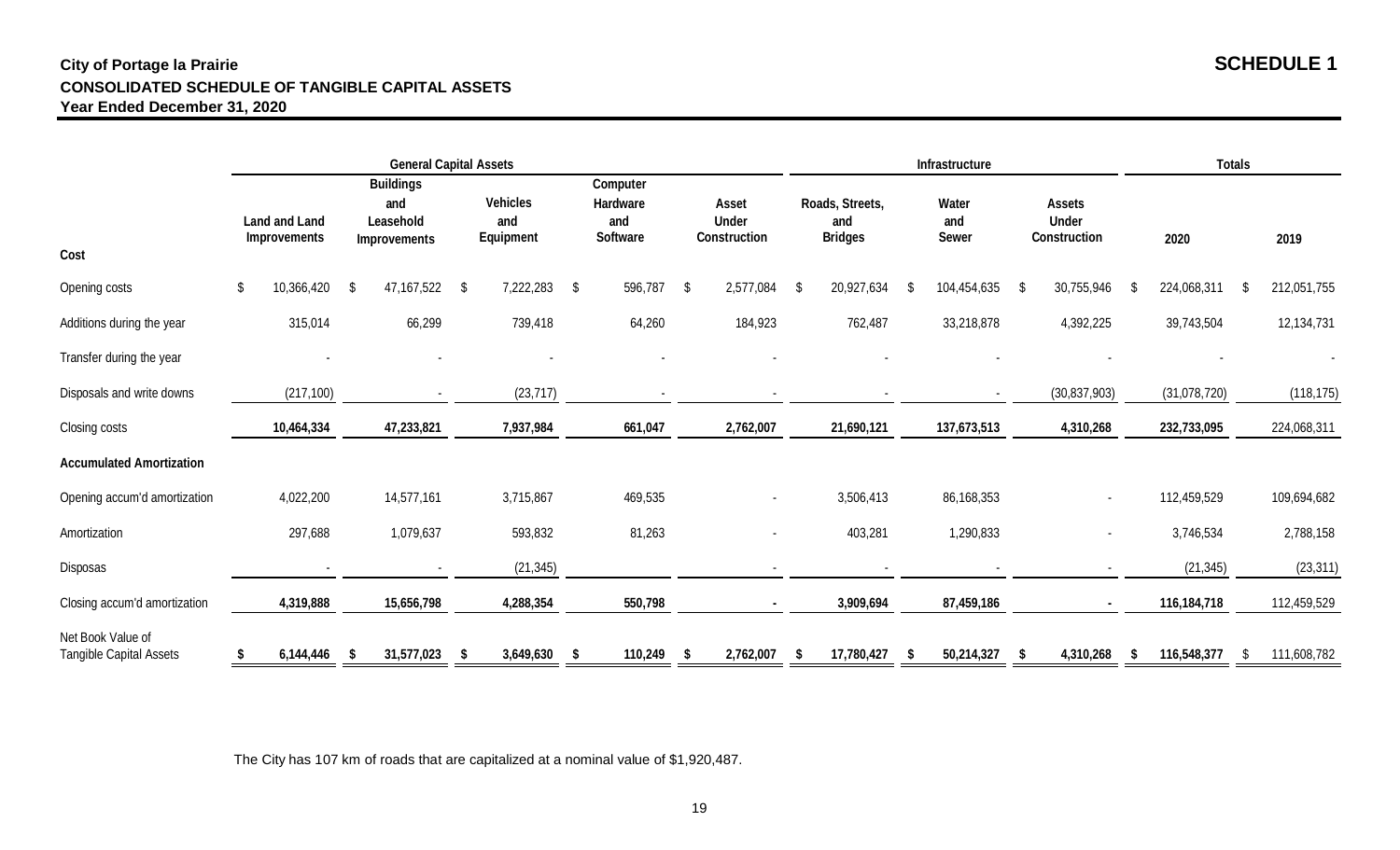### **City of Portage la Prairie SCHEDULE 1 CONSOLIDATED SCHEDULE OF TANGIBLE CAPITAL ASSETS Year Ended December 31, 2020**

|                                              |                               | <b>General Capital Assets</b> |                                                      |                          |                              |    |                                         |            |                                |     | Infrastructure                           |      |                       |     |                                 |     | Totals       |     |             |  |
|----------------------------------------------|-------------------------------|-------------------------------|------------------------------------------------------|--------------------------|------------------------------|----|-----------------------------------------|------------|--------------------------------|-----|------------------------------------------|------|-----------------------|-----|---------------------------------|-----|--------------|-----|-------------|--|
| Cost                                         | Land and Land<br>Improvements |                               | <b>Buildings</b><br>and<br>Leasehold<br>Improvements |                          | Vehicles<br>and<br>Equipment |    | Computer<br>Hardware<br>and<br>Software |            | Asset<br>Under<br>Construction |     | Roads, Streets,<br>and<br><b>Bridges</b> |      | Water<br>and<br>Sewer |     | Assets<br>Under<br>Construction |     | 2020         |     | 2019        |  |
| Opening costs                                | 10,366,420                    |                               | 47,167,522 \$<br>\$                                  |                          | 7,222,283                    | \$ | 596,787                                 | $\sqrt{2}$ | 2,577,084                      | -\$ | 20,927,634                               | - \$ | 104,454,635           | -\$ | 30,755,946                      | -\$ | 224,068,311  | -\$ | 212,051,755 |  |
| Additions during the year                    | 315,014                       |                               | 66,299                                               |                          | 739,418                      |    | 64,260                                  |            | 184,923                        |     | 762,487                                  |      | 33,218,878            |     | 4,392,225                       |     | 39,743,504   |     | 12,134,731  |  |
| Transfer during the year                     |                               |                               |                                                      |                          |                              |    |                                         |            |                                |     |                                          |      |                       |     |                                 |     |              |     |             |  |
| Disposals and write downs                    | (217, 100)                    |                               |                                                      | $\overline{\phantom{a}}$ | (23, 717)                    |    |                                         |            |                                |     |                                          |      |                       |     | (30, 837, 903)                  |     | (31,078,720) |     | (118, 175)  |  |
| Closing costs                                | 10,464,334                    |                               | 47,233,821                                           |                          | 7,937,984                    |    | 661,047                                 |            | 2,762,007                      |     | 21,690,121                               |      | 137,673,513           |     | 4,310,268                       |     | 232,733,095  |     | 224,068,311 |  |
| <b>Accumulated Amortization</b>              |                               |                               |                                                      |                          |                              |    |                                         |            |                                |     |                                          |      |                       |     |                                 |     |              |     |             |  |
| Opening accum'd amortization                 | 4,022,200                     |                               | 14,577,161                                           |                          | 3,715,867                    |    | 469,535                                 |            | $\overline{\phantom{a}}$       |     | 3,506,413                                |      | 86,168,353            |     |                                 |     | 112,459,529  |     | 109,694,682 |  |
| Amortization                                 | 297,688                       |                               | 1,079,637                                            |                          | 593,832                      |    | 81,263                                  |            |                                |     | 403,281                                  |      | 1,290,833             |     |                                 |     | 3,746,534    |     | 2,788,158   |  |
| Disposas                                     |                               |                               |                                                      |                          | (21, 345)                    |    |                                         |            |                                |     |                                          |      |                       |     |                                 |     | (21, 345)    |     | (23, 311)   |  |
| Closing accum'd amortization                 | 4,319,888                     |                               | 15,656,798                                           |                          | 4,288,354                    |    | 550,798                                 |            |                                |     | 3,909,694                                |      | 87,459,186            |     |                                 |     | 116,184,718  |     | 112,459,529 |  |
| Net Book Value of<br>Tangible Capital Assets | 6,144,446                     |                               | 31,577,023<br>\$                                     |                          | 3,649,630<br>\$              | \$ | 110,249                                 | \$         | 2,762,007                      | \$  | 17,780,427                               | - \$ | 50,214,327            | \$  | 4,310,268                       | S   | 116,548,377  | -\$ | 111,608,782 |  |

The City has 107 km of roads that are capitalized at a nominal value of \$1,920,487.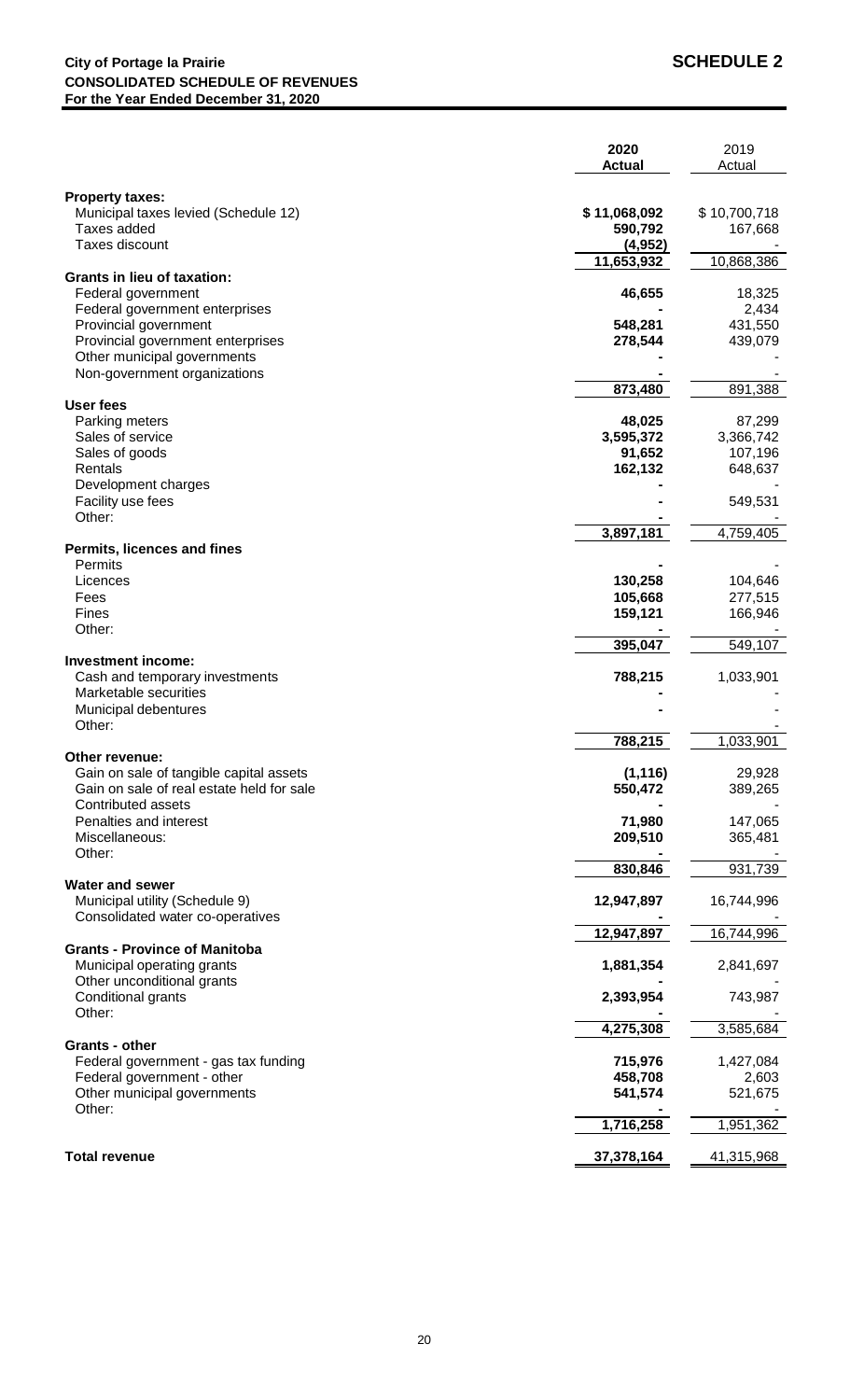### **City of Portage la Prairie SCHEDULE 2 CONSOLIDATED SCHEDULE OF REVENUES For the Year Ended December 31, 2020**

|                                                                                                                                                             | 2020<br><b>Actual</b>                    | 2019<br>Actual                            |
|-------------------------------------------------------------------------------------------------------------------------------------------------------------|------------------------------------------|-------------------------------------------|
| <b>Property taxes:</b><br>Municipal taxes levied (Schedule 12)<br>Taxes added<br>Taxes discount                                                             | \$11,068,092<br>590,792<br>(4, 952)      | \$10,700,718<br>167,668                   |
| <b>Grants in lieu of taxation:</b><br>Federal government                                                                                                    | 11,653,932<br>46,655                     | 10,868,386<br>18,325                      |
| Federal government enterprises<br>Provincial government<br>Provincial government enterprises<br>Other municipal governments<br>Non-government organizations | 548,281<br>278,544                       | 2,434<br>431,550<br>439,079               |
|                                                                                                                                                             | 873,480                                  | 891,388                                   |
| User fees<br>Parking meters<br>Sales of service<br>Sales of goods<br>Rentals<br>Development charges                                                         | 48,025<br>3,595,372<br>91,652<br>162,132 | 87,299<br>3,366,742<br>107,196<br>648,637 |
| Facility use fees<br>Other:                                                                                                                                 |                                          | 549,531                                   |
|                                                                                                                                                             | 3,897,181                                | 4,759,405                                 |
| Permits, licences and fines<br>Permits                                                                                                                      |                                          |                                           |
| Licences<br>Fees<br><b>Fines</b><br>Other:                                                                                                                  | 130,258<br>105,668<br>159,121            | 104,646<br>277,515<br>166,946             |
|                                                                                                                                                             | 395,047                                  | 549,107                                   |
| <b>Investment income:</b><br>Cash and temporary investments<br>Marketable securities                                                                        | 788,215                                  | 1,033,901                                 |
| Municipal debentures<br>Other:                                                                                                                              |                                          |                                           |
| Other revenue:                                                                                                                                              | 788,215                                  | 1,033,901                                 |
| Gain on sale of tangible capital assets<br>Gain on sale of real estate held for sale<br>Contributed assets                                                  | (1, 116)<br>550,472                      | 29,928<br>389,265                         |
| Penalties and interest<br>Miscellaneous:<br>Other:                                                                                                          | 71,980<br>209,510                        | 147,065<br>365,481                        |
|                                                                                                                                                             | 830,846                                  | 931,739                                   |
| <b>Water and sewer</b><br>Municipal utility (Schedule 9)<br>Consolidated water co-operatives                                                                | 12,947,897                               | 16,744,996                                |
| <b>Grants - Province of Manitoba</b>                                                                                                                        | 12,947,897                               | 16,744,996                                |
| Municipal operating grants<br>Other unconditional grants                                                                                                    | 1,881,354                                | 2,841,697                                 |
| Conditional grants<br>Other:                                                                                                                                | 2,393,954                                | 743,987                                   |
|                                                                                                                                                             | 4,275,308                                | 3,585,684                                 |
| <b>Grants - other</b><br>Federal government - gas tax funding<br>Federal government - other<br>Other municipal governments                                  | 715,976<br>458,708<br>541,574            | 1,427,084<br>2,603<br>521,675             |
| Other:                                                                                                                                                      | 1,716,258                                | 1,951,362                                 |
|                                                                                                                                                             |                                          |                                           |
| <b>Total revenue</b>                                                                                                                                        | 37,378,164                               | 41,315,968                                |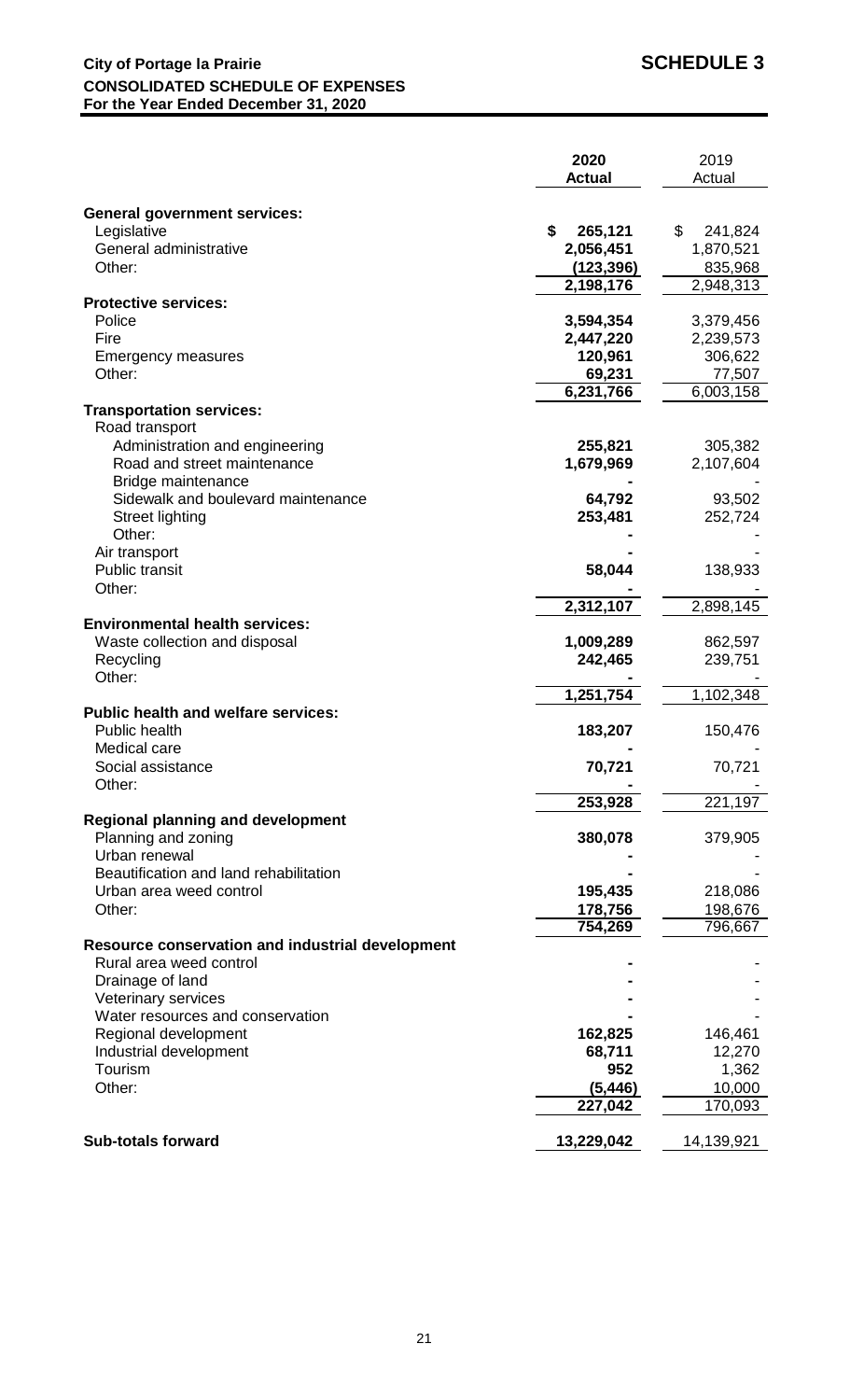## **City of Portage la Prairie SCHEDULE 3 CONSOLIDATED SCHEDULE OF EXPENSES For the Year Ended December 31, 2020**

| <b>General government services:</b><br>\$<br>\$<br>Legislative<br>265,121<br>241,824<br>General administrative<br>2,056,451<br>1,870,521<br>Other:<br>(123, 396)<br>835,968<br>2,948,313<br>2,198,176<br><b>Protective services:</b><br>Police<br>3,379,456<br>3,594,354<br>2,239,573<br>Fire<br>2,447,220<br>120,961<br>306,622<br><b>Emergency measures</b><br>69,231<br>Other:<br>77,507<br>6,231,766<br>6,003,158<br><b>Transportation services:</b><br>Road transport<br>Administration and engineering<br>255,821<br>305,382<br>Road and street maintenance<br>1,679,969<br>2,107,604<br>Bridge maintenance<br>Sidewalk and boulevard maintenance<br>64,792<br>93,502<br><b>Street lighting</b><br>253,481<br>252,724<br>Other:<br>Air transport<br>58,044<br><b>Public transit</b><br>138,933<br>Other:<br>2,312,107<br>2,898,145<br><b>Environmental health services:</b><br>Waste collection and disposal<br>1,009,289<br>862,597<br>242,465<br>239,751<br>Recycling<br>Other:<br>$\overline{1,251}$ ,754<br>1,102,348<br><b>Public health and welfare services:</b><br>Public health<br>183,207<br>150,476<br>Medical care<br>70,721<br>Social assistance<br>70,721<br>Other:<br>253,928<br>221,197<br><b>Regional planning and development</b><br>Planning and zoning<br>380,078<br>379,905<br>Urban renewal<br>Beautification and land rehabilitation<br>Urban area weed control<br>195,435<br>218,086<br>Other:<br>178,756<br>198,676<br>754,269<br>796,667<br><b>Resource conservation and industrial development</b><br>Rural area weed control<br>Drainage of land<br>Veterinary services<br>Water resources and conservation<br>Regional development<br>162,825<br>146,461<br>12,270<br>Industrial development<br>68,711<br>Tourism<br>1,362<br>952<br>Other:<br>10,000<br>(5, 446)<br>227,042<br>170,093<br><b>Sub-totals forward</b><br>13,229,042<br>14,139,921 | 2020          | 2019   |
|-------------------------------------------------------------------------------------------------------------------------------------------------------------------------------------------------------------------------------------------------------------------------------------------------------------------------------------------------------------------------------------------------------------------------------------------------------------------------------------------------------------------------------------------------------------------------------------------------------------------------------------------------------------------------------------------------------------------------------------------------------------------------------------------------------------------------------------------------------------------------------------------------------------------------------------------------------------------------------------------------------------------------------------------------------------------------------------------------------------------------------------------------------------------------------------------------------------------------------------------------------------------------------------------------------------------------------------------------------------------------------------------------------------------------------------------------------------------------------------------------------------------------------------------------------------------------------------------------------------------------------------------------------------------------------------------------------------------------------------------------------------------------------------------------------------------------------------------------------------------------------------|---------------|--------|
|                                                                                                                                                                                                                                                                                                                                                                                                                                                                                                                                                                                                                                                                                                                                                                                                                                                                                                                                                                                                                                                                                                                                                                                                                                                                                                                                                                                                                                                                                                                                                                                                                                                                                                                                                                                                                                                                                     | <b>Actual</b> | Actual |
|                                                                                                                                                                                                                                                                                                                                                                                                                                                                                                                                                                                                                                                                                                                                                                                                                                                                                                                                                                                                                                                                                                                                                                                                                                                                                                                                                                                                                                                                                                                                                                                                                                                                                                                                                                                                                                                                                     |               |        |
|                                                                                                                                                                                                                                                                                                                                                                                                                                                                                                                                                                                                                                                                                                                                                                                                                                                                                                                                                                                                                                                                                                                                                                                                                                                                                                                                                                                                                                                                                                                                                                                                                                                                                                                                                                                                                                                                                     |               |        |
|                                                                                                                                                                                                                                                                                                                                                                                                                                                                                                                                                                                                                                                                                                                                                                                                                                                                                                                                                                                                                                                                                                                                                                                                                                                                                                                                                                                                                                                                                                                                                                                                                                                                                                                                                                                                                                                                                     |               |        |
|                                                                                                                                                                                                                                                                                                                                                                                                                                                                                                                                                                                                                                                                                                                                                                                                                                                                                                                                                                                                                                                                                                                                                                                                                                                                                                                                                                                                                                                                                                                                                                                                                                                                                                                                                                                                                                                                                     |               |        |
|                                                                                                                                                                                                                                                                                                                                                                                                                                                                                                                                                                                                                                                                                                                                                                                                                                                                                                                                                                                                                                                                                                                                                                                                                                                                                                                                                                                                                                                                                                                                                                                                                                                                                                                                                                                                                                                                                     |               |        |
|                                                                                                                                                                                                                                                                                                                                                                                                                                                                                                                                                                                                                                                                                                                                                                                                                                                                                                                                                                                                                                                                                                                                                                                                                                                                                                                                                                                                                                                                                                                                                                                                                                                                                                                                                                                                                                                                                     |               |        |
|                                                                                                                                                                                                                                                                                                                                                                                                                                                                                                                                                                                                                                                                                                                                                                                                                                                                                                                                                                                                                                                                                                                                                                                                                                                                                                                                                                                                                                                                                                                                                                                                                                                                                                                                                                                                                                                                                     |               |        |
|                                                                                                                                                                                                                                                                                                                                                                                                                                                                                                                                                                                                                                                                                                                                                                                                                                                                                                                                                                                                                                                                                                                                                                                                                                                                                                                                                                                                                                                                                                                                                                                                                                                                                                                                                                                                                                                                                     |               |        |
|                                                                                                                                                                                                                                                                                                                                                                                                                                                                                                                                                                                                                                                                                                                                                                                                                                                                                                                                                                                                                                                                                                                                                                                                                                                                                                                                                                                                                                                                                                                                                                                                                                                                                                                                                                                                                                                                                     |               |        |
|                                                                                                                                                                                                                                                                                                                                                                                                                                                                                                                                                                                                                                                                                                                                                                                                                                                                                                                                                                                                                                                                                                                                                                                                                                                                                                                                                                                                                                                                                                                                                                                                                                                                                                                                                                                                                                                                                     |               |        |
|                                                                                                                                                                                                                                                                                                                                                                                                                                                                                                                                                                                                                                                                                                                                                                                                                                                                                                                                                                                                                                                                                                                                                                                                                                                                                                                                                                                                                                                                                                                                                                                                                                                                                                                                                                                                                                                                                     |               |        |
|                                                                                                                                                                                                                                                                                                                                                                                                                                                                                                                                                                                                                                                                                                                                                                                                                                                                                                                                                                                                                                                                                                                                                                                                                                                                                                                                                                                                                                                                                                                                                                                                                                                                                                                                                                                                                                                                                     |               |        |
|                                                                                                                                                                                                                                                                                                                                                                                                                                                                                                                                                                                                                                                                                                                                                                                                                                                                                                                                                                                                                                                                                                                                                                                                                                                                                                                                                                                                                                                                                                                                                                                                                                                                                                                                                                                                                                                                                     |               |        |
|                                                                                                                                                                                                                                                                                                                                                                                                                                                                                                                                                                                                                                                                                                                                                                                                                                                                                                                                                                                                                                                                                                                                                                                                                                                                                                                                                                                                                                                                                                                                                                                                                                                                                                                                                                                                                                                                                     |               |        |
|                                                                                                                                                                                                                                                                                                                                                                                                                                                                                                                                                                                                                                                                                                                                                                                                                                                                                                                                                                                                                                                                                                                                                                                                                                                                                                                                                                                                                                                                                                                                                                                                                                                                                                                                                                                                                                                                                     |               |        |
|                                                                                                                                                                                                                                                                                                                                                                                                                                                                                                                                                                                                                                                                                                                                                                                                                                                                                                                                                                                                                                                                                                                                                                                                                                                                                                                                                                                                                                                                                                                                                                                                                                                                                                                                                                                                                                                                                     |               |        |
|                                                                                                                                                                                                                                                                                                                                                                                                                                                                                                                                                                                                                                                                                                                                                                                                                                                                                                                                                                                                                                                                                                                                                                                                                                                                                                                                                                                                                                                                                                                                                                                                                                                                                                                                                                                                                                                                                     |               |        |
|                                                                                                                                                                                                                                                                                                                                                                                                                                                                                                                                                                                                                                                                                                                                                                                                                                                                                                                                                                                                                                                                                                                                                                                                                                                                                                                                                                                                                                                                                                                                                                                                                                                                                                                                                                                                                                                                                     |               |        |
|                                                                                                                                                                                                                                                                                                                                                                                                                                                                                                                                                                                                                                                                                                                                                                                                                                                                                                                                                                                                                                                                                                                                                                                                                                                                                                                                                                                                                                                                                                                                                                                                                                                                                                                                                                                                                                                                                     |               |        |
|                                                                                                                                                                                                                                                                                                                                                                                                                                                                                                                                                                                                                                                                                                                                                                                                                                                                                                                                                                                                                                                                                                                                                                                                                                                                                                                                                                                                                                                                                                                                                                                                                                                                                                                                                                                                                                                                                     |               |        |
|                                                                                                                                                                                                                                                                                                                                                                                                                                                                                                                                                                                                                                                                                                                                                                                                                                                                                                                                                                                                                                                                                                                                                                                                                                                                                                                                                                                                                                                                                                                                                                                                                                                                                                                                                                                                                                                                                     |               |        |
|                                                                                                                                                                                                                                                                                                                                                                                                                                                                                                                                                                                                                                                                                                                                                                                                                                                                                                                                                                                                                                                                                                                                                                                                                                                                                                                                                                                                                                                                                                                                                                                                                                                                                                                                                                                                                                                                                     |               |        |
|                                                                                                                                                                                                                                                                                                                                                                                                                                                                                                                                                                                                                                                                                                                                                                                                                                                                                                                                                                                                                                                                                                                                                                                                                                                                                                                                                                                                                                                                                                                                                                                                                                                                                                                                                                                                                                                                                     |               |        |
|                                                                                                                                                                                                                                                                                                                                                                                                                                                                                                                                                                                                                                                                                                                                                                                                                                                                                                                                                                                                                                                                                                                                                                                                                                                                                                                                                                                                                                                                                                                                                                                                                                                                                                                                                                                                                                                                                     |               |        |
|                                                                                                                                                                                                                                                                                                                                                                                                                                                                                                                                                                                                                                                                                                                                                                                                                                                                                                                                                                                                                                                                                                                                                                                                                                                                                                                                                                                                                                                                                                                                                                                                                                                                                                                                                                                                                                                                                     |               |        |
|                                                                                                                                                                                                                                                                                                                                                                                                                                                                                                                                                                                                                                                                                                                                                                                                                                                                                                                                                                                                                                                                                                                                                                                                                                                                                                                                                                                                                                                                                                                                                                                                                                                                                                                                                                                                                                                                                     |               |        |
|                                                                                                                                                                                                                                                                                                                                                                                                                                                                                                                                                                                                                                                                                                                                                                                                                                                                                                                                                                                                                                                                                                                                                                                                                                                                                                                                                                                                                                                                                                                                                                                                                                                                                                                                                                                                                                                                                     |               |        |
|                                                                                                                                                                                                                                                                                                                                                                                                                                                                                                                                                                                                                                                                                                                                                                                                                                                                                                                                                                                                                                                                                                                                                                                                                                                                                                                                                                                                                                                                                                                                                                                                                                                                                                                                                                                                                                                                                     |               |        |
|                                                                                                                                                                                                                                                                                                                                                                                                                                                                                                                                                                                                                                                                                                                                                                                                                                                                                                                                                                                                                                                                                                                                                                                                                                                                                                                                                                                                                                                                                                                                                                                                                                                                                                                                                                                                                                                                                     |               |        |
|                                                                                                                                                                                                                                                                                                                                                                                                                                                                                                                                                                                                                                                                                                                                                                                                                                                                                                                                                                                                                                                                                                                                                                                                                                                                                                                                                                                                                                                                                                                                                                                                                                                                                                                                                                                                                                                                                     |               |        |
|                                                                                                                                                                                                                                                                                                                                                                                                                                                                                                                                                                                                                                                                                                                                                                                                                                                                                                                                                                                                                                                                                                                                                                                                                                                                                                                                                                                                                                                                                                                                                                                                                                                                                                                                                                                                                                                                                     |               |        |
|                                                                                                                                                                                                                                                                                                                                                                                                                                                                                                                                                                                                                                                                                                                                                                                                                                                                                                                                                                                                                                                                                                                                                                                                                                                                                                                                                                                                                                                                                                                                                                                                                                                                                                                                                                                                                                                                                     |               |        |
|                                                                                                                                                                                                                                                                                                                                                                                                                                                                                                                                                                                                                                                                                                                                                                                                                                                                                                                                                                                                                                                                                                                                                                                                                                                                                                                                                                                                                                                                                                                                                                                                                                                                                                                                                                                                                                                                                     |               |        |
|                                                                                                                                                                                                                                                                                                                                                                                                                                                                                                                                                                                                                                                                                                                                                                                                                                                                                                                                                                                                                                                                                                                                                                                                                                                                                                                                                                                                                                                                                                                                                                                                                                                                                                                                                                                                                                                                                     |               |        |
|                                                                                                                                                                                                                                                                                                                                                                                                                                                                                                                                                                                                                                                                                                                                                                                                                                                                                                                                                                                                                                                                                                                                                                                                                                                                                                                                                                                                                                                                                                                                                                                                                                                                                                                                                                                                                                                                                     |               |        |
|                                                                                                                                                                                                                                                                                                                                                                                                                                                                                                                                                                                                                                                                                                                                                                                                                                                                                                                                                                                                                                                                                                                                                                                                                                                                                                                                                                                                                                                                                                                                                                                                                                                                                                                                                                                                                                                                                     |               |        |
|                                                                                                                                                                                                                                                                                                                                                                                                                                                                                                                                                                                                                                                                                                                                                                                                                                                                                                                                                                                                                                                                                                                                                                                                                                                                                                                                                                                                                                                                                                                                                                                                                                                                                                                                                                                                                                                                                     |               |        |
|                                                                                                                                                                                                                                                                                                                                                                                                                                                                                                                                                                                                                                                                                                                                                                                                                                                                                                                                                                                                                                                                                                                                                                                                                                                                                                                                                                                                                                                                                                                                                                                                                                                                                                                                                                                                                                                                                     |               |        |
|                                                                                                                                                                                                                                                                                                                                                                                                                                                                                                                                                                                                                                                                                                                                                                                                                                                                                                                                                                                                                                                                                                                                                                                                                                                                                                                                                                                                                                                                                                                                                                                                                                                                                                                                                                                                                                                                                     |               |        |
|                                                                                                                                                                                                                                                                                                                                                                                                                                                                                                                                                                                                                                                                                                                                                                                                                                                                                                                                                                                                                                                                                                                                                                                                                                                                                                                                                                                                                                                                                                                                                                                                                                                                                                                                                                                                                                                                                     |               |        |
|                                                                                                                                                                                                                                                                                                                                                                                                                                                                                                                                                                                                                                                                                                                                                                                                                                                                                                                                                                                                                                                                                                                                                                                                                                                                                                                                                                                                                                                                                                                                                                                                                                                                                                                                                                                                                                                                                     |               |        |
|                                                                                                                                                                                                                                                                                                                                                                                                                                                                                                                                                                                                                                                                                                                                                                                                                                                                                                                                                                                                                                                                                                                                                                                                                                                                                                                                                                                                                                                                                                                                                                                                                                                                                                                                                                                                                                                                                     |               |        |
|                                                                                                                                                                                                                                                                                                                                                                                                                                                                                                                                                                                                                                                                                                                                                                                                                                                                                                                                                                                                                                                                                                                                                                                                                                                                                                                                                                                                                                                                                                                                                                                                                                                                                                                                                                                                                                                                                     |               |        |
|                                                                                                                                                                                                                                                                                                                                                                                                                                                                                                                                                                                                                                                                                                                                                                                                                                                                                                                                                                                                                                                                                                                                                                                                                                                                                                                                                                                                                                                                                                                                                                                                                                                                                                                                                                                                                                                                                     |               |        |
|                                                                                                                                                                                                                                                                                                                                                                                                                                                                                                                                                                                                                                                                                                                                                                                                                                                                                                                                                                                                                                                                                                                                                                                                                                                                                                                                                                                                                                                                                                                                                                                                                                                                                                                                                                                                                                                                                     |               |        |
|                                                                                                                                                                                                                                                                                                                                                                                                                                                                                                                                                                                                                                                                                                                                                                                                                                                                                                                                                                                                                                                                                                                                                                                                                                                                                                                                                                                                                                                                                                                                                                                                                                                                                                                                                                                                                                                                                     |               |        |
|                                                                                                                                                                                                                                                                                                                                                                                                                                                                                                                                                                                                                                                                                                                                                                                                                                                                                                                                                                                                                                                                                                                                                                                                                                                                                                                                                                                                                                                                                                                                                                                                                                                                                                                                                                                                                                                                                     |               |        |
|                                                                                                                                                                                                                                                                                                                                                                                                                                                                                                                                                                                                                                                                                                                                                                                                                                                                                                                                                                                                                                                                                                                                                                                                                                                                                                                                                                                                                                                                                                                                                                                                                                                                                                                                                                                                                                                                                     |               |        |
|                                                                                                                                                                                                                                                                                                                                                                                                                                                                                                                                                                                                                                                                                                                                                                                                                                                                                                                                                                                                                                                                                                                                                                                                                                                                                                                                                                                                                                                                                                                                                                                                                                                                                                                                                                                                                                                                                     |               |        |
|                                                                                                                                                                                                                                                                                                                                                                                                                                                                                                                                                                                                                                                                                                                                                                                                                                                                                                                                                                                                                                                                                                                                                                                                                                                                                                                                                                                                                                                                                                                                                                                                                                                                                                                                                                                                                                                                                     |               |        |
|                                                                                                                                                                                                                                                                                                                                                                                                                                                                                                                                                                                                                                                                                                                                                                                                                                                                                                                                                                                                                                                                                                                                                                                                                                                                                                                                                                                                                                                                                                                                                                                                                                                                                                                                                                                                                                                                                     |               |        |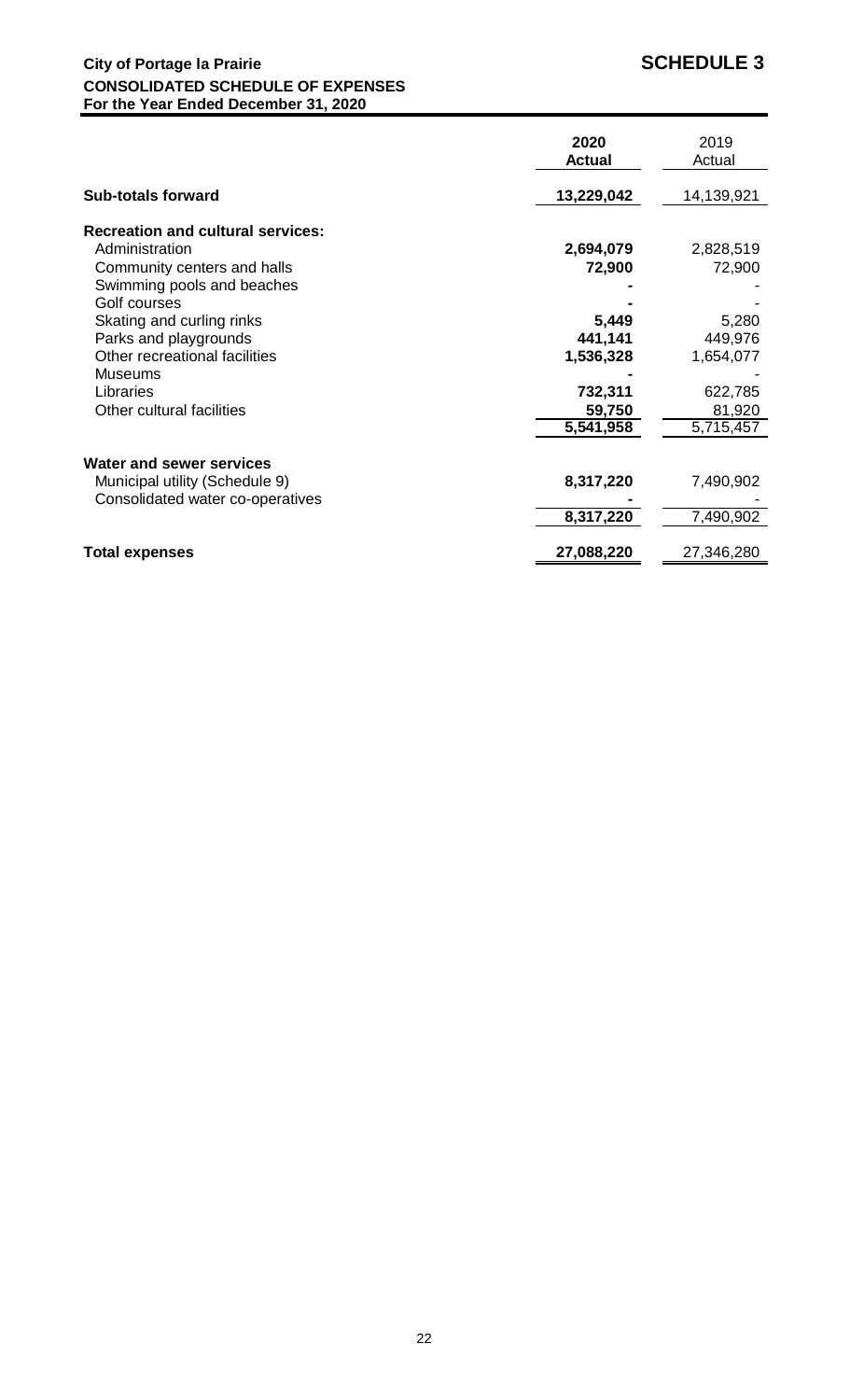## **City of Portage la Prairie SCHEDULE 3 CONSOLIDATED SCHEDULE OF EXPENSES For the Year Ended December 31, 2020**

|                                                                                                                                                                                                                                                                                            | 2020<br><b>Actual</b>                                                     | 2019<br>Actual                                                            |
|--------------------------------------------------------------------------------------------------------------------------------------------------------------------------------------------------------------------------------------------------------------------------------------------|---------------------------------------------------------------------------|---------------------------------------------------------------------------|
| <b>Sub-totals forward</b>                                                                                                                                                                                                                                                                  | 13,229,042                                                                | 14,139,921                                                                |
| <b>Recreation and cultural services:</b><br>Administration<br>Community centers and halls<br>Swimming pools and beaches<br>Golf courses<br>Skating and curling rinks<br>Parks and playgrounds<br>Other recreational facilities<br><b>Museums</b><br>Libraries<br>Other cultural facilities | 2,694,079<br>72,900<br>5,449<br>441,141<br>1,536,328<br>732,311<br>59,750 | 2,828,519<br>72,900<br>5,280<br>449,976<br>1,654,077<br>622,785<br>81,920 |
| Water and sewer services<br>Municipal utility (Schedule 9)<br>Consolidated water co-operatives                                                                                                                                                                                             | 5,541,958<br>8,317,220                                                    | 5,715,457<br>7,490,902                                                    |
| <b>Total expenses</b>                                                                                                                                                                                                                                                                      | 8,317,220<br>27,088,220                                                   | 7,490,902<br>27,346,280                                                   |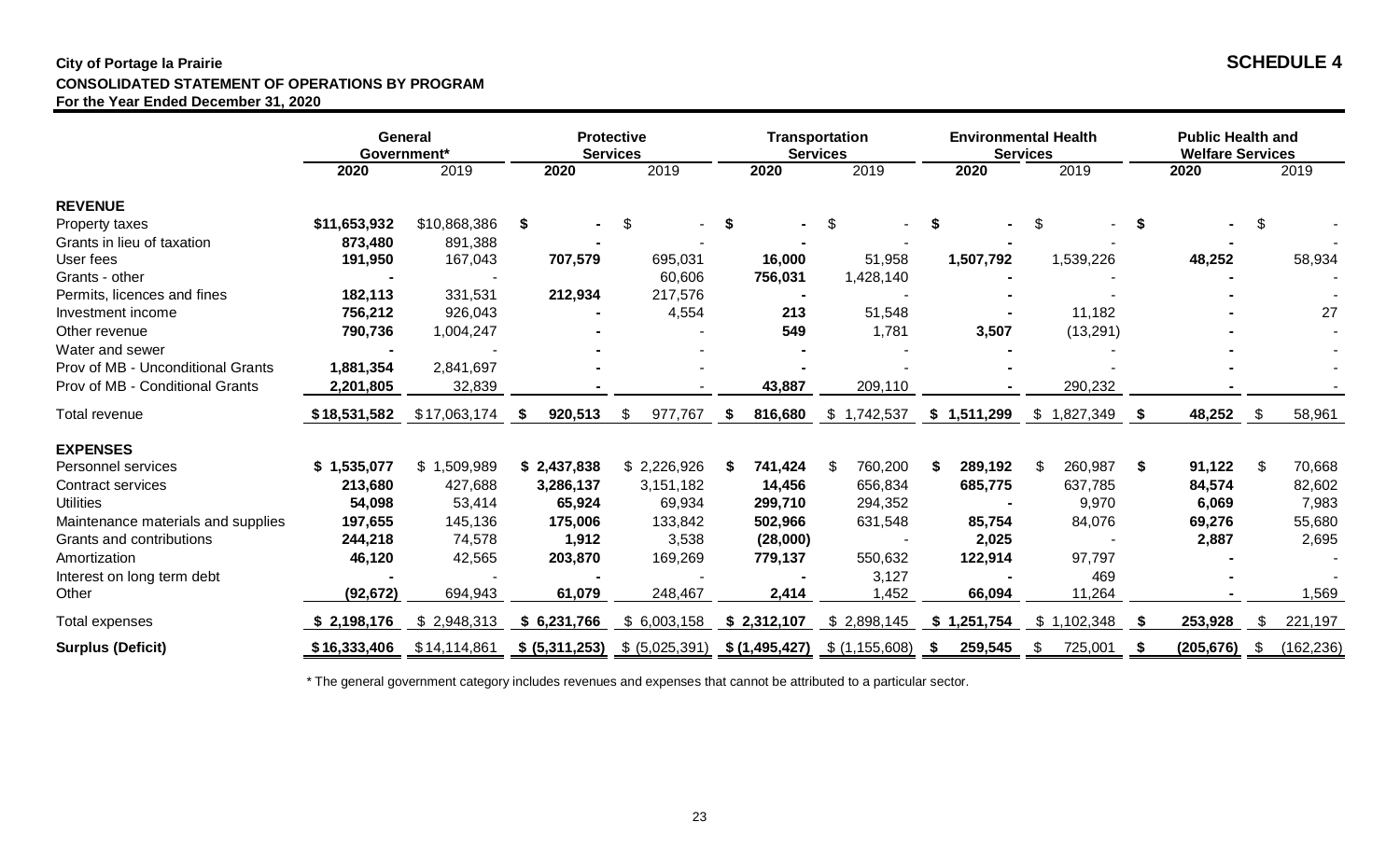### **City of Portage la Prairie SCHEDULE 4 CONSOLIDATED STATEMENT OF OPERATIONS BY PROGRAM For the Year Ended December 31, 2020**

|                                    | <b>General</b><br>Government* |              | <b>Protective</b><br><b>Services</b> |                |                | <b>Transportation</b><br><b>Services</b> | <b>Environmental Health</b> | <b>Services</b> | <b>Public Health and</b><br><b>Welfare Services</b> |              |  |
|------------------------------------|-------------------------------|--------------|--------------------------------------|----------------|----------------|------------------------------------------|-----------------------------|-----------------|-----------------------------------------------------|--------------|--|
|                                    | 2020                          | 2019         | 2020                                 | 2019           | 2020           | 2019                                     | 2020                        | 2019            | 2020                                                | 2019         |  |
| <b>REVENUE</b>                     |                               |              |                                      |                |                |                                          |                             |                 |                                                     |              |  |
| Property taxes                     | \$11,653,932                  | \$10,868,386 | S                                    | \$.            | -S<br>٠        | \$                                       | -S                          | \$              | S                                                   | \$           |  |
| Grants in lieu of taxation         | 873,480                       | 891,388      |                                      |                |                |                                          |                             |                 |                                                     |              |  |
| User fees                          | 191,950                       | 167,043      | 707,579                              | 695,031        | 16,000         | 51,958                                   | 1,507,792                   | 1,539,226       | 48,252                                              | 58,934       |  |
| Grants - other                     |                               |              |                                      | 60,606         | 756,031        | 1,428,140                                |                             |                 |                                                     |              |  |
| Permits, licences and fines        | 182,113                       | 331,531      | 212,934                              | 217,576        | $\blacksquare$ |                                          |                             |                 |                                                     |              |  |
| Investment income                  | 756,212                       | 926,043      |                                      | 4,554          | 213            | 51,548                                   |                             | 11,182          |                                                     | 27           |  |
| Other revenue                      | 790,736                       | 1,004,247    |                                      |                | 549            | 1,781                                    | 3,507                       | (13, 291)       |                                                     |              |  |
| Water and sewer                    |                               |              |                                      |                |                |                                          |                             |                 |                                                     |              |  |
| Prov of MB - Unconditional Grants  | 1,881,354                     | 2,841,697    |                                      |                |                |                                          |                             |                 |                                                     |              |  |
| Prov of MB - Conditional Grants    | 2,201,805                     | 32,839       |                                      |                | 43,887         | 209,110                                  |                             | 290,232         |                                                     |              |  |
| Total revenue                      | \$18,531,582                  | \$17,063,174 | 920,513<br>S                         | \$<br>977,767  | 816,680<br>\$  | \$1,742,537                              | \$1,511,299                 | \$1,827,349     | 48,252<br>\$                                        | \$<br>58,961 |  |
| <b>EXPENSES</b>                    |                               |              |                                      |                |                |                                          |                             |                 |                                                     |              |  |
| Personnel services                 | \$1,535,077                   | \$1,509,989  | \$2,437,838                          | \$2,226,926    | 741,424<br>S   | 760,200<br>\$.                           | 289,192<br>S                | 260,987<br>\$.  | 91,122<br>\$                                        | 70,668<br>-S |  |
| Contract services                  | 213,680                       | 427,688      | 3,286,137                            | 3,151,182      | 14,456         | 656,834                                  | 685,775                     | 637,785         | 84,574                                              | 82,602       |  |
| <b>Utilities</b>                   | 54,098                        | 53,414       | 65,924                               | 69,934         | 299,710        | 294,352                                  |                             | 9,970           | 6,069                                               | 7,983        |  |
| Maintenance materials and supplies | 197,655                       | 145,136      | 175,006                              | 133,842        | 502,966        | 631,548                                  | 85,754                      | 84,076          | 69,276                                              | 55,680       |  |
| Grants and contributions           | 244,218                       | 74,578       | 1,912                                | 3,538          | (28,000)       |                                          | 2,025                       |                 | 2,887                                               | 2,695        |  |
| Amortization                       | 46,120                        | 42,565       | 203,870                              | 169,269        | 779,137        | 550,632                                  | 122,914                     | 97,797          |                                                     |              |  |
| Interest on long term debt         |                               |              |                                      |                |                | 3,127                                    |                             | 469             |                                                     |              |  |
| Other                              | (92, 672)                     | 694,943      | 61,079                               | 248,467        | 2,414          | 1,452                                    | 66,094                      | 11,264          |                                                     | 1,569        |  |
| Total expenses                     | \$2,198,176                   | \$2,948,313  | \$6,231,766                          | \$6,003,158    | \$2,312,107    | \$2,898,145                              | \$1,251,754                 | \$1,102,348     | 253,928                                             | 221,197      |  |
| <b>Surplus (Deficit)</b>           | \$16,333,406                  | \$14,114,861 | \$ (5,311,253)                       | \$ (5,025,391) | \$(1,495,427)  | \$(1,155,608)                            | 259,545<br>S.               | 725,001<br>\$   | (205, 676)                                          | (162, 236)   |  |

\* The general government category includes revenues and expenses that cannot be attributed to a particular sector.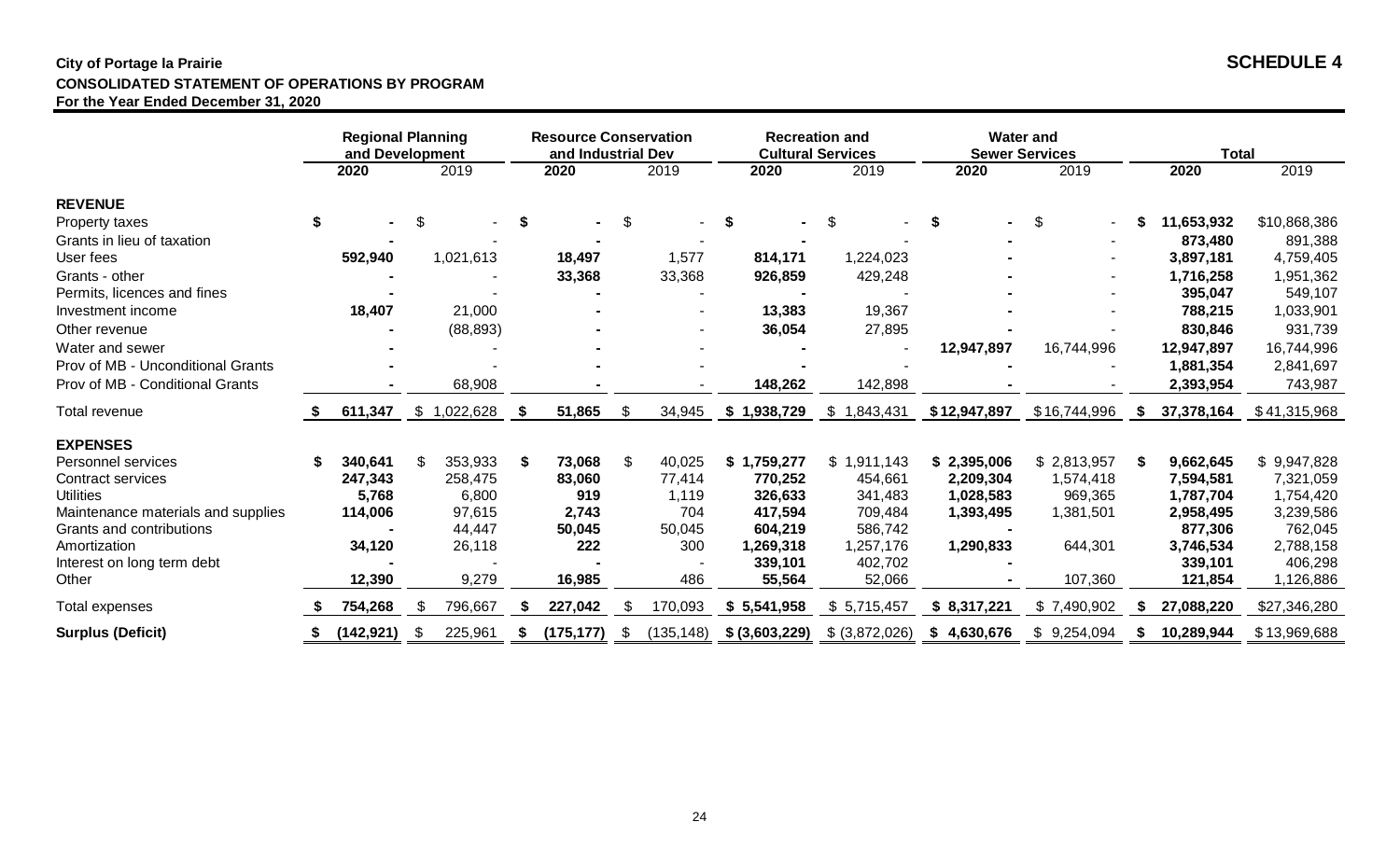### **City of Portage la Prairie SCHEDULE 4 CONSOLIDATED STATEMENT OF OPERATIONS BY PROGRAM For the Year Ended December 31, 2020**

|                                    | <b>Regional Planning</b><br>and Development<br>2019<br>2020 |            |    | <b>Resource Conservation</b><br>and Industrial Dev<br>2020<br>2019 |     |            |     |            | <b>Recreation and</b><br><b>Cultural Services</b> | <b>Water and</b> | <b>Sewer Services</b> | <b>Total</b> |      |            |              |
|------------------------------------|-------------------------------------------------------------|------------|----|--------------------------------------------------------------------|-----|------------|-----|------------|---------------------------------------------------|------------------|-----------------------|--------------|------|------------|--------------|
|                                    |                                                             |            |    |                                                                    |     |            |     |            | 2020                                              | 2019             | 2020                  | 2019         |      | 2020       | 2019         |
| <b>REVENUE</b>                     |                                                             |            |    |                                                                    |     |            |     |            |                                                   |                  |                       |              |      |            |              |
| Property taxes                     |                                                             |            | \$ | $\blacksquare$                                                     | \$  | ۰.         | \$  |            | -\$<br>$\blacksquare$                             | \$               | -S<br>$\blacksquare$  | \$           |      | 11,653,932 | \$10,868,386 |
| Grants in lieu of taxation         |                                                             |            |    |                                                                    |     |            |     |            |                                                   |                  |                       |              |      | 873,480    | 891,388      |
| User fees                          |                                                             | 592,940    |    | 1,021,613                                                          |     | 18,497     |     | 1,577      | 814,171                                           | 1,224,023        |                       |              |      | 3,897,181  | 4,759,405    |
| Grants - other                     |                                                             |            |    |                                                                    |     | 33,368     |     | 33,368     | 926,859                                           | 429,248          |                       |              |      | 1,716,258  | 1,951,362    |
| Permits, licences and fines        |                                                             |            |    |                                                                    |     |            |     |            |                                                   |                  |                       |              |      | 395,047    | 549,107      |
| Investment income                  |                                                             | 18,407     |    | 21,000                                                             |     |            |     |            | 13,383                                            | 19,367           |                       |              |      | 788,215    | 1,033,901    |
| Other revenue                      |                                                             |            |    | (88, 893)                                                          |     |            |     |            | 36,054                                            | 27,895           |                       |              |      | 830,846    | 931,739      |
| Water and sewer                    |                                                             |            |    |                                                                    |     |            |     |            |                                                   |                  | 12,947,897            | 16,744,996   |      | 12,947,897 | 16,744,996   |
| Prov of MB - Unconditional Grants  |                                                             |            |    |                                                                    |     |            |     |            |                                                   |                  |                       |              |      | 1,881,354  | 2,841,697    |
| Prov of MB - Conditional Grants    |                                                             |            |    | 68,908                                                             |     |            |     |            | 148,262                                           | 142,898          |                       |              |      | 2,393,954  | 743,987      |
| Total revenue                      | S.                                                          | 611,347    | \$ | 1,022,628                                                          | - 5 | 51,865     | \$. | 34,945     | \$1,938,729                                       | \$1,843,431      | \$12,947,897          | \$16,744,996 | Ъ    | 37,378,164 | \$41,315,968 |
| <b>EXPENSES</b>                    |                                                             |            |    |                                                                    |     |            |     |            |                                                   |                  |                       |              |      |            |              |
| Personnel services                 | S                                                           | 340,641    | \$ | 353,933                                                            | \$  | 73,068     | \$  | 40,025     | \$1,759,277                                       | \$1,911,143      | \$2,395,006           | \$2,813,957  | - \$ | 9,662,645  | \$9,947,828  |
| Contract services                  |                                                             | 247,343    |    | 258,475                                                            |     | 83,060     |     | 77,414     | 770,252                                           | 454,661          | 2,209,304             | 1,574,418    |      | 7,594,581  | 7,321,059    |
| <b>Utilities</b>                   |                                                             | 5,768      |    | 6,800                                                              |     | 919        |     | 1,119      | 326,633                                           | 341,483          | 1,028,583             | 969,365      |      | 1,787,704  | 1,754,420    |
| Maintenance materials and supplies |                                                             | 114,006    |    | 97,615                                                             |     | 2,743      |     | 704        | 417,594                                           | 709,484          | 1,393,495             | 1,381,501    |      | 2,958,495  | 3,239,586    |
| Grants and contributions           |                                                             |            |    | 44,447                                                             |     | 50,045     |     | 50,045     | 604,219                                           | 586,742          |                       |              |      | 877,306    | 762,045      |
| Amortization                       |                                                             | 34,120     |    | 26,118                                                             |     | 222        |     | 300        | 1,269,318                                         | 1,257,176        | 1,290,833             | 644,301      |      | 3,746,534  | 2,788,158    |
| Interest on long term debt         |                                                             |            |    |                                                                    |     |            |     |            | 339,101                                           | 402,702          |                       |              |      | 339,101    | 406,298      |
| Other                              |                                                             | 12,390     |    | 9,279                                                              |     | 16,985     |     | 486        | 55,564                                            | 52,066           |                       | 107,360      |      | 121,854    | 1,126,886    |
| Total expenses                     |                                                             | 754,268    | \$ | 796,667                                                            | \$  | 227,042    | \$. | 170,093    | \$5,541,958                                       | \$5,715,457      | \$8,317,221           | \$7,490,902  |      | 27,088,220 | \$27,346,280 |
| <b>Surplus (Deficit)</b>           |                                                             | (142, 921) | \$ | 225,961                                                            | S.  | (175, 177) | \$  | (135, 148) | \$ (3,603,229)                                    | \$ (3,872,026)   | \$4,630,676           | \$9,254,094  | S    | 10,289,944 | \$13,969,688 |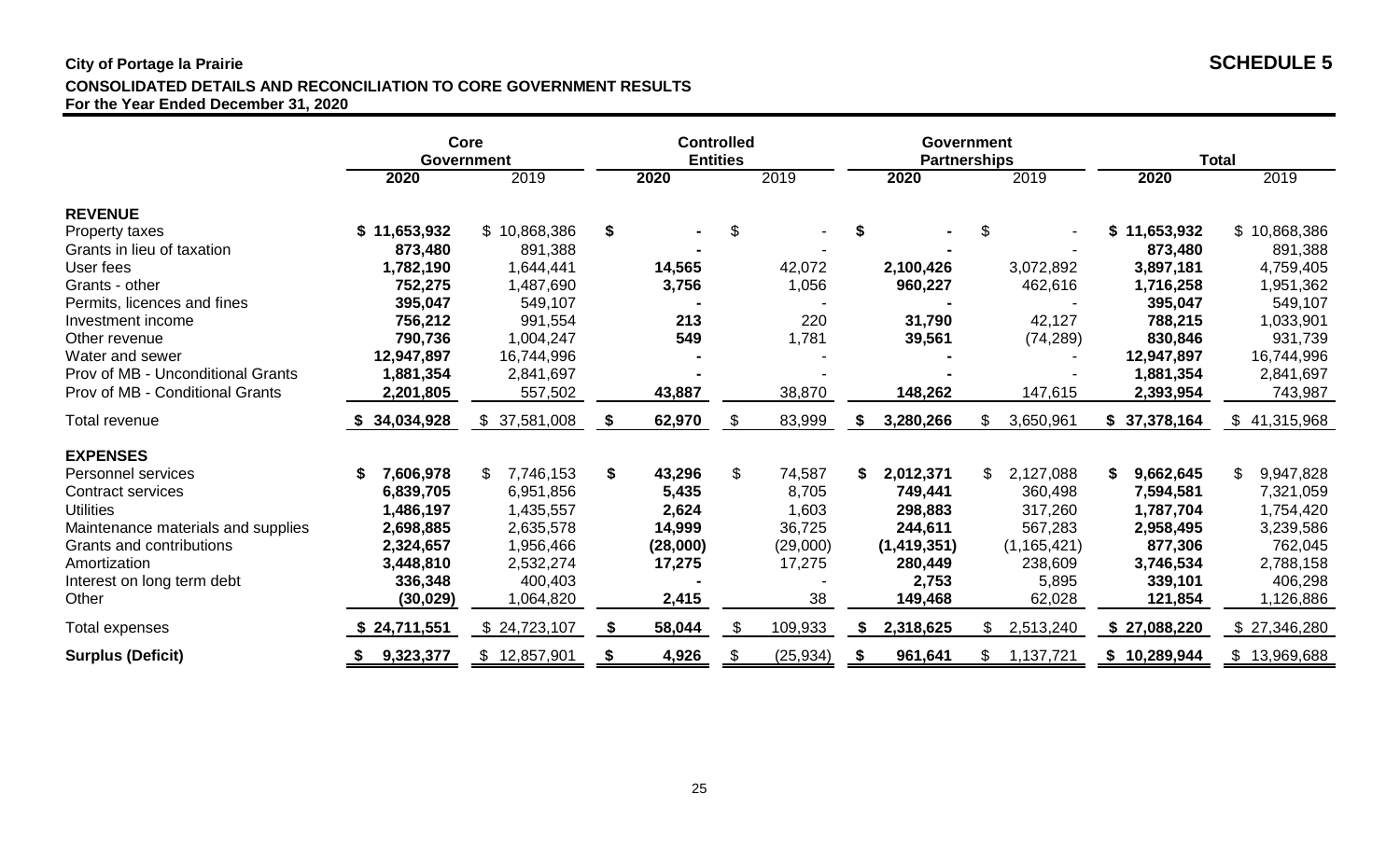### **City of Portage la Prairie SCHEDULE 5 CONSOLIDATED DETAILS AND RECONCILIATION TO CORE GOVERNMENT RESULTS For the Year Ended December 31, 2020**

|                                    | Core<br><b>Government</b> |              |     | <b>Controlled</b><br><b>Entities</b> |                |           |    | <b>Government</b><br><b>Partnerships</b> |     |                          | <b>Total</b>     |              |  |
|------------------------------------|---------------------------|--------------|-----|--------------------------------------|----------------|-----------|----|------------------------------------------|-----|--------------------------|------------------|--------------|--|
|                                    | 2020                      | 2019         |     | 2020                                 |                | 2019      |    | 2020                                     |     | 2019                     | 2020             | 2019         |  |
| <b>REVENUE</b>                     |                           |              |     |                                      |                |           |    |                                          |     |                          |                  |              |  |
| Property taxes                     | \$11,653,932              | \$10,868,386 | \$  |                                      | \$             |           | \$ |                                          | \$  | $\overline{\phantom{a}}$ | \$11,653,932     | \$10,868,386 |  |
| Grants in lieu of taxation         | 873,480                   | 891,388      |     |                                      |                |           |    |                                          |     |                          | 873,480          | 891,388      |  |
| User fees                          | 1,782,190                 | 1,644,441    |     | 14,565                               |                | 42,072    |    | 2,100,426                                |     | 3,072,892                | 3,897,181        | 4,759,405    |  |
| Grants - other                     | 752,275                   | 1,487,690    |     | 3,756                                |                | 1,056     |    | 960,227                                  |     | 462,616                  | 1,716,258        | 1,951,362    |  |
| Permits, licences and fines        | 395,047                   | 549,107      |     |                                      |                |           |    |                                          |     |                          | 395,047          | 549,107      |  |
| Investment income                  | 756,212                   | 991,554      |     | 213                                  |                | 220       |    | 31,790                                   |     | 42,127                   | 788,215          | 1,033,901    |  |
| Other revenue                      | 790,736                   | 1,004,247    |     | 549                                  |                | 1,781     |    | 39,561                                   |     | (74, 289)                | 830,846          | 931,739      |  |
| Water and sewer                    | 12,947,897                | 16,744,996   |     |                                      |                |           |    |                                          |     |                          | 12,947,897       | 16,744,996   |  |
| Prov of MB - Unconditional Grants  | 1,881,354                 | 2,841,697    |     |                                      |                |           |    |                                          |     |                          | 1,881,354        | 2,841,697    |  |
| Prov of MB - Conditional Grants    | 2,201,805                 | 557,502      |     | 43,887                               |                | 38,870    |    | 148,262                                  |     | 147,615                  | 2,393,954        | 743,987      |  |
| Total revenue                      | 34,034,928                | \$37,581,008 | -SI | 62,970                               | \$             | 83,999    |    | 3,280,266                                | \$. | 3,650,961                | 37,378,164<br>S. | \$41,315,968 |  |
| <b>EXPENSES</b>                    |                           |              |     |                                      |                |           |    |                                          |     |                          |                  |              |  |
| Personnel services                 | 7,606,978<br>S            | 7,746,153    | \$  | 43,296                               | \$             | 74,587    |    | 2,012,371                                | \$  | 2,127,088                | \$<br>9,662,645  | 9,947,828    |  |
| <b>Contract services</b>           | 6,839,705                 | 6,951,856    |     | 5,435                                |                | 8,705     |    | 749,441                                  |     | 360,498                  | 7,594,581        | 7,321,059    |  |
| <b>Utilities</b>                   | 1,486,197                 | 1,435,557    |     | 2,624                                |                | 1,603     |    | 298,883                                  |     | 317,260                  | 1,787,704        | 1,754,420    |  |
| Maintenance materials and supplies | 2,698,885                 | 2,635,578    |     | 14,999                               |                | 36,725    |    | 244,611                                  |     | 567,283                  | 2,958,495        | 3,239,586    |  |
| Grants and contributions           | 2,324,657                 | 1,956,466    |     | (28,000)                             |                | (29,000)  |    | (1, 419, 351)                            |     | (1, 165, 421)            | 877,306          | 762,045      |  |
| Amortization                       | 3,448,810                 | 2,532,274    |     | 17,275                               |                | 17,275    |    | 280,449                                  |     | 238,609                  | 3,746,534        | 2,788,158    |  |
| Interest on long term debt         | 336,348                   | 400,403      |     |                                      |                |           |    | 2,753                                    |     | 5,895                    | 339,101          | 406,298      |  |
| Other                              | (30,029)                  | 1,064,820    |     | 2,415                                |                | 38        |    | 149,468                                  |     | 62,028                   | 121,854          | 1,126,886    |  |
| Total expenses                     | \$24,711,551              | \$24,723,107 | S.  | 58,044                               | $\mathfrak{F}$ | 109,933   |    | 2,318,625                                | \$  | 2,513,240                | \$27,088,220     | \$27,346,280 |  |
| <b>Surplus (Deficit)</b>           | 9,323,377                 | \$12,857,901 |     | 4,926                                |                | (25, 934) |    | 961,641                                  |     | 1,137,721                | \$10,289,944     | \$13,969,688 |  |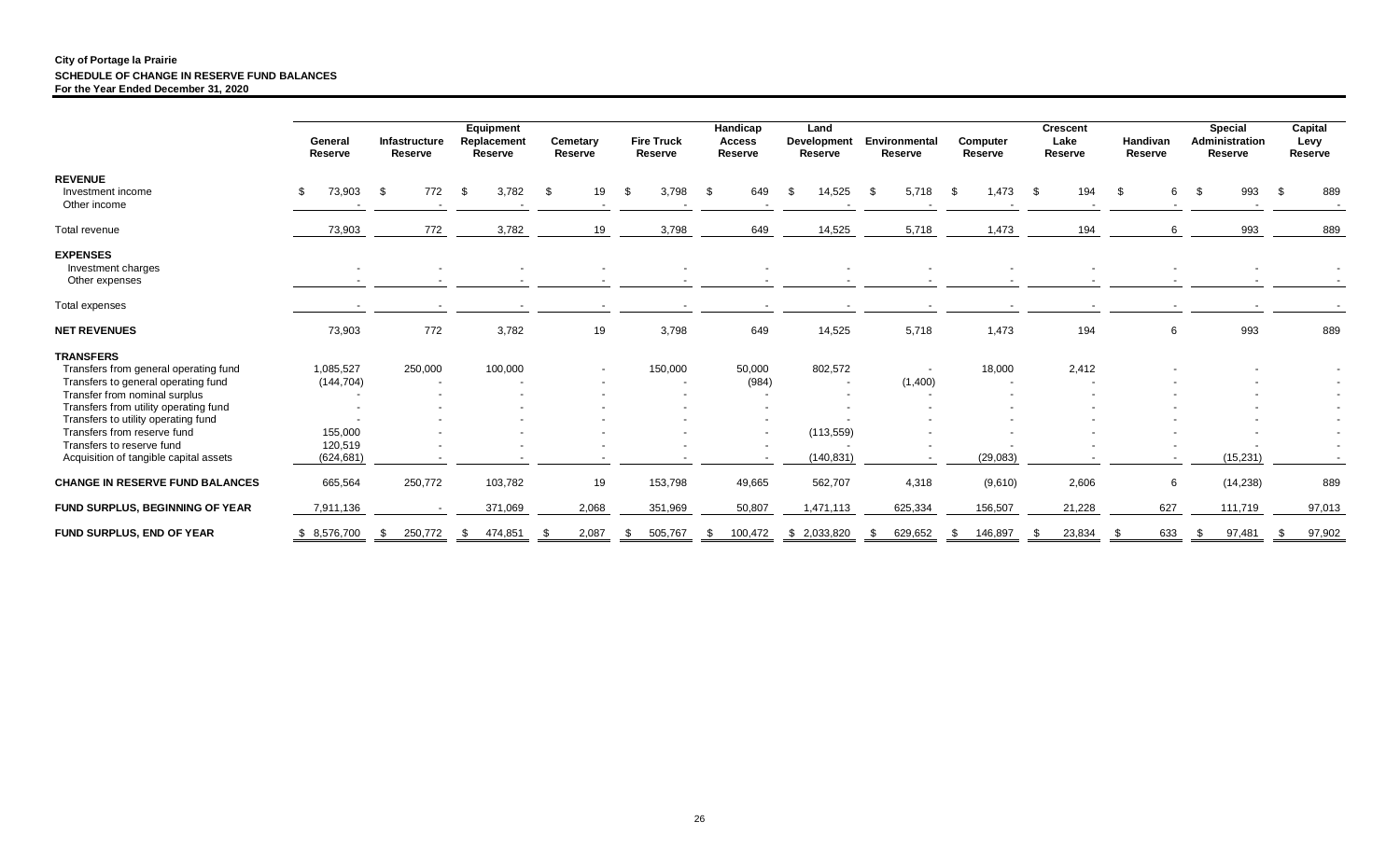#### **City of Portage la Prairie SCHEDULE OF CHANGE IN RESERVE FUND BALANCES For the Year Ended December 31, 2020**

|                                                                                                                                                                                                                                                                                                                         | General<br>Reserve                                         | Infastructure<br>Reserve | Equipment<br>Replacement<br>Reserve | Cemetary<br>Reserve | <b>Fire Truck</b><br>Reserve | Handicap<br><b>Access</b><br>Reserve        | Land<br>Development<br>Reserve      | Environmental<br>Reserve            | Computer<br>Reserve | <b>Crescent</b><br>Lake<br>Reserve | Handivan<br>Reserve | <b>Special</b><br>Administration<br>Reserve | Capital<br>Levy<br>Reserve |
|-------------------------------------------------------------------------------------------------------------------------------------------------------------------------------------------------------------------------------------------------------------------------------------------------------------------------|------------------------------------------------------------|--------------------------|-------------------------------------|---------------------|------------------------------|---------------------------------------------|-------------------------------------|-------------------------------------|---------------------|------------------------------------|---------------------|---------------------------------------------|----------------------------|
| <b>REVENUE</b><br>Investment income<br>Other income                                                                                                                                                                                                                                                                     | 73,903<br>\$                                               | 772<br>- \$              | 3,782<br>-S                         | - \$<br>19          | 3,798<br>-S                  | - \$<br>649                                 | 14,525<br>ß.                        | 5,718<br>- \$                       | 1,473<br>- \$       | 194<br>- \$                        | 6<br>- \$           | 993<br>-\$                                  | 889<br>\$                  |
| Total revenue                                                                                                                                                                                                                                                                                                           | 73,903                                                     | 772                      | 3,782                               | 19                  | 3,798                        | 649                                         | 14,525                              | 5,718                               | 1,473               | 194                                | 6                   | 993                                         | 889                        |
| <b>EXPENSES</b><br>Investment charges<br>Other expenses                                                                                                                                                                                                                                                                 |                                                            |                          |                                     |                     |                              |                                             |                                     |                                     |                     |                                    |                     |                                             |                            |
| Total expenses                                                                                                                                                                                                                                                                                                          |                                                            |                          |                                     |                     |                              |                                             |                                     |                                     |                     |                                    |                     |                                             |                            |
| <b>NET REVENUES</b>                                                                                                                                                                                                                                                                                                     | 73,903                                                     | 772                      | 3,782                               | 19                  | 3,798                        | 649                                         | 14,525                              | 5,718                               | 1,473               | 194                                | 6                   | 993                                         | 889                        |
| <b>TRANSFERS</b><br>Transfers from general operating fund<br>Transfers to general operating fund<br>Transfer from nominal surplus<br>Transfers from utility operating fund<br>Transfers to utility operating fund<br>Transfers from reserve fund<br>Transfers to reserve fund<br>Acquisition of tangible capital assets | 1,085,527<br>(144, 704)<br>155,000<br>120,519<br>(624,681) | 250,000                  | 100,000                             |                     | 150,000                      | 50,000<br>(984)<br>$\overline{\phantom{a}}$ | 802,572<br>(113, 559)<br>(140, 831) | $\overline{\phantom{a}}$<br>(1,400) | 18,000<br>(29,083)  | 2,412                              |                     | (15, 231)                                   | $\sim$                     |
| <b>CHANGE IN RESERVE FUND BALANCES</b>                                                                                                                                                                                                                                                                                  | 665,564                                                    | 250,772                  | 103,782                             | 19                  | 153,798                      | 49,665                                      | 562,707                             | 4,318                               | (9,610)             | 2,606                              | 6                   | (14, 238)                                   | 889                        |
| <b>FUND SURPLUS, BEGINNING OF YEAR</b>                                                                                                                                                                                                                                                                                  | 7,911,136                                                  |                          | 371,069                             | 2,068               | 351,969                      | 50,807                                      | 1,471,113                           | 625,334                             | 156,507             | 21,228                             | 627                 | 111,719                                     | 97,013                     |
| <b>FUND SURPLUS, END OF YEAR</b>                                                                                                                                                                                                                                                                                        | \$ 8,576,700                                               | 250,772<br>- \$          | 474,851<br>- \$                     | 2,087               | 505,767<br>\$                | 100,472<br>- \$                             | \$2,033,820                         | 629,652                             | 146,897             | 23,834                             | 633                 | 97,481<br>\$                                | 97,902<br>-\$              |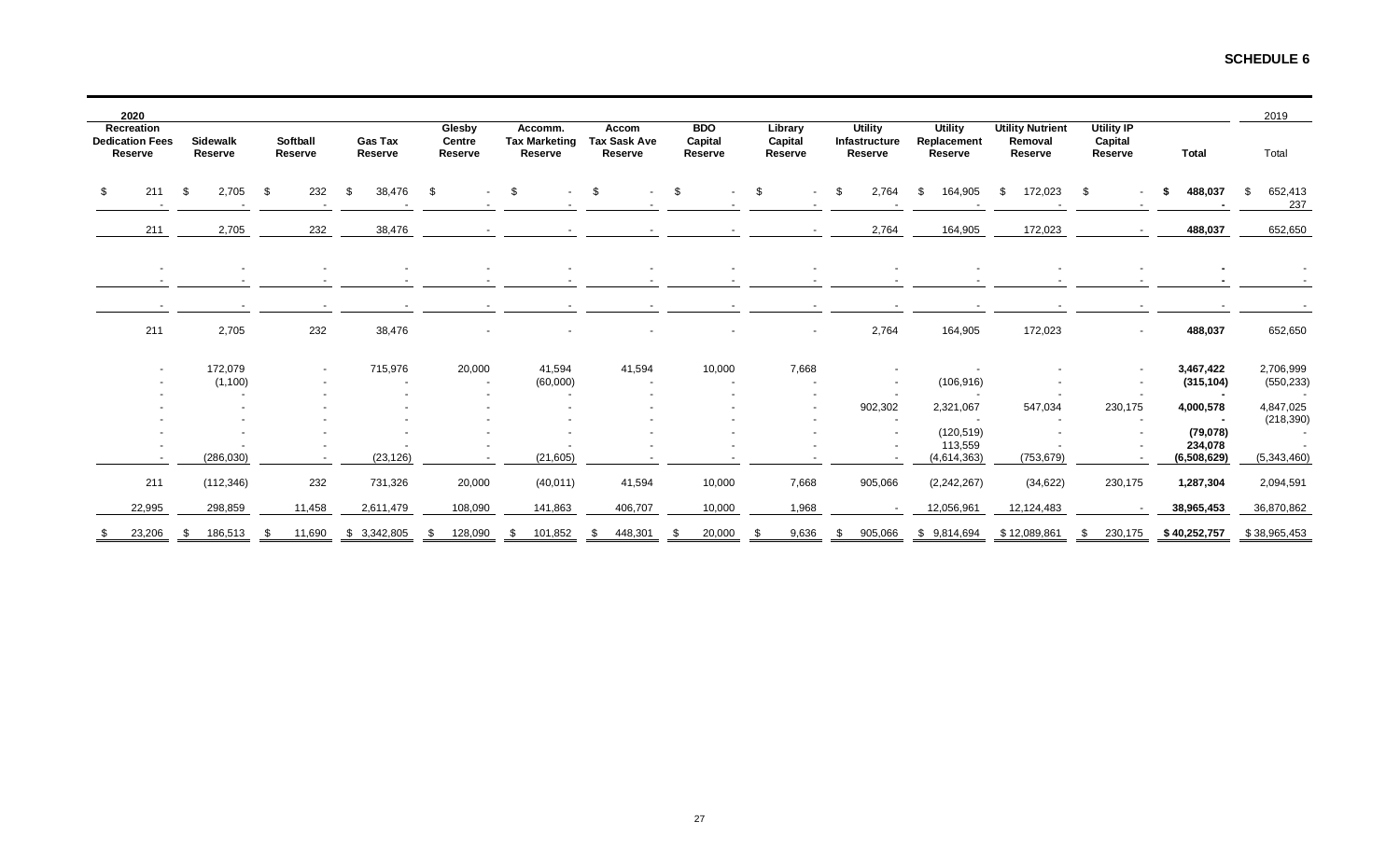|    | 2020                                            |      |                            |      |                                 |                           |            |                             |      |                                            |            |                                         |      |                                  |      |                               |      |                                            |                                                                   |                                               |      |                                         |                                     |    | 2019                              |
|----|-------------------------------------------------|------|----------------------------|------|---------------------------------|---------------------------|------------|-----------------------------|------|--------------------------------------------|------------|-----------------------------------------|------|----------------------------------|------|-------------------------------|------|--------------------------------------------|-------------------------------------------------------------------|-----------------------------------------------|------|-----------------------------------------|-------------------------------------|----|-----------------------------------|
|    | Recreation<br><b>Dedication Fees</b><br>Reserve |      | <b>Sidewalk</b><br>Reserve |      | Softball<br>Reserve             | <b>Gas Tax</b><br>Reserve |            | Glesby<br>Centre<br>Reserve |      | Accomm.<br><b>Tax Marketing</b><br>Reserve |            | Accom<br><b>Tax Sask Ave</b><br>Reserve |      | <b>BDO</b><br>Capital<br>Reserve |      | Library<br>Capital<br>Reserve |      | <b>Utility</b><br>Infastructure<br>Reserve | <b>Utility</b><br>Replacement<br>Reserve                          | <b>Utility Nutrient</b><br>Removal<br>Reserve |      | <b>Utility IP</b><br>Capital<br>Reserve | Total                               |    | Total                             |
| \$ | 211                                             | - \$ | 2,705                      | \$   | 232<br>$\overline{\phantom{a}}$ | \$<br>38,476              | \$         |                             | \$   | $\sim$                                     | \$         |                                         | \$   |                                  | S.   |                               | \$   | 2,764                                      | \$<br>164,905                                                     | \$<br>172,023                                 | - \$ | $\overline{\phantom{a}}$                | \$<br>488,037                       | £. | 652,413<br>237                    |
|    | 211                                             |      | 2,705                      |      | 232                             | 38,476                    |            |                             |      |                                            |            |                                         |      |                                  |      |                               |      | 2,764                                      | 164,905                                                           | 172,023                                       |      | $\overline{\phantom{a}}$                | 488,037                             |    | 652,650                           |
|    |                                                 |      |                            |      |                                 |                           |            |                             |      |                                            |            |                                         |      |                                  |      |                               |      |                                            |                                                                   |                                               |      |                                         |                                     |    |                                   |
|    |                                                 |      |                            |      |                                 |                           |            |                             |      |                                            |            |                                         |      |                                  |      |                               |      |                                            |                                                                   |                                               |      |                                         |                                     |    |                                   |
|    | 211                                             |      | 2,705                      |      | 232                             | 38,476                    |            |                             |      |                                            |            |                                         |      |                                  |      | $\overline{\phantom{a}}$      |      | 2,764                                      | 164,905                                                           | 172,023                                       |      | $\overline{\phantom{a}}$                | 488,037                             |    | 652,650                           |
|    |                                                 |      | 172,079<br>(1, 100)        |      |                                 | 715,976                   |            | 20,000                      |      | 41,594<br>(60,000)                         |            | 41,594                                  |      | 10,000                           |      | 7,668                         |      |                                            | (106, 916)                                                        |                                               |      | $\overline{\phantom{a}}$                | 3,467,422<br>(315, 104)             |    | 2,706,999<br>(550, 233)           |
|    |                                                 |      |                            |      |                                 |                           |            |                             |      |                                            |            |                                         |      |                                  |      | $\overline{\phantom{a}}$      |      | 902,302                                    | $\overline{\phantom{a}}$<br>2,321,067<br>$\overline{\phantom{a}}$ | 547,034                                       |      | $\overline{\phantom{a}}$<br>230,175     | $\sim$<br>4,000,578                 |    | $\sim$<br>4,847,025<br>(218, 390) |
|    |                                                 |      | (286, 030)                 |      |                                 | (23, 126)                 |            |                             |      | (21, 605)                                  |            |                                         |      |                                  |      |                               |      |                                            | (120, 519)<br>113,559<br>(4,614,363)                              | (753, 679)                                    |      |                                         | (79, 078)<br>234,078<br>(6,508,629) |    | (5,343,460)                       |
|    | 211                                             |      | (112, 346)                 |      | 232                             | 731,326                   |            | 20,000                      |      | (40, 011)                                  |            | 41,594                                  |      | 10,000                           |      | 7,668                         |      | 905,066                                    | (2, 242, 267)                                                     | (34, 622)                                     |      | 230,175                                 | 1,287,304                           |    | 2,094,591                         |
|    | 22,995                                          |      | 298,859                    |      | 11,458                          | 2,611,479                 |            | 108,090                     |      | 141,863                                    |            | 406,707                                 |      | 10,000                           |      | 1,968                         |      |                                            | 12,056,961                                                        | 12,124,483                                    |      | $\overline{\phantom{a}}$                | 38,965,453                          |    | 36,870,862                        |
| S. | 23,206                                          | - \$ | 186,513                    | - \$ | 11,690                          | \$ 3,342,805              | $^{\circ}$ | 128,090                     | - \$ | 101,852                                    | $^{\circ}$ | 448,301                                 | - \$ | 20,000                           | - \$ | 9,636                         | - \$ | 905,066                                    | \$9,814,694                                                       | \$12,089,861                                  | - \$ | 230,175                                 | \$40,252,757                        |    | \$38,965,453                      |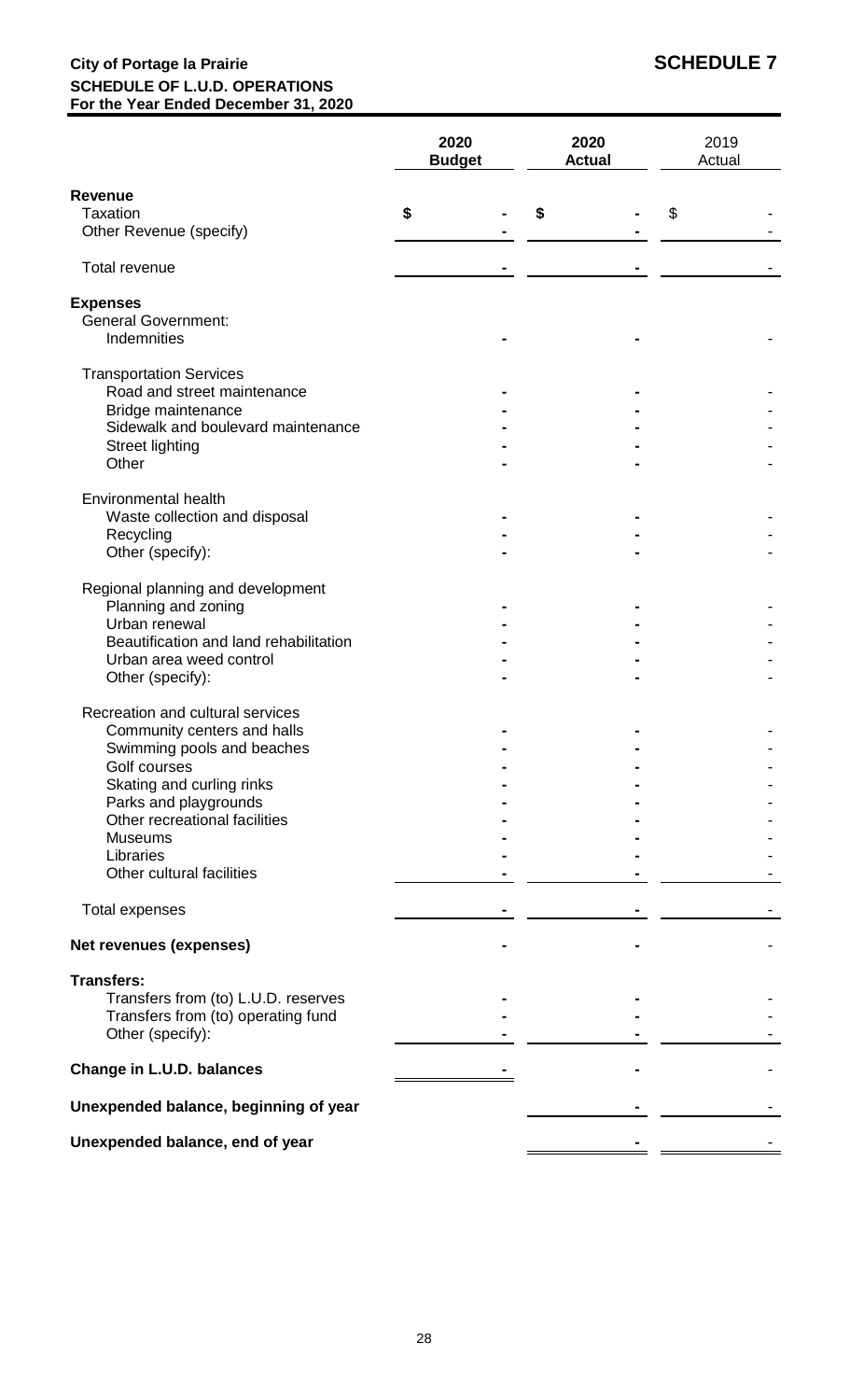## **City of Portage la Prairie SCHEDULE 7 SCHEDULE OF L.U.D. OPERATIONS For the Year Ended December 31, 2020**

|                                                                                                                                                                                                                                                                  | 2020 | <b>Budget</b> | 2020<br><b>Actual</b> | 2019<br>Actual |  |  |
|------------------------------------------------------------------------------------------------------------------------------------------------------------------------------------------------------------------------------------------------------------------|------|---------------|-----------------------|----------------|--|--|
| <b>Revenue</b><br><b>Taxation</b><br>Other Revenue (specify)                                                                                                                                                                                                     | \$   |               |                       | \$             |  |  |
| Total revenue                                                                                                                                                                                                                                                    |      |               |                       |                |  |  |
| <b>Expenses</b><br><b>General Government:</b><br>Indemnities                                                                                                                                                                                                     |      |               |                       |                |  |  |
| <b>Transportation Services</b><br>Road and street maintenance<br>Bridge maintenance<br>Sidewalk and boulevard maintenance<br><b>Street lighting</b><br>Other                                                                                                     |      |               |                       |                |  |  |
| Environmental health<br>Waste collection and disposal<br>Recycling<br>Other (specify):                                                                                                                                                                           |      |               |                       |                |  |  |
| Regional planning and development<br>Planning and zoning<br>Urban renewal<br>Beautification and land rehabilitation<br>Urban area weed control<br>Other (specify):                                                                                               |      |               |                       |                |  |  |
| Recreation and cultural services<br>Community centers and halls<br>Swimming pools and beaches<br>Golf courses<br>Skating and curling rinks<br>Parks and playgrounds<br>Other recreational facilities<br><b>Museums</b><br>Libraries<br>Other cultural facilities |      |               |                       |                |  |  |
| <b>Total expenses</b>                                                                                                                                                                                                                                            |      |               |                       |                |  |  |
| <b>Net revenues (expenses)</b>                                                                                                                                                                                                                                   |      |               |                       |                |  |  |
| <b>Transfers:</b><br>Transfers from (to) L.U.D. reserves<br>Transfers from (to) operating fund<br>Other (specify):                                                                                                                                               |      |               |                       |                |  |  |
| Change in L.U.D. balances                                                                                                                                                                                                                                        |      |               |                       |                |  |  |
| Unexpended balance, beginning of year                                                                                                                                                                                                                            |      |               |                       |                |  |  |
| Unexpended balance, end of year                                                                                                                                                                                                                                  |      |               |                       |                |  |  |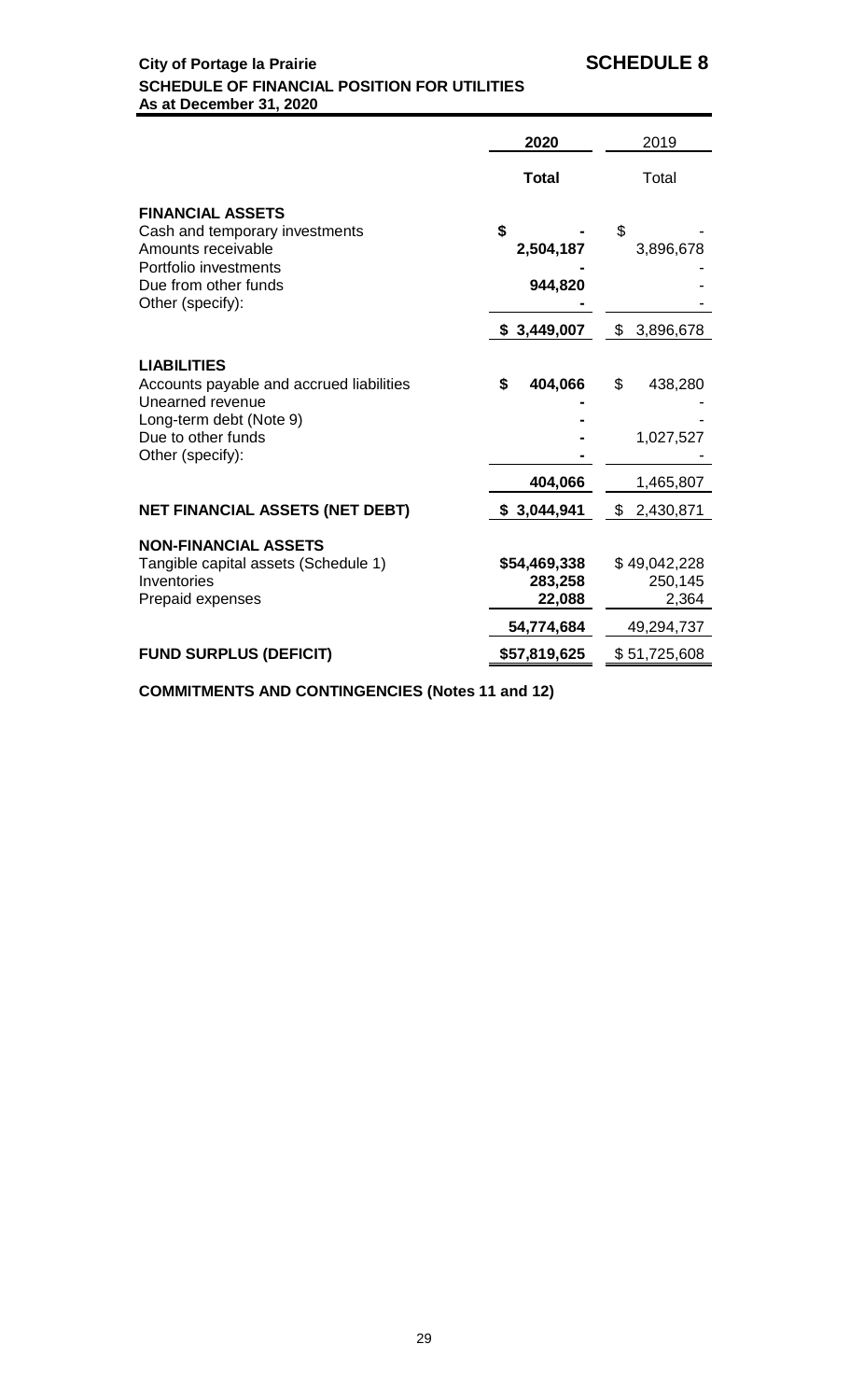### **City of Portage la Prairie <b>SCHEDULE 8 SCHEDULE OF FINANCIAL POSITION FOR UTILITIES As at December 31, 2020**

|                                                                                                                                                         | 2020                                      | 2019                             |
|---------------------------------------------------------------------------------------------------------------------------------------------------------|-------------------------------------------|----------------------------------|
|                                                                                                                                                         | <b>Total</b>                              | Total                            |
| <b>FINANCIAL ASSETS</b><br>Cash and temporary investments<br>Amounts receivable<br>Portfolio investments<br>Due from other funds<br>Other (specify):    | \$<br>2,504,187<br>944,820<br>\$3,449,007 | \$<br>3,896,678<br>\$ 3,896,678  |
| <b>LIABILITIES</b><br>Accounts payable and accrued liabilities<br>Unearned revenue<br>Long-term debt (Note 9)<br>Due to other funds<br>Other (specify): | \$<br>404,066                             | \$<br>438,280<br>1,027,527       |
|                                                                                                                                                         | 404,066                                   | 1,465,807                        |
| <b>NET FINANCIAL ASSETS (NET DEBT)</b>                                                                                                                  | \$3,044,941                               | \$<br>2,430,871                  |
| <b>NON-FINANCIAL ASSETS</b><br>Tangible capital assets (Schedule 1)<br>Inventories<br>Prepaid expenses                                                  | \$54,469,338<br>283,258<br>22,088         | \$49,042,228<br>250,145<br>2,364 |
|                                                                                                                                                         | 54,774,684                                | 49,294,737                       |
| <b>FUND SURPLUS (DEFICIT)</b>                                                                                                                           | \$57,819,625                              | \$51,725,608                     |

**COMMITMENTS AND CONTINGENCIES (Notes 11 and 12)**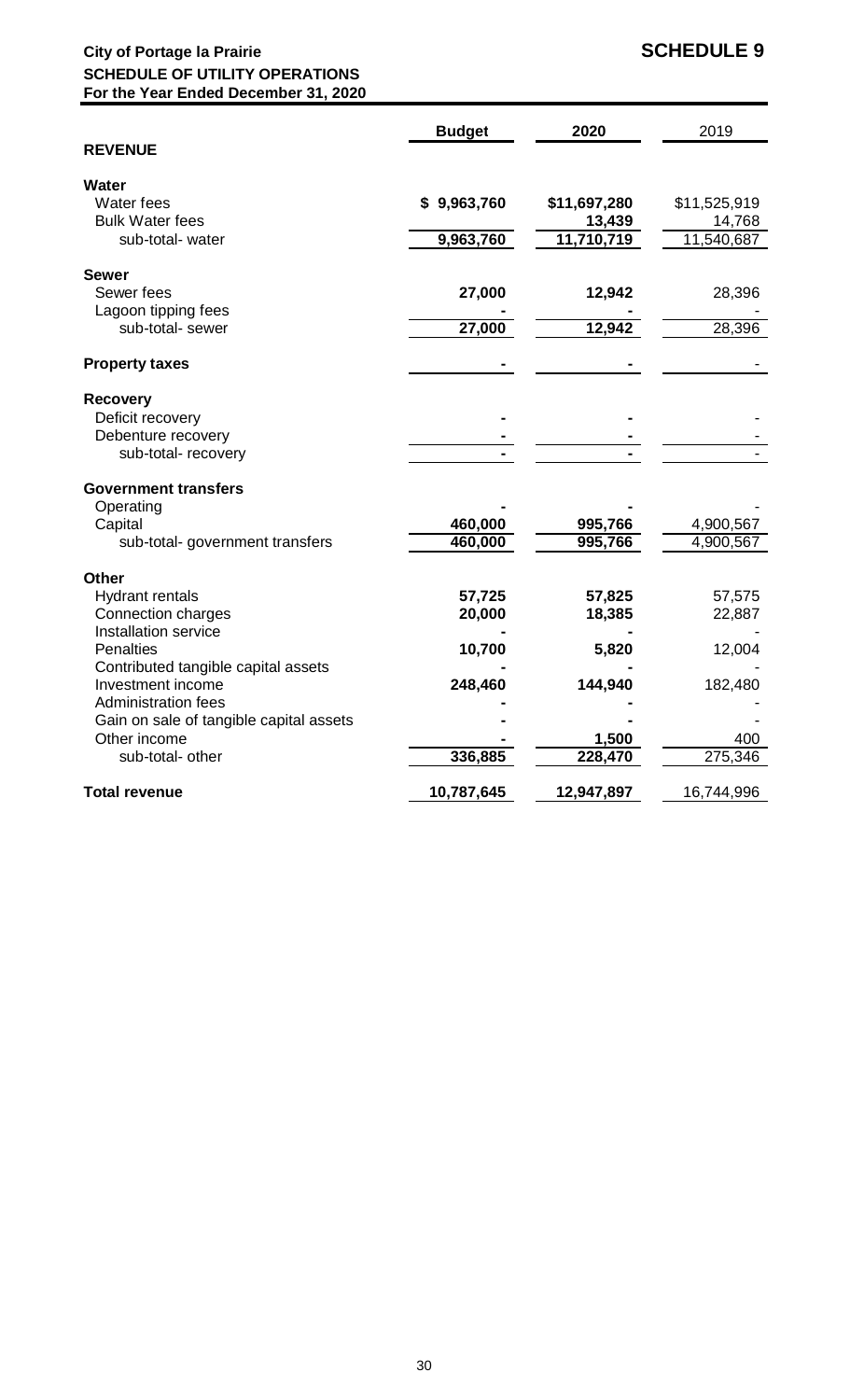## **City of Portage la Prairie SCHEDULE 9 SCHEDULE OF UTILITY OPERATIONS For the Year Ended December 31, 2020**

|                                         | <b>Budget</b> | 2020         | 2019         |
|-----------------------------------------|---------------|--------------|--------------|
| <b>REVENUE</b>                          |               |              |              |
| Water<br>Water fees                     | \$9,963,760   | \$11,697,280 | \$11,525,919 |
| <b>Bulk Water fees</b>                  |               | 13,439       | 14,768       |
| sub-total- water                        | 9,963,760     | 11,710,719   | 11,540,687   |
| <b>Sewer</b>                            |               |              |              |
| Sewer fees                              | 27,000        | 12,942       | 28,396       |
| Lagoon tipping fees                     |               |              |              |
| sub-total- sewer                        | 27,000        | 12,942       | 28,396       |
| <b>Property taxes</b>                   |               |              |              |
| <b>Recovery</b>                         |               |              |              |
| Deficit recovery                        |               |              |              |
| Debenture recovery                      |               |              |              |
| sub-total- recovery                     |               |              |              |
| <b>Government transfers</b>             |               |              |              |
| Operating                               |               |              |              |
| Capital                                 | 460,000       | 995,766      | 4,900,567    |
| sub-total- government transfers         | 460,000       | 995,766      | 4,900,567    |
| <b>Other</b>                            |               |              |              |
| <b>Hydrant rentals</b>                  | 57,725        | 57,825       | 57,575       |
| Connection charges                      | 20,000        | 18,385       | 22,887       |
| Installation service                    |               |              |              |
| <b>Penalties</b>                        | 10,700        | 5,820        | 12,004       |
| Contributed tangible capital assets     |               |              |              |
| Investment income                       | 248,460       | 144,940      | 182,480      |
| <b>Administration fees</b>              |               |              |              |
| Gain on sale of tangible capital assets |               |              |              |
| Other income                            |               | 1,500        | 400          |
| sub-total- other                        | 336,885       | 228,470      | 275,346      |
| <b>Total revenue</b>                    | 10,787,645    | 12,947,897   | 16,744,996   |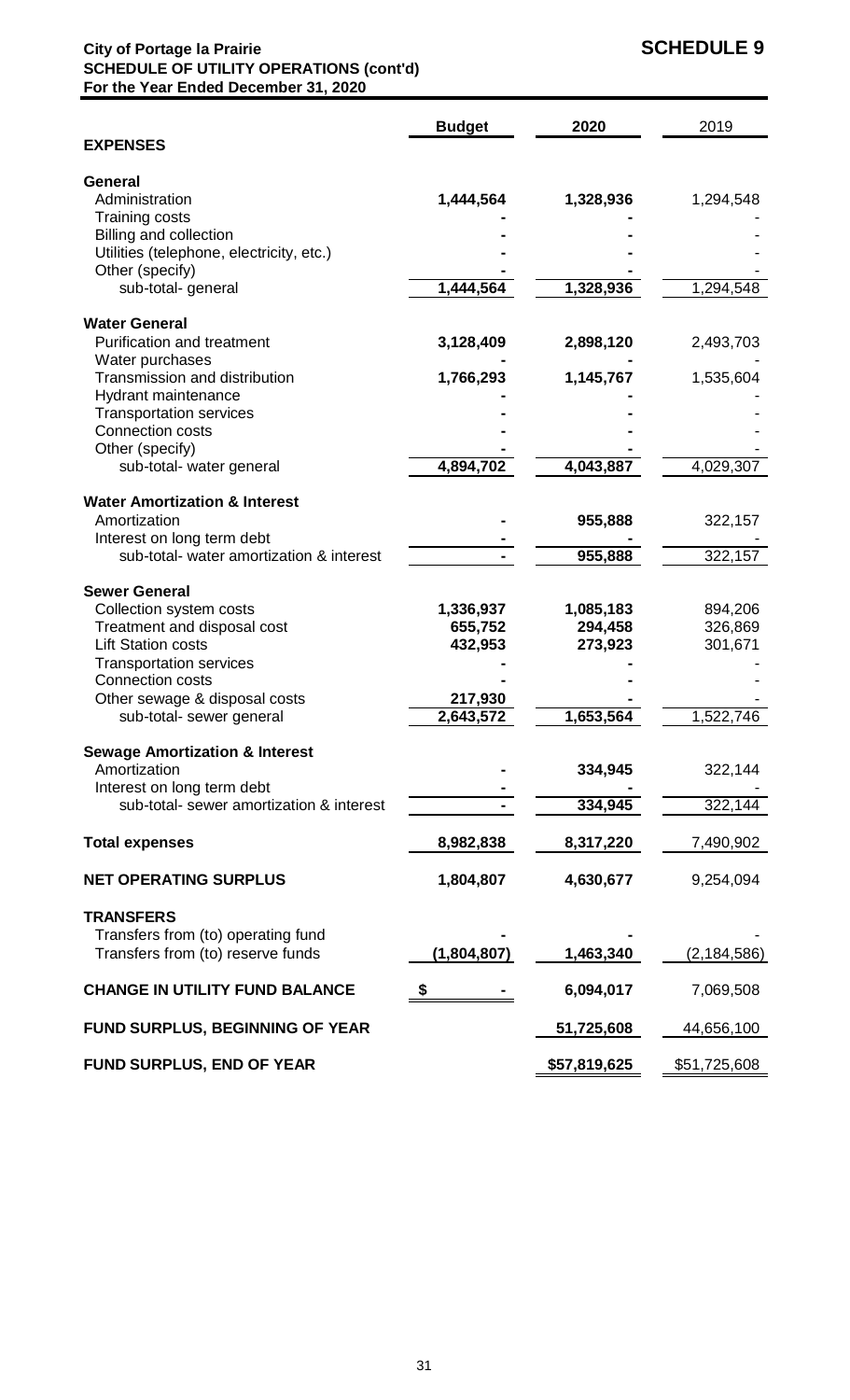### **City of Portage la Prairie SCHEDULE 9 SCHEDULE OF UTILITY OPERATIONS (cont'd) For the Year Ended December 31, 2020**

|                                                                        | <b>Budget</b>      | 2020                 | 2019               |
|------------------------------------------------------------------------|--------------------|----------------------|--------------------|
| <b>EXPENSES</b>                                                        |                    |                      |                    |
| General                                                                |                    |                      |                    |
| Administration                                                         | 1,444,564          | 1,328,936            | 1,294,548          |
| Training costs<br><b>Billing and collection</b>                        |                    |                      |                    |
| Utilities (telephone, electricity, etc.)                               |                    |                      |                    |
| Other (specify)                                                        |                    |                      |                    |
| sub-total- general                                                     | 1,444,564          | 1,328,936            | 1,294,548          |
| <b>Water General</b>                                                   |                    |                      |                    |
| <b>Purification and treatment</b>                                      | 3,128,409          | 2,898,120            | 2,493,703          |
| Water purchases<br>Transmission and distribution                       | 1,766,293          | 1,145,767            | 1,535,604          |
| Hydrant maintenance                                                    |                    |                      |                    |
| <b>Transportation services</b>                                         |                    |                      |                    |
| <b>Connection costs</b>                                                |                    |                      |                    |
| Other (specify)<br>sub-total- water general                            | 4,894,702          | 4,043,887            | 4,029,307          |
|                                                                        |                    |                      |                    |
| <b>Water Amortization &amp; Interest</b>                               |                    |                      |                    |
| Amortization                                                           |                    | 955,888              | 322,157            |
| Interest on long term debt<br>sub-total- water amortization & interest |                    | 955,888              | 322,157            |
|                                                                        |                    |                      |                    |
| <b>Sewer General</b>                                                   |                    |                      |                    |
| Collection system costs                                                | 1,336,937          | 1,085,183<br>294,458 | 894,206            |
| Treatment and disposal cost<br><b>Lift Station costs</b>               | 655,752<br>432,953 | 273,923              | 326,869<br>301,671 |
| <b>Transportation services</b>                                         |                    |                      |                    |
| <b>Connection costs</b>                                                |                    |                      |                    |
| Other sewage & disposal costs                                          | 217,930            |                      |                    |
| sub-total- sewer general                                               | 2,643,572          | 1,653,564            | 1,522,746          |
| <b>Sewage Amortization &amp; Interest</b>                              |                    |                      |                    |
| Amortization                                                           |                    | 334,945              | 322,144            |
| Interest on long term debt<br>sub-total- sewer amortization & interest |                    | 334,945              | 322,144            |
|                                                                        |                    |                      |                    |
| <b>Total expenses</b>                                                  | 8,982,838          | 8,317,220            | 7,490,902          |
| <b>NET OPERATING SURPLUS</b>                                           | 1,804,807          | 4,630,677            | 9,254,094          |
| <b>TRANSFERS</b>                                                       |                    |                      |                    |
| Transfers from (to) operating fund                                     |                    |                      |                    |
| Transfers from (to) reserve funds                                      | (1,804,807)        | 1,463,340            | (2, 184, 586)      |
| <b>CHANGE IN UTILITY FUND BALANCE</b>                                  |                    | 6,094,017            | 7,069,508          |
| FUND SURPLUS, BEGINNING OF YEAR                                        |                    | 51,725,608           | 44,656,100         |
| <b>FUND SURPLUS, END OF YEAR</b>                                       |                    | \$57,819,625         | \$51,725,608       |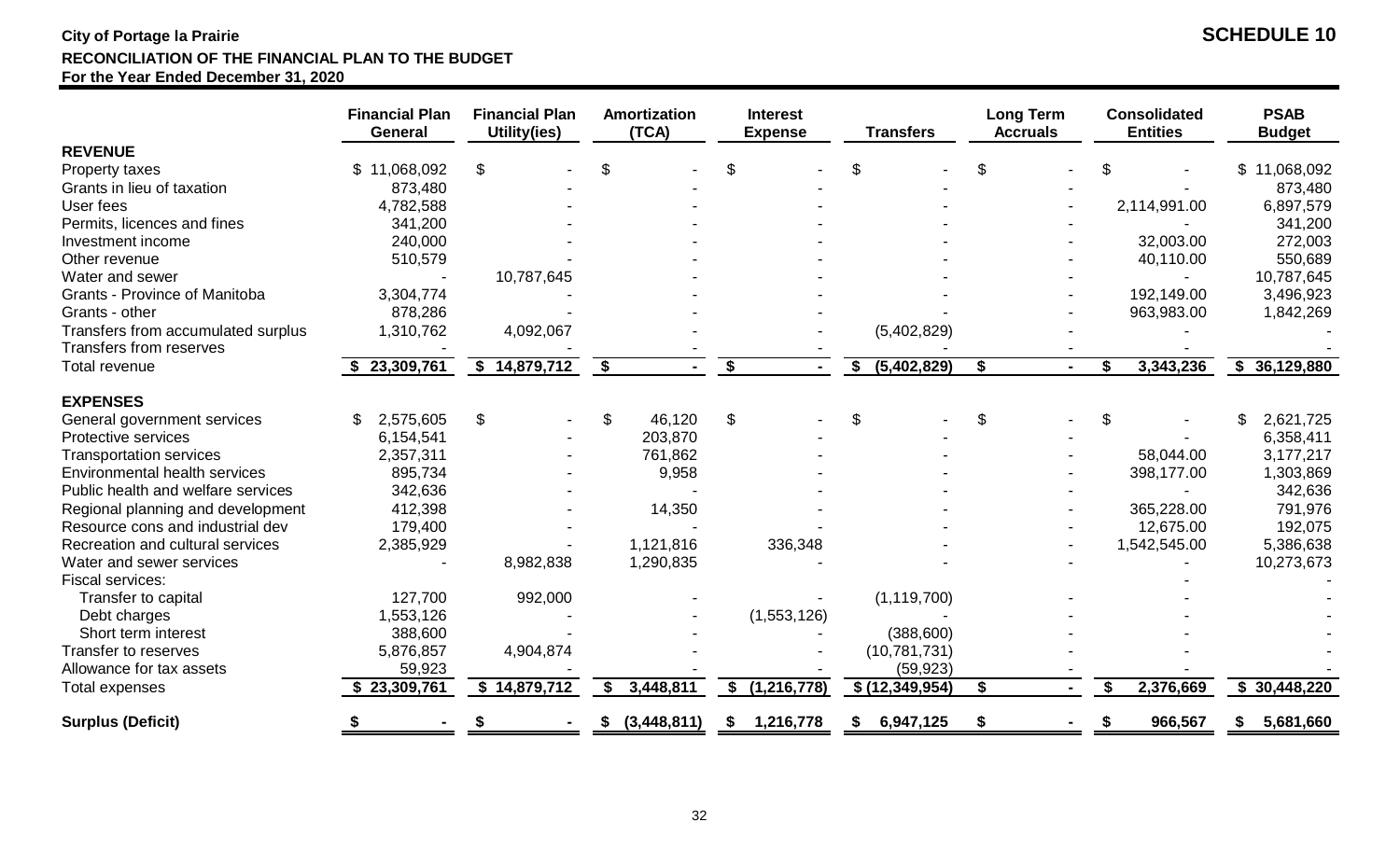### **City of Portage la Prairie SCHEDULE 10 RECONCILIATION OF THE FINANCIAL PLAN TO THE BUDGET For the Year Ended December 31, 2020**

|                                      | <b>Financial Plan</b><br><b>Financial Plan</b><br><b>Amortization</b><br><b>Interest</b><br>(TCA)<br>General<br>Utility(ies)<br><b>Expense</b> |              |    | <b>Transfers</b> | <b>Long Term</b><br><b>Accruals</b> |                   | <b>Consolidated</b><br><b>Entities</b> | <b>PSAB</b><br><b>Budget</b> |              |                  |
|--------------------------------------|------------------------------------------------------------------------------------------------------------------------------------------------|--------------|----|------------------|-------------------------------------|-------------------|----------------------------------------|------------------------------|--------------|------------------|
| <b>REVENUE</b>                       |                                                                                                                                                |              |    |                  |                                     |                   |                                        |                              |              |                  |
| Property taxes                       | \$11,068,092                                                                                                                                   | \$           | S  |                  |                                     | \$                | \$                                     | S                            |              | 11,068,092<br>\$ |
| Grants in lieu of taxation           | 873,480                                                                                                                                        |              |    |                  |                                     |                   |                                        |                              |              | 873,480          |
| User fees                            | 4,782,588                                                                                                                                      |              |    |                  |                                     |                   |                                        |                              | 2,114,991.00 | 6,897,579        |
| Permits, licences and fines          | 341,200                                                                                                                                        |              |    |                  |                                     |                   |                                        |                              |              | 341,200          |
| Investment income                    | 240,000                                                                                                                                        |              |    |                  |                                     |                   |                                        |                              | 32,003.00    | 272,003          |
| Other revenue                        | 510,579                                                                                                                                        |              |    |                  |                                     |                   |                                        |                              | 40,110.00    | 550,689          |
| Water and sewer                      |                                                                                                                                                | 10,787,645   |    |                  |                                     |                   |                                        |                              |              | 10,787,645       |
| Grants - Province of Manitoba        | 3,304,774                                                                                                                                      |              |    |                  |                                     |                   |                                        |                              | 192,149.00   | 3,496,923        |
| Grants - other                       | 878,286                                                                                                                                        |              |    |                  |                                     |                   |                                        |                              | 963,983.00   | 1,842,269        |
| Transfers from accumulated surplus   | 1,310,762                                                                                                                                      | 4,092,067    |    |                  |                                     | (5,402,829)       |                                        |                              |              |                  |
| Transfers from reserves              |                                                                                                                                                |              |    |                  |                                     |                   |                                        |                              |              |                  |
| Total revenue                        | \$23,309,761                                                                                                                                   | \$14,879,712 | \$ |                  | \$                                  | (5,402,829)<br>\$ | \$                                     | \$                           | 3,343,236    | \$36,129,880     |
| <b>EXPENSES</b>                      |                                                                                                                                                |              |    |                  |                                     |                   |                                        |                              |              |                  |
| General government services          | 2,575,605                                                                                                                                      | \$           | \$ | 46,120           | \$                                  | \$                | \$                                     | \$                           |              | 2,621,725<br>\$  |
| Protective services                  | 6,154,541                                                                                                                                      |              |    | 203,870          |                                     |                   |                                        |                              |              | 6,358,411        |
| <b>Transportation services</b>       | 2,357,311                                                                                                                                      |              |    | 761,862          |                                     |                   |                                        |                              | 58,044.00    | 3,177,217        |
| <b>Environmental health services</b> | 895,734                                                                                                                                        |              |    | 9,958            |                                     |                   |                                        |                              | 398,177.00   | 1,303,869        |
| Public health and welfare services   | 342,636                                                                                                                                        |              |    |                  |                                     |                   |                                        |                              |              | 342,636          |
| Regional planning and development    | 412,398                                                                                                                                        |              |    | 14,350           |                                     |                   |                                        |                              | 365,228.00   | 791,976          |
| Resource cons and industrial dev     | 179,400                                                                                                                                        |              |    |                  |                                     |                   |                                        |                              | 12,675.00    | 192,075          |
| Recreation and cultural services     | 2,385,929                                                                                                                                      |              |    | 1,121,816        | 336,348                             |                   |                                        |                              | 1,542,545.00 | 5,386,638        |
| Water and sewer services             |                                                                                                                                                | 8,982,838    |    | 1,290,835        |                                     |                   |                                        |                              |              | 10,273,673       |
| Fiscal services:                     |                                                                                                                                                |              |    |                  |                                     |                   |                                        |                              |              |                  |
| Transfer to capital                  | 127,700                                                                                                                                        | 992,000      |    |                  |                                     | (1, 119, 700)     |                                        |                              |              |                  |
| Debt charges                         | 1,553,126                                                                                                                                      |              |    |                  | (1,553,126)                         |                   |                                        |                              |              |                  |
| Short term interest                  | 388,600                                                                                                                                        |              |    |                  |                                     | (388, 600)        |                                        |                              |              |                  |
| Transfer to reserves                 | 5,876,857                                                                                                                                      | 4,904,874    |    |                  |                                     | (10, 781, 731)    |                                        |                              |              |                  |
| Allowance for tax assets             | 59,923                                                                                                                                         |              |    |                  |                                     | (59, 923)         |                                        |                              |              |                  |
| Total expenses                       | \$23,309,761                                                                                                                                   | \$14,879,712 | S. | 3,448,811        | (1, 216, 778)<br>\$                 | \$(12, 349, 954)  | \$                                     |                              | 2,376,669    | \$30,448,220     |
| <b>Surplus (Deficit)</b>             |                                                                                                                                                |              | \$ | (3, 448, 811)    | 1,216,778<br>\$                     | 6,947,125<br>S    | S                                      |                              | 966,567      | 5,681,660        |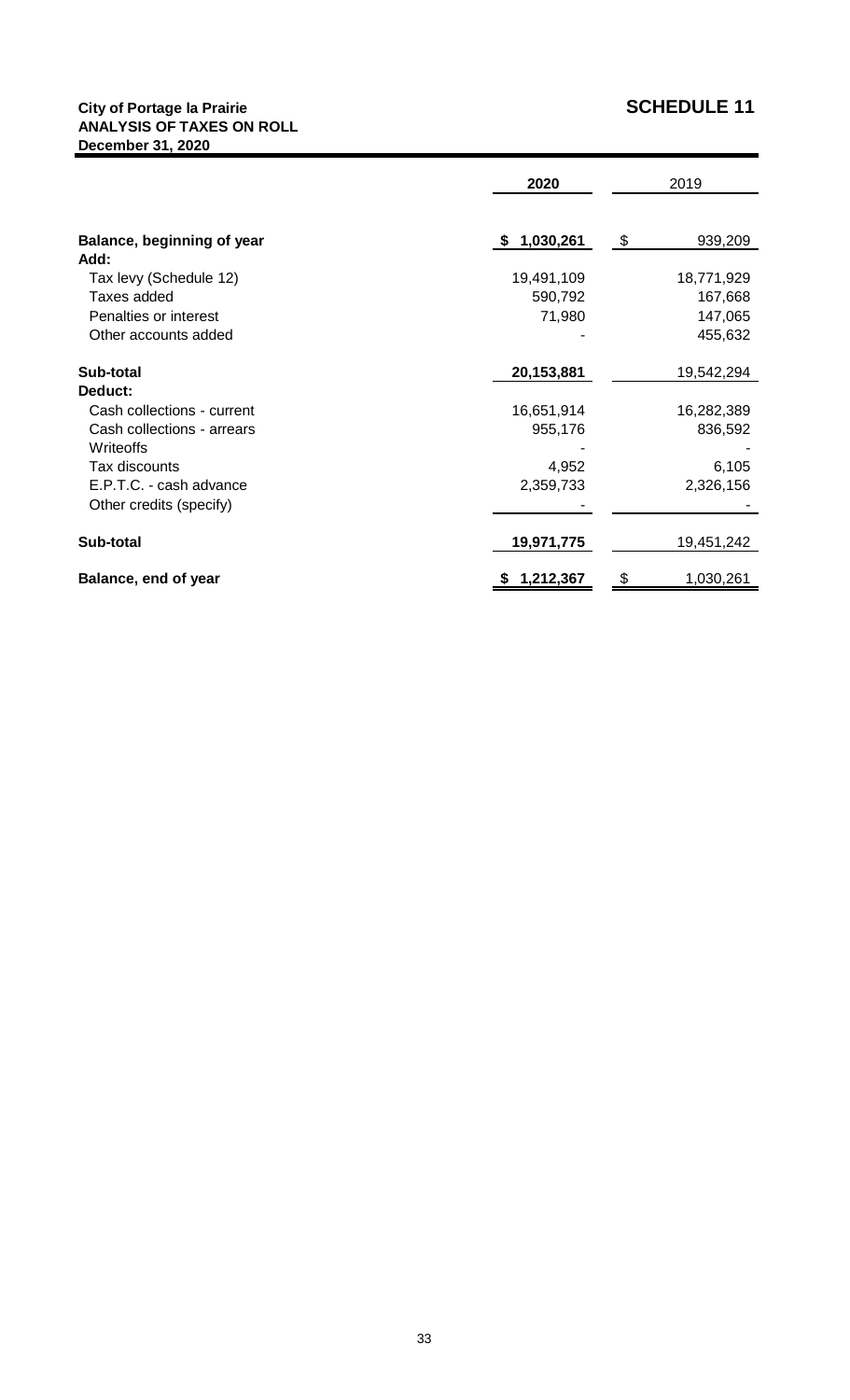### **City of Portage la Prairie SCHEDULE 11 ANALYSIS OF TAXES ON ROLL December 31, 2020**

|                            | 2020            |            | 2019       |
|----------------------------|-----------------|------------|------------|
|                            |                 |            |            |
| Balance, beginning of year | \$1,030,261     | $\sqrt{3}$ | 939,209    |
| Add:                       |                 |            |            |
| Tax levy (Schedule 12)     | 19,491,109      |            | 18,771,929 |
| Taxes added                | 590,792         |            | 167,668    |
| Penalties or interest      | 71,980          |            | 147,065    |
| Other accounts added       |                 |            | 455,632    |
| Sub-total                  | 20,153,881      |            | 19,542,294 |
| Deduct:                    |                 |            |            |
| Cash collections - current | 16,651,914      |            | 16,282,389 |
| Cash collections - arrears | 955,176         |            | 836,592    |
| Writeoffs                  |                 |            |            |
| Tax discounts              | 4,952           |            | 6,105      |
| E.P.T.C. - cash advance    | 2,359,733       |            | 2,326,156  |
| Other credits (specify)    |                 |            |            |
| Sub-total                  | 19,971,775      |            | 19,451,242 |
| Balance, end of year       | 1,212,367<br>\$ |            | 1,030,261  |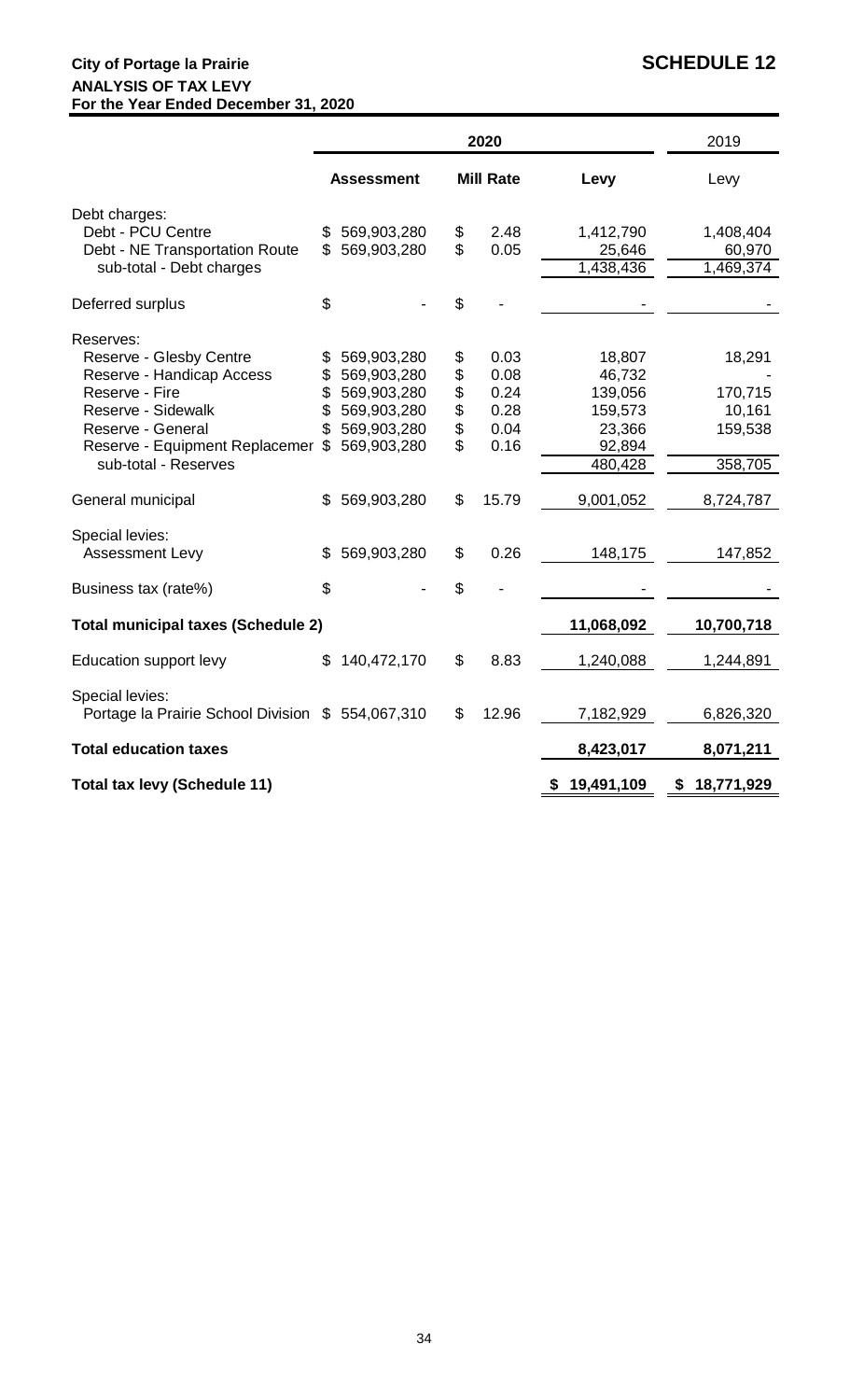### **City of Portage la Prairie SCHEDULE 12 ANALYSIS OF TAX LEVY For the Year Ended December 31, 2020**

|                                                                      |                |                   |                  | 2019             |                  |  |
|----------------------------------------------------------------------|----------------|-------------------|------------------|------------------|------------------|--|
|                                                                      |                | <b>Assessment</b> | <b>Mill Rate</b> | Levy             | Levy             |  |
| Debt charges:                                                        |                |                   |                  |                  |                  |  |
| Debt - PCU Centre                                                    | $\mathbb{S}$   | 569,903,280       | \$<br>2.48       | 1,412,790        | 1,408,404        |  |
| Debt - NE Transportation Route                                       | \$             | 569,903,280       | \$<br>0.05       | 25,646           | 60,970           |  |
| sub-total - Debt charges                                             |                |                   |                  | 1,438,436        | 1,469,374        |  |
| Deferred surplus                                                     | \$             |                   | \$               |                  |                  |  |
| Reserves:                                                            |                |                   |                  |                  |                  |  |
| Reserve - Glesby Centre                                              |                | 569,903,280       | \$<br>0.03       | 18,807           | 18,291           |  |
| Reserve - Handicap Access                                            | \$             | 569,903,280       | \$<br>0.08       | 46,732           |                  |  |
| Reserve - Fire                                                       | \$             | 569,903,280       | \$<br>0.24       | 139,056          | 170,715          |  |
| Reserve - Sidewalk                                                   | \$             | 569,903,280       | \$<br>0.28       | 159,573          | 10,161           |  |
| Reserve - General                                                    | \$             | 569,903,280       | \$<br>0.04       | 23,366           | 159,538          |  |
| Reserve - Equipment Replacemer                                       | \$             | 569,903,280       | \$<br>0.16       | 92,894           |                  |  |
| sub-total - Reserves                                                 |                |                   |                  | 480,428          | 358,705          |  |
| General municipal                                                    | $\mathfrak{L}$ | 569,903,280       | \$<br>15.79      | 9,001,052        | 8,724,787        |  |
| Special levies:                                                      |                |                   |                  |                  |                  |  |
| Assessment Levy                                                      | \$             | 569,903,280       | \$<br>0.26       | 148,175          | 147,852          |  |
| Business tax (rate%)                                                 | \$             |                   | \$               |                  |                  |  |
| <b>Total municipal taxes (Schedule 2)</b>                            |                |                   |                  | 11,068,092       | 10,700,718       |  |
| Education support levy                                               | \$             | 140,472,170       | \$<br>8.83       | 1,240,088        | 1,244,891        |  |
|                                                                      |                |                   |                  |                  |                  |  |
| Special levies:<br>Portage la Prairie School Division \$ 554,067,310 |                |                   | \$<br>12.96      | 7,182,929        | 6,826,320        |  |
|                                                                      |                |                   |                  |                  |                  |  |
| <b>Total education taxes</b>                                         |                |                   |                  | 8,423,017        | 8,071,211        |  |
| <b>Total tax levy (Schedule 11)</b>                                  |                |                   |                  | 19,491,109<br>\$ | \$<br>18,771,929 |  |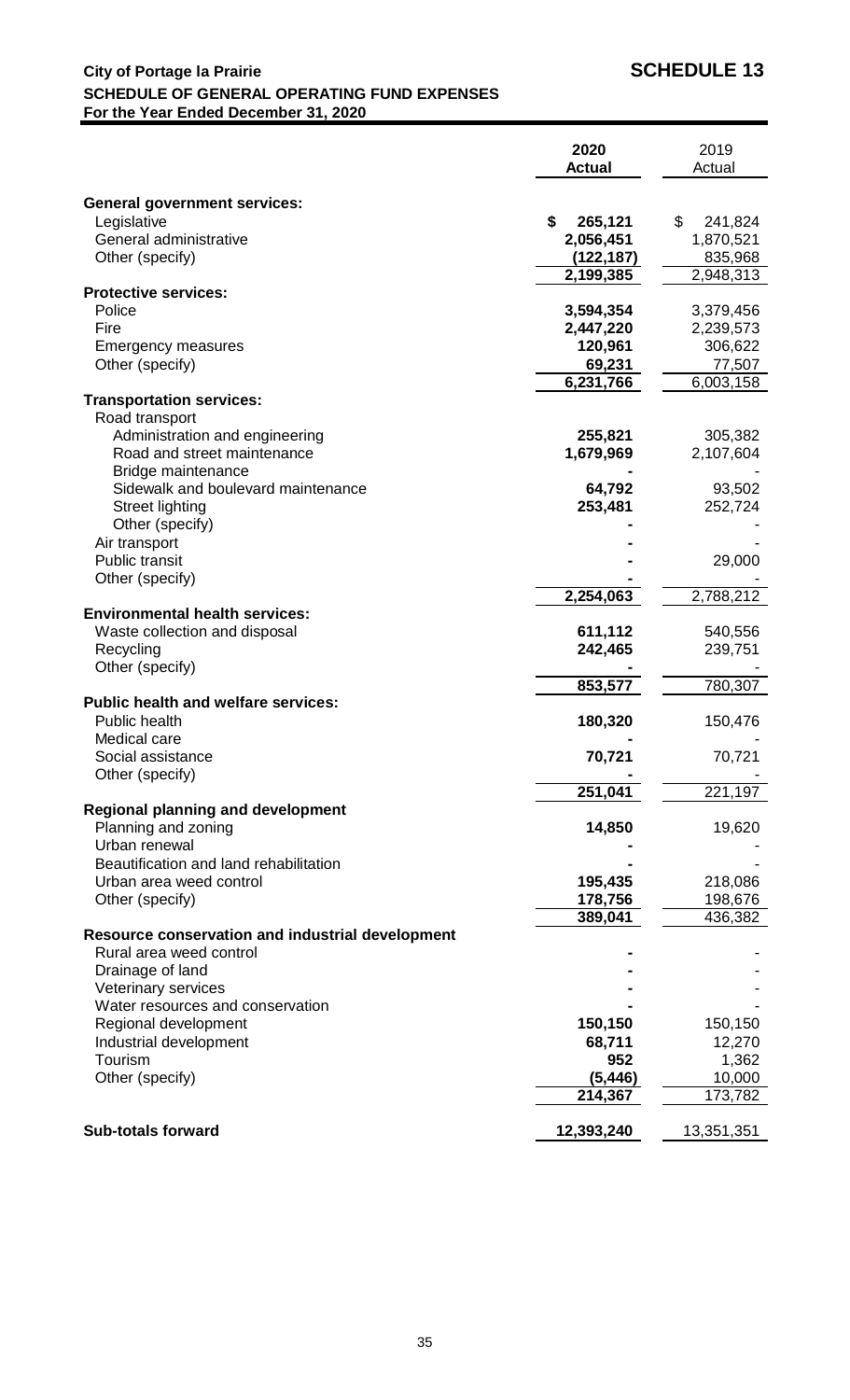## **City of Portage la Prairie SCHEDULE 13 SCHEDULE OF GENERAL OPERATING FUND EXPENSES For the Year Ended December 31, 2020**

|                                                               | 2020<br><b>Actual</b> | 2019<br>Actual       |
|---------------------------------------------------------------|-----------------------|----------------------|
| <b>General government services:</b>                           |                       |                      |
| Legislative                                                   | \$<br>265,121         | \$<br>241,824        |
| General administrative                                        | 2,056,451             | 1,870,521            |
| Other (specify)                                               | (122, 187)            | 835,968              |
|                                                               | 2,199,385             | 2,948,313            |
| <b>Protective services:</b>                                   |                       |                      |
| Police                                                        | 3,594,354             | 3,379,456            |
| Fire                                                          | 2,447,220             | 2,239,573            |
| <b>Emergency measures</b>                                     | 120,961               | 306,622              |
| Other (specify)                                               | 69,231                | 77,507               |
|                                                               | 6,231,766             | 6,003,158            |
| <b>Transportation services:</b>                               |                       |                      |
| Road transport                                                |                       |                      |
| Administration and engineering<br>Road and street maintenance | 255,821<br>1,679,969  | 305,382<br>2,107,604 |
| Bridge maintenance                                            |                       |                      |
| Sidewalk and boulevard maintenance                            | 64,792                | 93,502               |
| <b>Street lighting</b>                                        | 253,481               | 252,724              |
| Other (specify)                                               |                       |                      |
| Air transport                                                 |                       |                      |
| <b>Public transit</b>                                         |                       | 29,000               |
| Other (specify)                                               |                       |                      |
|                                                               | 2,254,063             | 2,788,212            |
| <b>Environmental health services:</b>                         |                       |                      |
| Waste collection and disposal                                 | 611,112               | 540,556              |
| Recycling                                                     | 242,465               | 239,751              |
| Other (specify)                                               |                       |                      |
| <b>Public health and welfare services:</b>                    | 853,577               | 780,307              |
| Public health                                                 | 180,320               | 150,476              |
| Medical care                                                  |                       |                      |
| Social assistance                                             | 70,721                | 70,721               |
| Other (specify)                                               |                       |                      |
|                                                               | 251,041               | 221,197              |
| <b>Regional planning and development</b>                      |                       |                      |
| Planning and zoning                                           | 14,850                | 19,620               |
| Urban renewal                                                 |                       |                      |
| Beautification and land rehabilitation                        |                       |                      |
| Urban area weed control                                       | 195,435               | 218,086              |
| Other (specify)                                               | 178,756<br>389,041    | 198,676<br>436,382   |
| Resource conservation and industrial development              |                       |                      |
| Rural area weed control                                       |                       |                      |
| Drainage of land                                              |                       |                      |
| Veterinary services                                           |                       |                      |
| Water resources and conservation                              |                       |                      |
| Regional development                                          | 150,150               | 150,150              |
| Industrial development                                        | 68,711                | 12,270               |
| Tourism                                                       | 952                   | 1,362                |
| Other (specify)                                               | (5, 446)              | 10,000               |
|                                                               | $\overline{21}$ 4,367 | 173,782              |
|                                                               |                       |                      |
| <b>Sub-totals forward</b>                                     | 12,393,240            | 13,351,351           |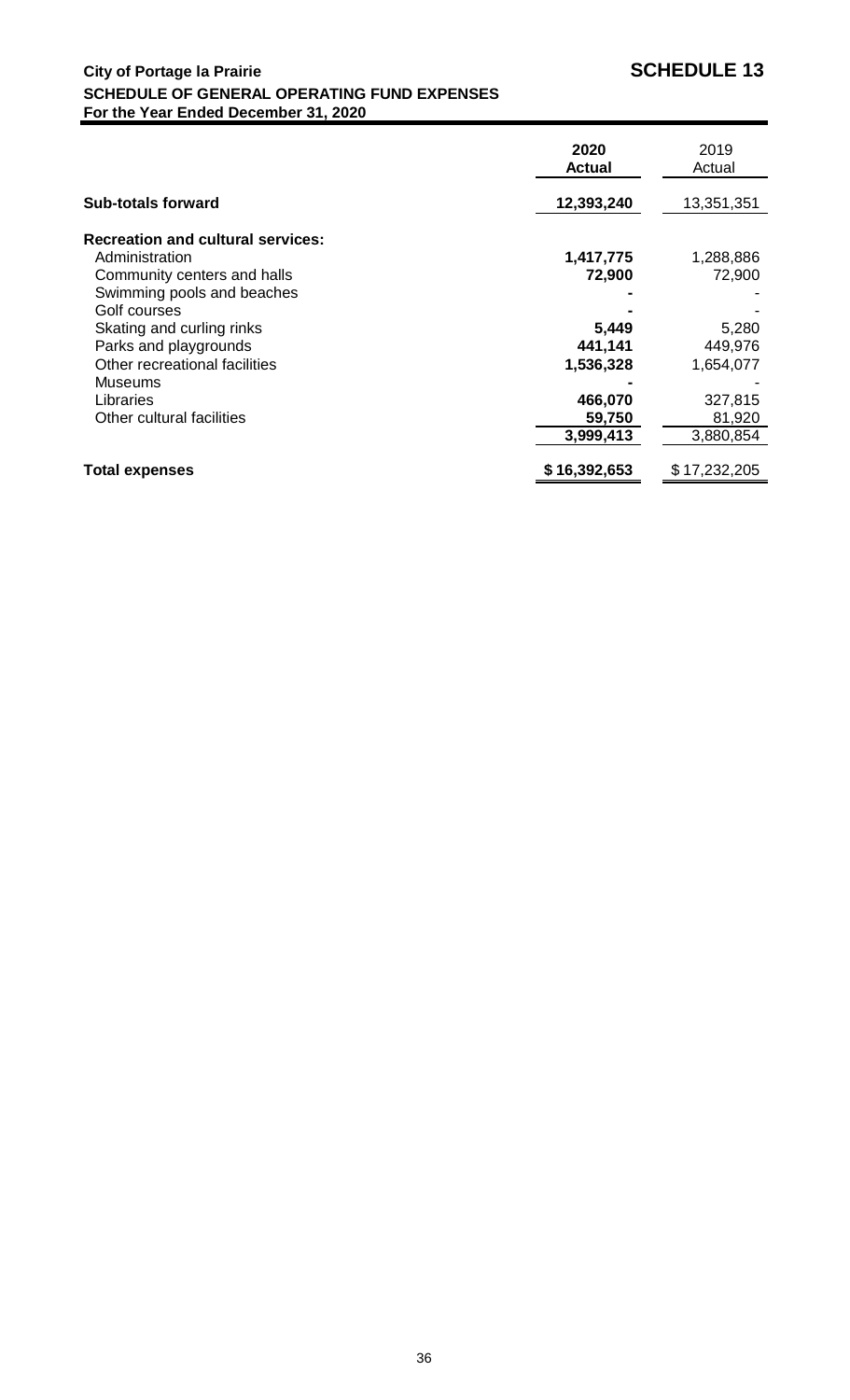## **City of Portage la Prairie SCHEDULE 13 SCHEDULE OF GENERAL OPERATING FUND EXPENSES For the Year Ended December 31, 2020**

|                                          | 2020<br><b>Actual</b> | 2019<br>Actual |
|------------------------------------------|-----------------------|----------------|
| <b>Sub-totals forward</b>                | 12,393,240            | 13,351,351     |
| <b>Recreation and cultural services:</b> |                       |                |
| Administration                           | 1,417,775             | 1,288,886      |
| Community centers and halls              | 72,900                | 72,900         |
| Swimming pools and beaches               |                       |                |
| Golf courses                             |                       |                |
| Skating and curling rinks                | 5,449                 | 5,280          |
| Parks and playgrounds                    | 441,141               | 449,976        |
| Other recreational facilities            | 1,536,328             | 1,654,077      |
| Museums                                  |                       |                |
| Libraries                                | 466,070               | 327,815        |
| Other cultural facilities                | 59,750                | 81,920         |
|                                          | 3,999,413             | 3,880,854      |
| <b>Total expenses</b>                    | \$16,392,653          | \$17,232,205   |